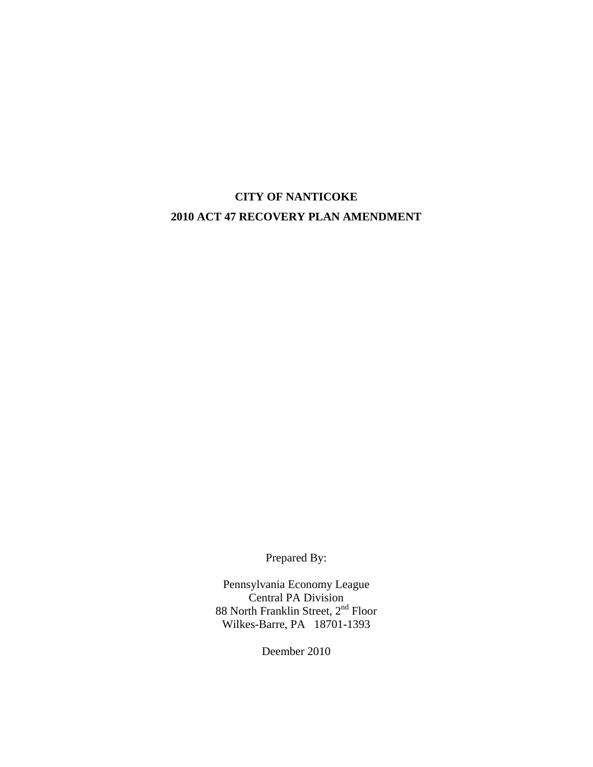# **CITY OF NANTICOKE 2010 ACT 47 RECOVERY PLAN AMENDMENT**

Prepared By:

Pennsylvania Economy League Central PA Division 88 North Franklin Street, 2<sup>nd</sup> Floor Wilkes-Barre, PA 18701-1393

Deember 2010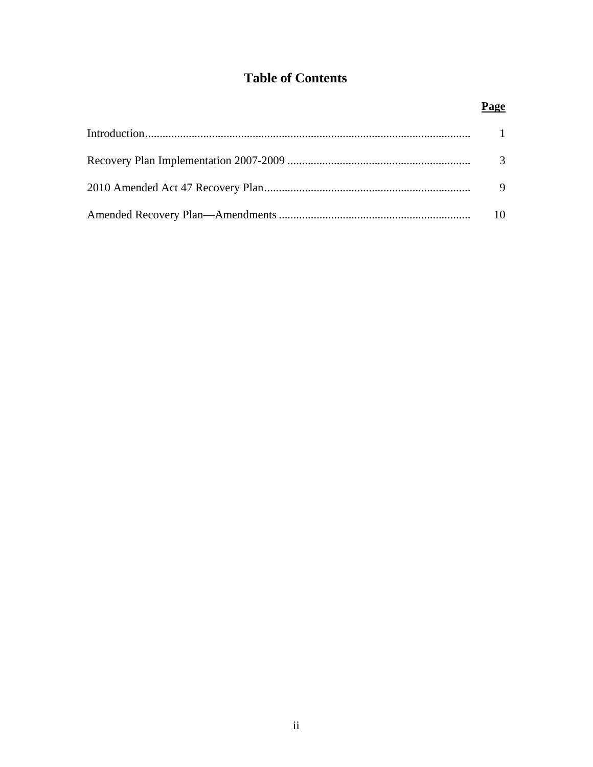# **Table of Contents**

# Page

| $\overline{1}$ |
|----------------|
| $\mathcal{R}$  |
| 9              |
| 10             |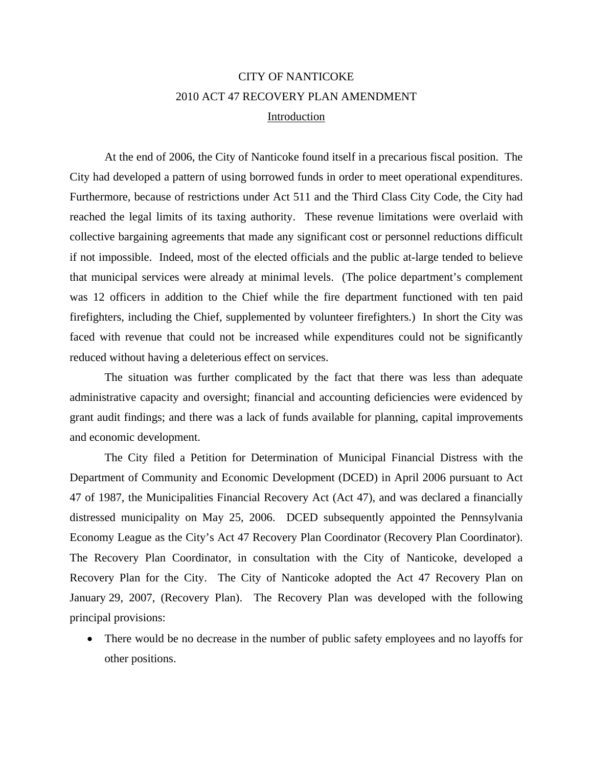# CITY OF NANTICOKE 2010 ACT 47 RECOVERY PLAN AMENDMENT Introduction

At the end of 2006, the City of Nanticoke found itself in a precarious fiscal position. The City had developed a pattern of using borrowed funds in order to meet operational expenditures. Furthermore, because of restrictions under Act 511 and the Third Class City Code, the City had reached the legal limits of its taxing authority. These revenue limitations were overlaid with collective bargaining agreements that made any significant cost or personnel reductions difficult if not impossible. Indeed, most of the elected officials and the public at-large tended to believe that municipal services were already at minimal levels. (The police department's complement was 12 officers in addition to the Chief while the fire department functioned with ten paid firefighters, including the Chief, supplemented by volunteer firefighters.) In short the City was faced with revenue that could not be increased while expenditures could not be significantly reduced without having a deleterious effect on services.

The situation was further complicated by the fact that there was less than adequate administrative capacity and oversight; financial and accounting deficiencies were evidenced by grant audit findings; and there was a lack of funds available for planning, capital improvements and economic development.

The City filed a Petition for Determination of Municipal Financial Distress with the Department of Community and Economic Development (DCED) in April 2006 pursuant to Act 47 of 1987, the Municipalities Financial Recovery Act (Act 47), and was declared a financially distressed municipality on May 25, 2006. DCED subsequently appointed the Pennsylvania Economy League as the City's Act 47 Recovery Plan Coordinator (Recovery Plan Coordinator). The Recovery Plan Coordinator, in consultation with the City of Nanticoke, developed a Recovery Plan for the City. The City of Nanticoke adopted the Act 47 Recovery Plan on January 29, 2007, (Recovery Plan). The Recovery Plan was developed with the following principal provisions:

• There would be no decrease in the number of public safety employees and no layoffs for other positions.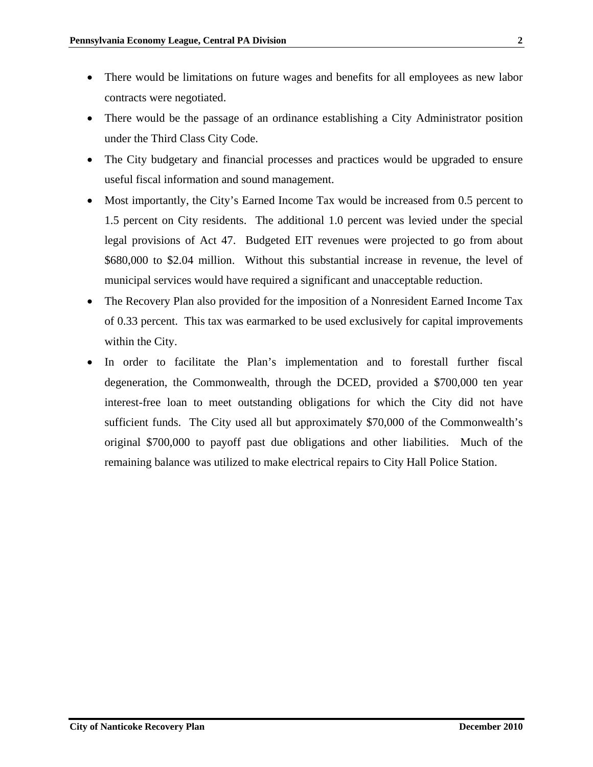- There would be limitations on future wages and benefits for all employees as new labor contracts were negotiated.
- There would be the passage of an ordinance establishing a City Administrator position under the Third Class City Code.
- The City budgetary and financial processes and practices would be upgraded to ensure useful fiscal information and sound management.
- Most importantly, the City's Earned Income Tax would be increased from 0.5 percent to 1.5 percent on City residents. The additional 1.0 percent was levied under the special legal provisions of Act 47. Budgeted EIT revenues were projected to go from about \$680,000 to \$2.04 million. Without this substantial increase in revenue, the level of municipal services would have required a significant and unacceptable reduction.
- The Recovery Plan also provided for the imposition of a Nonresident Earned Income Tax of 0.33 percent. This tax was earmarked to be used exclusively for capital improvements within the City.
- In order to facilitate the Plan's implementation and to forestall further fiscal degeneration, the Commonwealth, through the DCED, provided a \$700,000 ten year interest-free loan to meet outstanding obligations for which the City did not have sufficient funds. The City used all but approximately \$70,000 of the Commonwealth's original \$700,000 to payoff past due obligations and other liabilities. Much of the remaining balance was utilized to make electrical repairs to City Hall Police Station.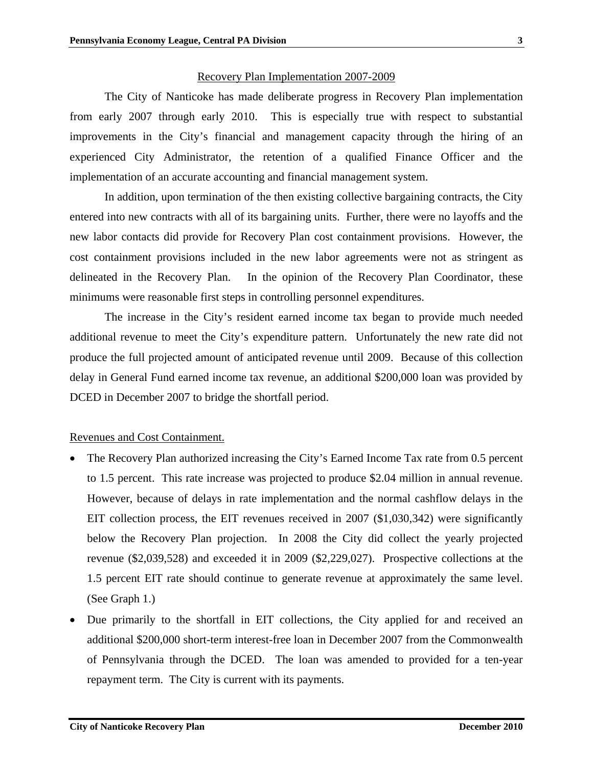#### Recovery Plan Implementation 2007-2009

The City of Nanticoke has made deliberate progress in Recovery Plan implementation from early 2007 through early 2010. This is especially true with respect to substantial improvements in the City's financial and management capacity through the hiring of an experienced City Administrator, the retention of a qualified Finance Officer and the implementation of an accurate accounting and financial management system.

In addition, upon termination of the then existing collective bargaining contracts, the City entered into new contracts with all of its bargaining units. Further, there were no layoffs and the new labor contacts did provide for Recovery Plan cost containment provisions. However, the cost containment provisions included in the new labor agreements were not as stringent as delineated in the Recovery Plan. In the opinion of the Recovery Plan Coordinator, these minimums were reasonable first steps in controlling personnel expenditures.

The increase in the City's resident earned income tax began to provide much needed additional revenue to meet the City's expenditure pattern. Unfortunately the new rate did not produce the full projected amount of anticipated revenue until 2009. Because of this collection delay in General Fund earned income tax revenue, an additional \$200,000 loan was provided by DCED in December 2007 to bridge the shortfall period.

#### Revenues and Cost Containment.

- The Recovery Plan authorized increasing the City's Earned Income Tax rate from 0.5 percent to 1.5 percent. This rate increase was projected to produce \$2.04 million in annual revenue. However, because of delays in rate implementation and the normal cashflow delays in the EIT collection process, the EIT revenues received in 2007 (\$1,030,342) were significantly below the Recovery Plan projection. In 2008 the City did collect the yearly projected revenue (\$2,039,528) and exceeded it in 2009 (\$2,229,027). Prospective collections at the 1.5 percent EIT rate should continue to generate revenue at approximately the same level. (See Graph 1.)
- Due primarily to the shortfall in EIT collections, the City applied for and received an additional \$200,000 short-term interest-free loan in December 2007 from the Commonwealth of Pennsylvania through the DCED. The loan was amended to provided for a ten-year repayment term. The City is current with its payments.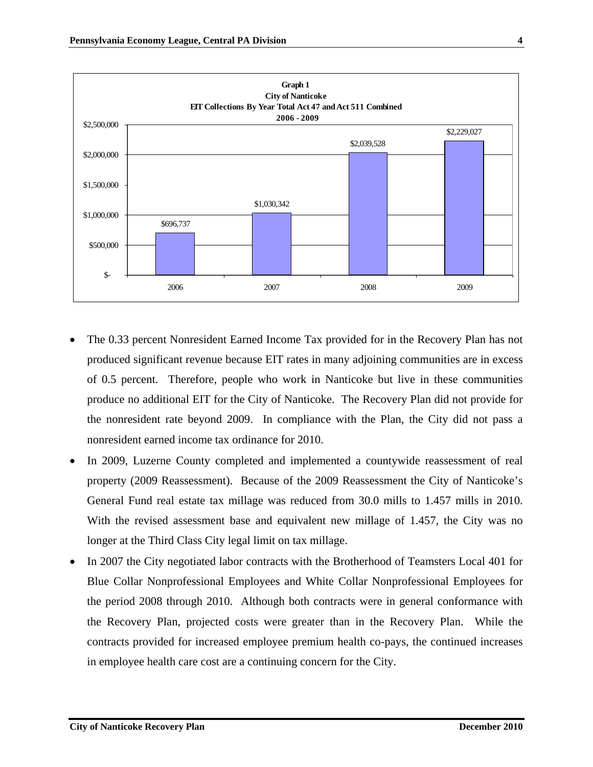

- The 0.33 percent Nonresident Earned Income Tax provided for in the Recovery Plan has not produced significant revenue because EIT rates in many adjoining communities are in excess of 0.5 percent. Therefore, people who work in Nanticoke but live in these communities produce no additional EIT for the City of Nanticoke. The Recovery Plan did not provide for the nonresident rate beyond 2009. In compliance with the Plan, the City did not pass a nonresident earned income tax ordinance for 2010.
- In 2009, Luzerne County completed and implemented a countywide reassessment of real property (2009 Reassessment). Because of the 2009 Reassessment the City of Nanticoke's General Fund real estate tax millage was reduced from 30.0 mills to 1.457 mills in 2010. With the revised assessment base and equivalent new millage of 1.457, the City was no longer at the Third Class City legal limit on tax millage.
- In 2007 the City negotiated labor contracts with the Brotherhood of Teamsters Local 401 for Blue Collar Nonprofessional Employees and White Collar Nonprofessional Employees for the period 2008 through 2010. Although both contracts were in general conformance with the Recovery Plan, projected costs were greater than in the Recovery Plan. While the contracts provided for increased employee premium health co-pays, the continued increases in employee health care cost are a continuing concern for the City.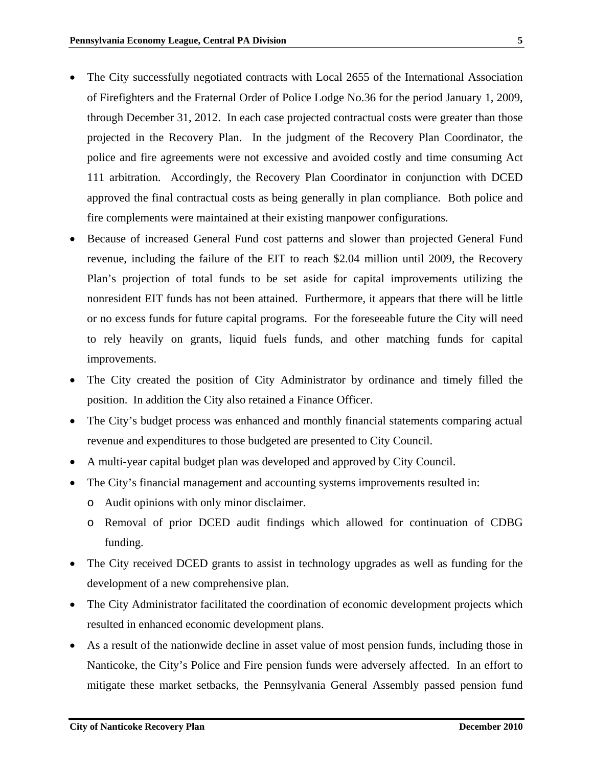- The City successfully negotiated contracts with Local 2655 of the International Association of Firefighters and the Fraternal Order of Police Lodge No.36 for the period January 1, 2009, through December 31, 2012. In each case projected contractual costs were greater than those projected in the Recovery Plan. In the judgment of the Recovery Plan Coordinator, the police and fire agreements were not excessive and avoided costly and time consuming Act 111 arbitration. Accordingly, the Recovery Plan Coordinator in conjunction with DCED approved the final contractual costs as being generally in plan compliance. Both police and fire complements were maintained at their existing manpower configurations.
- Because of increased General Fund cost patterns and slower than projected General Fund revenue, including the failure of the EIT to reach \$2.04 million until 2009, the Recovery Plan's projection of total funds to be set aside for capital improvements utilizing the nonresident EIT funds has not been attained. Furthermore, it appears that there will be little or no excess funds for future capital programs. For the foreseeable future the City will need to rely heavily on grants, liquid fuels funds, and other matching funds for capital improvements.
- The City created the position of City Administrator by ordinance and timely filled the position. In addition the City also retained a Finance Officer.
- The City's budget process was enhanced and monthly financial statements comparing actual revenue and expenditures to those budgeted are presented to City Council.
- A multi-year capital budget plan was developed and approved by City Council.
- The City's financial management and accounting systems improvements resulted in:
	- o Audit opinions with only minor disclaimer.
	- o Removal of prior DCED audit findings which allowed for continuation of CDBG funding.
- The City received DCED grants to assist in technology upgrades as well as funding for the development of a new comprehensive plan.
- The City Administrator facilitated the coordination of economic development projects which resulted in enhanced economic development plans.
- As a result of the nationwide decline in asset value of most pension funds, including those in Nanticoke, the City's Police and Fire pension funds were adversely affected. In an effort to mitigate these market setbacks, the Pennsylvania General Assembly passed pension fund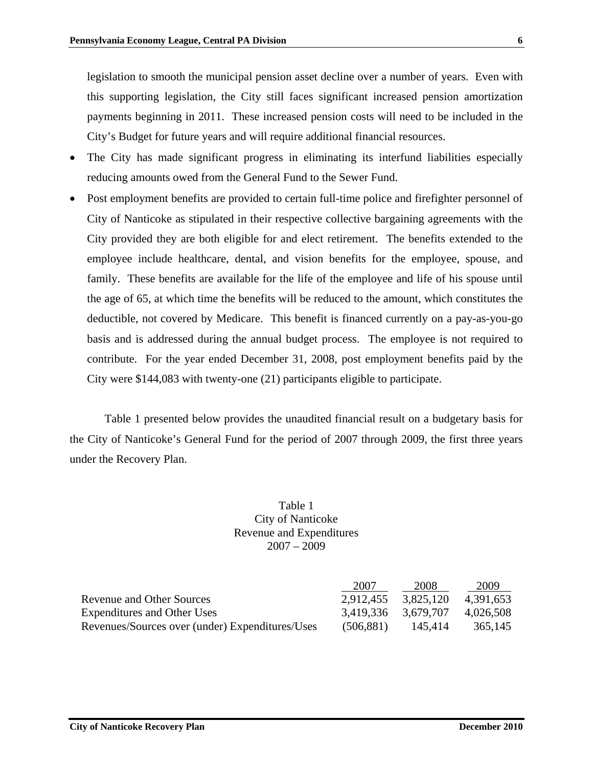legislation to smooth the municipal pension asset decline over a number of years. Even with this supporting legislation, the City still faces significant increased pension amortization payments beginning in 2011. These increased pension costs will need to be included in the City's Budget for future years and will require additional financial resources.

- The City has made significant progress in eliminating its interfund liabilities especially reducing amounts owed from the General Fund to the Sewer Fund.
- Post employment benefits are provided to certain full-time police and firefighter personnel of City of Nanticoke as stipulated in their respective collective bargaining agreements with the City provided they are both eligible for and elect retirement. The benefits extended to the employee include healthcare, dental, and vision benefits for the employee, spouse, and family. These benefits are available for the life of the employee and life of his spouse until the age of 65, at which time the benefits will be reduced to the amount, which constitutes the deductible, not covered by Medicare. This benefit is financed currently on a pay-as-you-go basis and is addressed during the annual budget process. The employee is not required to contribute. For the year ended December 31, 2008, post employment benefits paid by the City were \$144,083 with twenty-one (21) participants eligible to participate.

Table 1 presented below provides the unaudited financial result on a budgetary basis for the City of Nanticoke's General Fund for the period of 2007 through 2009, the first three years under the Recovery Plan.

# Table 1 City of Nanticoke Revenue and Expenditures 2007 – 2009

|                                                 | 2007                | 2008      | 2009      |
|-------------------------------------------------|---------------------|-----------|-----------|
| Revenue and Other Sources                       | 2,912,455           | 3,825,120 | 4,391,653 |
| <b>Expenditures and Other Uses</b>              | 3,419,336 3,679,707 |           | 4,026,508 |
| Revenues/Sources over (under) Expenditures/Uses | (506, 881)          | 145.414   | 365,145   |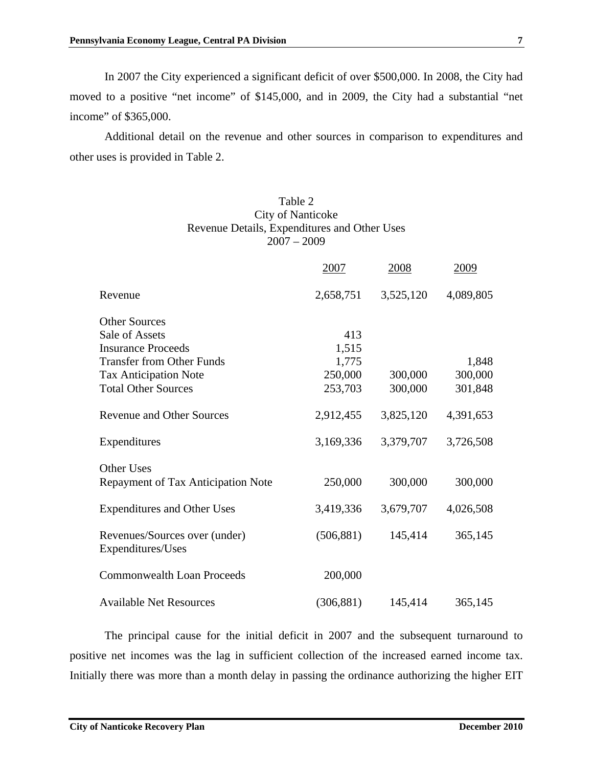In 2007 the City experienced a significant deficit of over \$500,000. In 2008, the City had moved to a positive "net income" of \$145,000, and in 2009, the City had a substantial "net income" of \$365,000.

Additional detail on the revenue and other sources in comparison to expenditures and other uses is provided in Table 2.

## Table 2 City of Nanticoke Revenue Details, Expenditures and Other Uses 2007 – 2009

|                                                    | 2007       | 2008      | 2009      |
|----------------------------------------------------|------------|-----------|-----------|
| Revenue                                            | 2,658,751  | 3,525,120 | 4,089,805 |
| <b>Other Sources</b>                               |            |           |           |
| Sale of Assets                                     | 413        |           |           |
| <b>Insurance Proceeds</b>                          | 1,515      |           |           |
| <b>Transfer from Other Funds</b>                   | 1,775      |           | 1,848     |
| <b>Tax Anticipation Note</b>                       | 250,000    | 300,000   | 300,000   |
| <b>Total Other Sources</b>                         | 253,703    | 300,000   | 301,848   |
| <b>Revenue and Other Sources</b>                   | 2,912,455  | 3,825,120 | 4,391,653 |
| Expenditures                                       | 3,169,336  | 3,379,707 | 3,726,508 |
| <b>Other Uses</b>                                  |            |           |           |
| Repayment of Tax Anticipation Note                 | 250,000    | 300,000   | 300,000   |
| <b>Expenditures and Other Uses</b>                 | 3,419,336  | 3,679,707 | 4,026,508 |
| Revenues/Sources over (under)<br>Expenditures/Uses | (506, 881) | 145,414   | 365,145   |
| <b>Commonwealth Loan Proceeds</b>                  | 200,000    |           |           |
| <b>Available Net Resources</b>                     | (306, 881) | 145,414   | 365,145   |

The principal cause for the initial deficit in 2007 and the subsequent turnaround to positive net incomes was the lag in sufficient collection of the increased earned income tax. Initially there was more than a month delay in passing the ordinance authorizing the higher EIT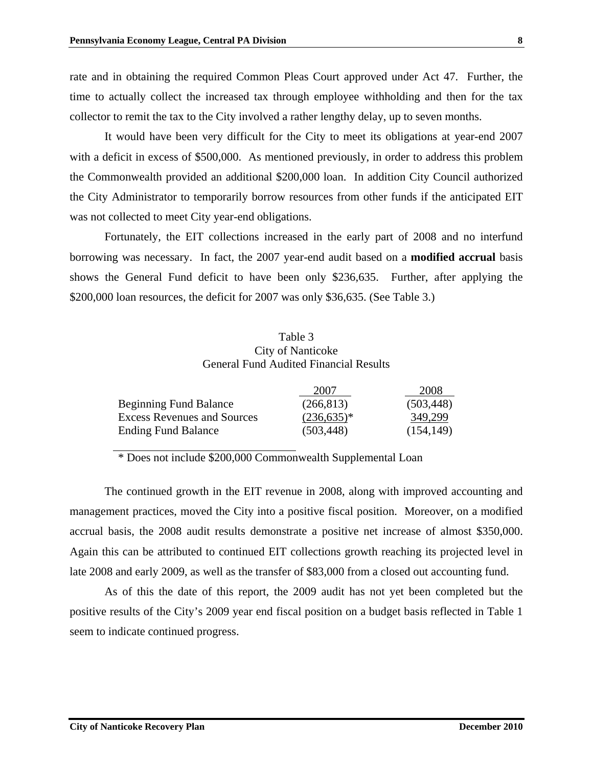rate and in obtaining the required Common Pleas Court approved under Act 47. Further, the time to actually collect the increased tax through employee withholding and then for the tax collector to remit the tax to the City involved a rather lengthy delay, up to seven months.

It would have been very difficult for the City to meet its obligations at year-end 2007 with a deficit in excess of \$500,000. As mentioned previously, in order to address this problem the Commonwealth provided an additional \$200,000 loan. In addition City Council authorized the City Administrator to temporarily borrow resources from other funds if the anticipated EIT was not collected to meet City year-end obligations.

Fortunately, the EIT collections increased in the early part of 2008 and no interfund borrowing was necessary. In fact, the 2007 year-end audit based on a **modified accrual** basis shows the General Fund deficit to have been only \$236,635. Further, after applying the \$200,000 loan resources, the deficit for 2007 was only \$36,635. (See Table 3.)

#### Table 3 City of Nanticoke General Fund Audited Financial Results

|                                    | 2007         | 2008       |
|------------------------------------|--------------|------------|
| <b>Beginning Fund Balance</b>      | (266, 813)   | (503, 448) |
| <b>Excess Revenues and Sources</b> | $(236,635)*$ | 349,299    |
| <b>Ending Fund Balance</b>         | (503, 448)   | (154, 149) |

\* Does not include \$200,000 Commonwealth Supplemental Loan

The continued growth in the EIT revenue in 2008, along with improved accounting and management practices, moved the City into a positive fiscal position. Moreover, on a modified accrual basis, the 2008 audit results demonstrate a positive net increase of almost \$350,000. Again this can be attributed to continued EIT collections growth reaching its projected level in late 2008 and early 2009, as well as the transfer of \$83,000 from a closed out accounting fund.

As of this the date of this report, the 2009 audit has not yet been completed but the positive results of the City's 2009 year end fiscal position on a budget basis reflected in Table 1 seem to indicate continued progress.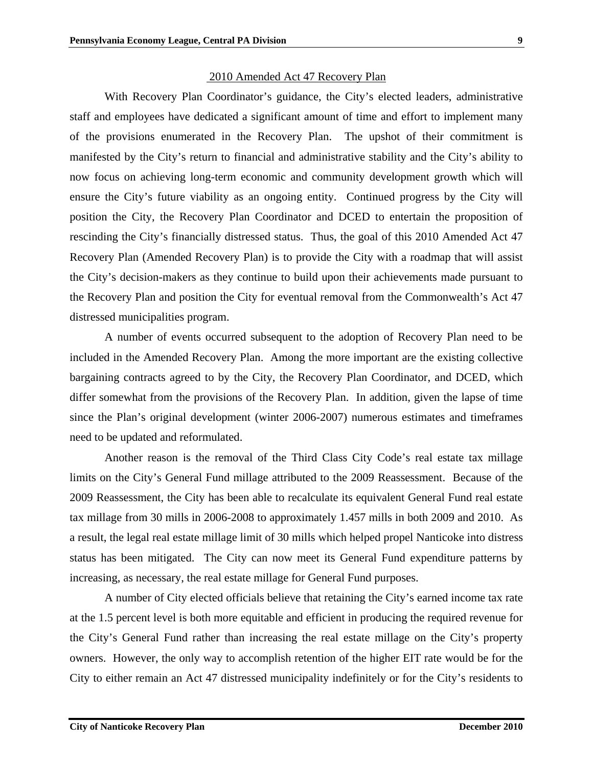#### 2010 Amended Act 47 Recovery Plan

With Recovery Plan Coordinator's guidance, the City's elected leaders, administrative staff and employees have dedicated a significant amount of time and effort to implement many of the provisions enumerated in the Recovery Plan. The upshot of their commitment is manifested by the City's return to financial and administrative stability and the City's ability to now focus on achieving long-term economic and community development growth which will ensure the City's future viability as an ongoing entity. Continued progress by the City will position the City, the Recovery Plan Coordinator and DCED to entertain the proposition of rescinding the City's financially distressed status. Thus, the goal of this 2010 Amended Act 47 Recovery Plan (Amended Recovery Plan) is to provide the City with a roadmap that will assist the City's decision-makers as they continue to build upon their achievements made pursuant to the Recovery Plan and position the City for eventual removal from the Commonwealth's Act 47 distressed municipalities program.

A number of events occurred subsequent to the adoption of Recovery Plan need to be included in the Amended Recovery Plan. Among the more important are the existing collective bargaining contracts agreed to by the City, the Recovery Plan Coordinator, and DCED, which differ somewhat from the provisions of the Recovery Plan. In addition, given the lapse of time since the Plan's original development (winter 2006-2007) numerous estimates and timeframes need to be updated and reformulated.

Another reason is the removal of the Third Class City Code's real estate tax millage limits on the City's General Fund millage attributed to the 2009 Reassessment. Because of the 2009 Reassessment, the City has been able to recalculate its equivalent General Fund real estate tax millage from 30 mills in 2006-2008 to approximately 1.457 mills in both 2009 and 2010. As a result, the legal real estate millage limit of 30 mills which helped propel Nanticoke into distress status has been mitigated. The City can now meet its General Fund expenditure patterns by increasing, as necessary, the real estate millage for General Fund purposes.

A number of City elected officials believe that retaining the City's earned income tax rate at the 1.5 percent level is both more equitable and efficient in producing the required revenue for the City's General Fund rather than increasing the real estate millage on the City's property owners. However, the only way to accomplish retention of the higher EIT rate would be for the City to either remain an Act 47 distressed municipality indefinitely or for the City's residents to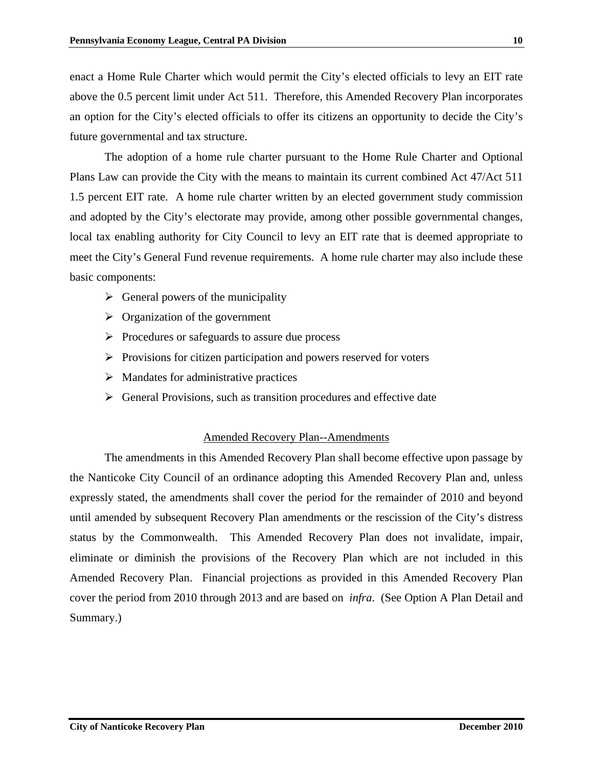enact a Home Rule Charter which would permit the City's elected officials to levy an EIT rate above the 0.5 percent limit under Act 511. Therefore, this Amended Recovery Plan incorporates an option for the City's elected officials to offer its citizens an opportunity to decide the City's future governmental and tax structure.

The adoption of a home rule charter pursuant to the Home Rule Charter and Optional Plans Law can provide the City with the means to maintain its current combined Act 47/Act 511 1.5 percent EIT rate. A home rule charter written by an elected government study commission and adopted by the City's electorate may provide, among other possible governmental changes, local tax enabling authority for City Council to levy an EIT rate that is deemed appropriate to meet the City's General Fund revenue requirements. A home rule charter may also include these basic components:

- $\triangleright$  General powers of the municipality
- $\triangleright$  Organization of the government
- $\triangleright$  Procedures or safeguards to assure due process
- $\triangleright$  Provisions for citizen participation and powers reserved for voters
- $\triangleright$  Mandates for administrative practices
- $\triangleright$  General Provisions, such as transition procedures and effective date

## Amended Recovery Plan--Amendments

The amendments in this Amended Recovery Plan shall become effective upon passage by the Nanticoke City Council of an ordinance adopting this Amended Recovery Plan and, unless expressly stated, the amendments shall cover the period for the remainder of 2010 and beyond until amended by subsequent Recovery Plan amendments or the rescission of the City's distress status by the Commonwealth. This Amended Recovery Plan does not invalidate, impair, eliminate or diminish the provisions of the Recovery Plan which are not included in this Amended Recovery Plan. Financial projections as provided in this Amended Recovery Plan cover the period from 2010 through 2013 and are based on *infra*. (See Option A Plan Detail and Summary.)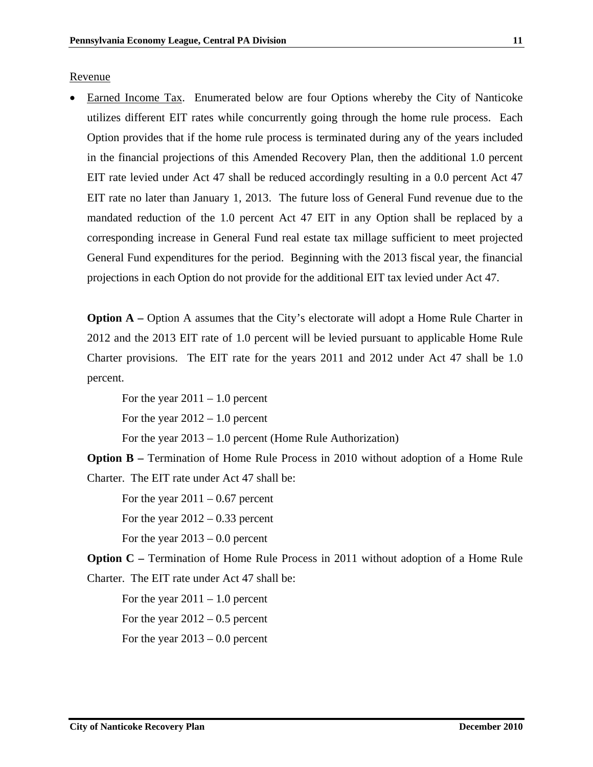#### Revenue

• Earned Income Tax. Enumerated below are four Options whereby the City of Nanticoke utilizes different EIT rates while concurrently going through the home rule process. Each Option provides that if the home rule process is terminated during any of the years included in the financial projections of this Amended Recovery Plan, then the additional 1.0 percent EIT rate levied under Act 47 shall be reduced accordingly resulting in a 0.0 percent Act 47 EIT rate no later than January 1, 2013. The future loss of General Fund revenue due to the mandated reduction of the 1.0 percent Act 47 EIT in any Option shall be replaced by a corresponding increase in General Fund real estate tax millage sufficient to meet projected General Fund expenditures for the period. Beginning with the 2013 fiscal year, the financial projections in each Option do not provide for the additional EIT tax levied under Act 47.

**Option A –** Option A assumes that the City's electorate will adopt a Home Rule Charter in 2012 and the 2013 EIT rate of 1.0 percent will be levied pursuant to applicable Home Rule Charter provisions. The EIT rate for the years 2011 and 2012 under Act 47 shall be 1.0 percent.

For the year  $2011 - 1.0$  percent

For the year  $2012 - 1.0$  percent

For the year 2013 – 1.0 percent (Home Rule Authorization)

**Option B –** Termination of Home Rule Process in 2010 without adoption of a Home Rule Charter. The EIT rate under Act 47 shall be:

For the year  $2011 - 0.67$  percent

For the year  $2012 - 0.33$  percent

For the year  $2013 - 0.0$  percent

**Option C –** Termination of Home Rule Process in 2011 without adoption of a Home Rule Charter. The EIT rate under Act 47 shall be:

For the year  $2011 - 1.0$  percent For the year  $2012 - 0.5$  percent For the year  $2013 - 0.0$  percent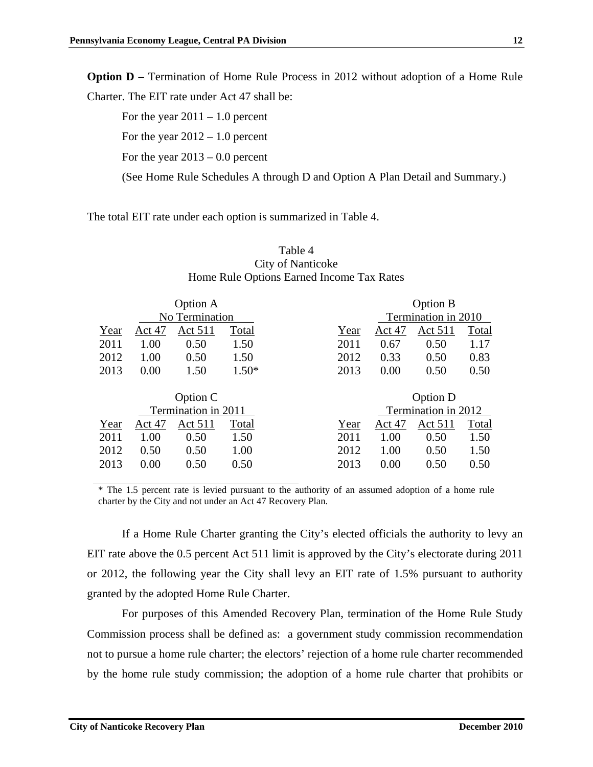**Option D –** Termination of Home Rule Process in 2012 without adoption of a Home Rule Charter. The EIT rate under Act 47 shall be:

For the year  $2011 - 1.0$  percent For the year  $2012 - 1.0$  percent For the year  $2013 - 0.0$  percent (See Home Rule Schedules A through D and Option A Plan Detail and Summary.)

The total EIT rate under each option is summarized in Table 4.

|      |        | Option A            |         |      |        | <b>Option B</b>     |       |
|------|--------|---------------------|---------|------|--------|---------------------|-------|
|      |        | No Termination      |         |      |        | Termination in 2010 |       |
| Year | Act 47 | Act 511             | Total   | Year | Act 47 | Act 511             | Total |
| 2011 | 1.00   | 0.50                | 1.50    | 2011 | 0.67   | 0.50                | 1.17  |
| 2012 | 1.00   | 0.50                | 1.50    | 2012 | 0.33   | 0.50                | 0.83  |
| 2013 | 0.00   | 1.50                | $1.50*$ | 2013 | 0.00   | 0.50                | 0.50  |
|      |        |                     |         |      |        |                     |       |
|      |        | Option C            |         |      |        | Option D            |       |
|      |        | Termination in 2011 |         |      |        | Termination in 2012 |       |
| Year | Act 47 | Act 511             | Total   | Year | Act 47 | Act 511             | Total |
| 2011 | 1.00   | 0.50                | 1.50    | 2011 | 1.00   | 0.50                | 1.50  |
| 2012 | 0.50   | 0.50                | 1.00    | 2012 | 1.00   | 0.50                | 1.50  |
| 2013 | 0.00   | 0.50                | 0.50    | 2013 | 0.00   | 0.50                | 0.50  |
|      |        |                     |         |      |        |                     |       |

# Table 4 City of Nanticoke Home Rule Options Earned Income Tax Rates

\* The 1.5 percent rate is levied pursuant to the authority of an assumed adoption of a home rule charter by the City and not under an Act 47 Recovery Plan.

If a Home Rule Charter granting the City's elected officials the authority to levy an EIT rate above the 0.5 percent Act 511 limit is approved by the City's electorate during 2011 or 2012, the following year the City shall levy an EIT rate of 1.5% pursuant to authority granted by the adopted Home Rule Charter.

 For purposes of this Amended Recovery Plan, termination of the Home Rule Study Commission process shall be defined as: a government study commission recommendation not to pursue a home rule charter; the electors' rejection of a home rule charter recommended by the home rule study commission; the adoption of a home rule charter that prohibits or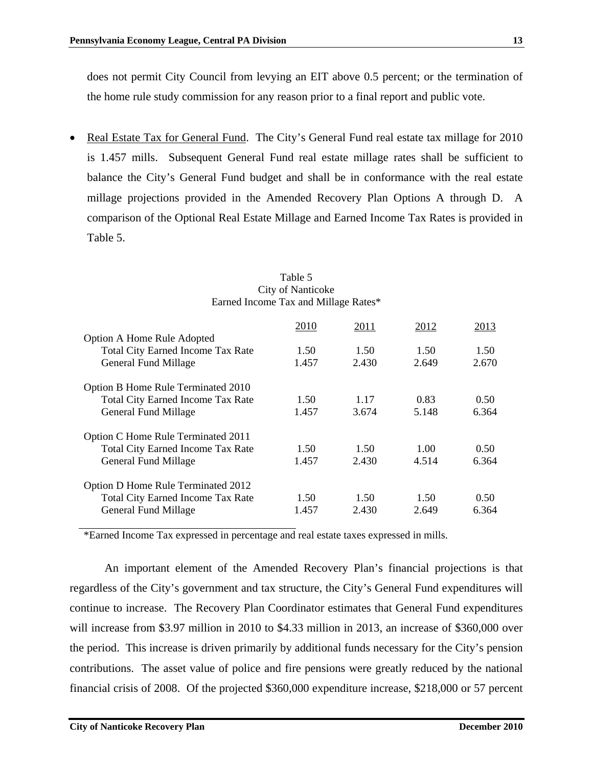does not permit City Council from levying an EIT above 0.5 percent; or the termination of the home rule study commission for any reason prior to a final report and public vote.

• Real Estate Tax for General Fund. The City's General Fund real estate tax millage for 2010 is 1.457 mills. Subsequent General Fund real estate millage rates shall be sufficient to balance the City's General Fund budget and shall be in conformance with the real estate millage projections provided in the Amended Recovery Plan Options A through D. A comparison of the Optional Real Estate Millage and Earned Income Tax Rates is provided in Table 5.

| Option A Home Rule Adopted               | 2010  | 2011  | 2012  | 2013  |
|------------------------------------------|-------|-------|-------|-------|
| <b>Total City Earned Income Tax Rate</b> | 1.50  | 1.50  | 1.50  | 1.50  |
| <b>General Fund Millage</b>              | 1.457 | 2.430 | 2.649 | 2.670 |
| Option B Home Rule Terminated 2010       |       |       |       |       |
| <b>Total City Earned Income Tax Rate</b> | 1.50  | 1.17  | 0.83  | 0.50  |
| <b>General Fund Millage</b>              | 1.457 | 3.674 | 5.148 | 6.364 |
| Option C Home Rule Terminated 2011       |       |       |       |       |
| <b>Total City Earned Income Tax Rate</b> | 1.50  | 1.50  | 1.00  | 0.50  |
| <b>General Fund Millage</b>              | 1.457 | 2.430 | 4.514 | 6.364 |
| Option D Home Rule Terminated 2012       |       |       |       |       |
| <b>Total City Earned Income Tax Rate</b> | 1.50  | 1.50  | 1.50  | 0.50  |
| <b>General Fund Millage</b>              | 1.457 | 2.430 | 2.649 | 6.364 |

#### Table 5 City of Nanticoke Earned Income Tax and Millage Rates\*

\*Earned Income Tax expressed in percentage and real estate taxes expressed in mills.

 An important element of the Amended Recovery Plan's financial projections is that regardless of the City's government and tax structure, the City's General Fund expenditures will continue to increase. The Recovery Plan Coordinator estimates that General Fund expenditures will increase from \$3.97 million in 2010 to \$4.33 million in 2013, an increase of \$360,000 over the period. This increase is driven primarily by additional funds necessary for the City's pension contributions. The asset value of police and fire pensions were greatly reduced by the national financial crisis of 2008. Of the projected \$360,000 expenditure increase, \$218,000 or 57 percent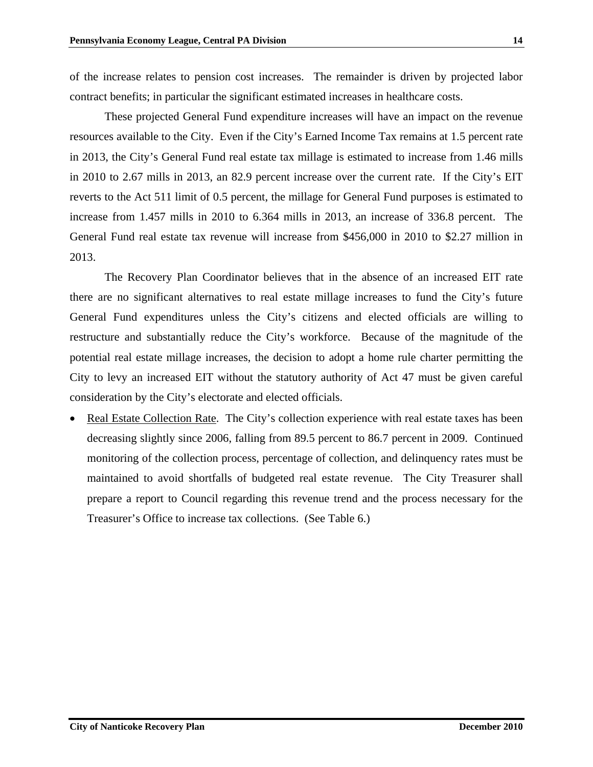of the increase relates to pension cost increases. The remainder is driven by projected labor contract benefits; in particular the significant estimated increases in healthcare costs.

These projected General Fund expenditure increases will have an impact on the revenue resources available to the City. Even if the City's Earned Income Tax remains at 1.5 percent rate in 2013, the City's General Fund real estate tax millage is estimated to increase from 1.46 mills in 2010 to 2.67 mills in 2013, an 82.9 percent increase over the current rate. If the City's EIT reverts to the Act 511 limit of 0.5 percent, the millage for General Fund purposes is estimated to increase from 1.457 mills in 2010 to 6.364 mills in 2013, an increase of 336.8 percent. The General Fund real estate tax revenue will increase from \$456,000 in 2010 to \$2.27 million in 2013.

The Recovery Plan Coordinator believes that in the absence of an increased EIT rate there are no significant alternatives to real estate millage increases to fund the City's future General Fund expenditures unless the City's citizens and elected officials are willing to restructure and substantially reduce the City's workforce. Because of the magnitude of the potential real estate millage increases, the decision to adopt a home rule charter permitting the City to levy an increased EIT without the statutory authority of Act 47 must be given careful consideration by the City's electorate and elected officials.

Real Estate Collection Rate. The City's collection experience with real estate taxes has been decreasing slightly since 2006, falling from 89.5 percent to 86.7 percent in 2009. Continued monitoring of the collection process, percentage of collection, and delinquency rates must be maintained to avoid shortfalls of budgeted real estate revenue. The City Treasurer shall prepare a report to Council regarding this revenue trend and the process necessary for the Treasurer's Office to increase tax collections. (See Table 6.)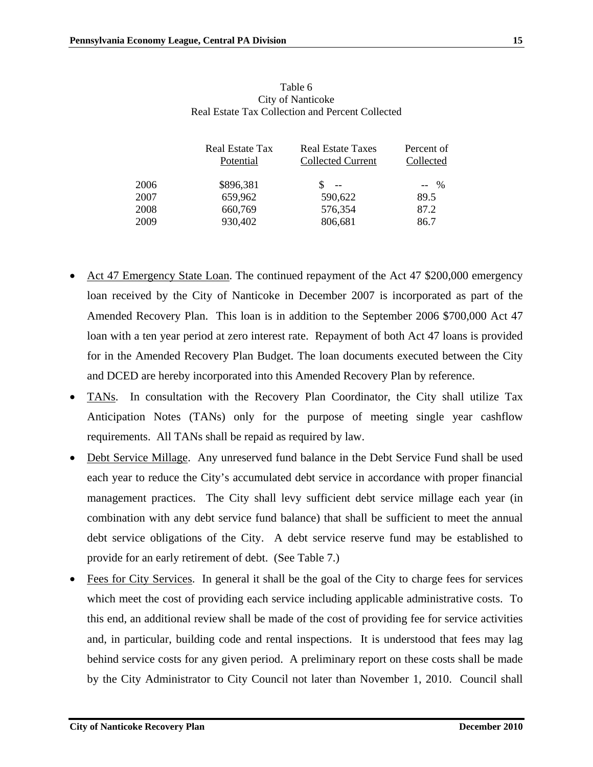| Real Estate Tax<br><b>Real Estate Taxes</b> | Percent of |
|---------------------------------------------|------------|
| Potential<br>Collected Current              | Collected  |
| \$896,381<br>2006                           | $-$ %      |
| 2007<br>590,622<br>659,962                  | 89.5       |
| 2008<br>576,354<br>660,769                  | 87.2       |
| 2009<br>930,402<br>806,681                  | 86.7       |

| Table 6                                          |
|--------------------------------------------------|
| City of Nanticoke                                |
| Real Estate Tax Collection and Percent Collected |

 $\overline{\phantom{a}}$  .

- Act 47 Emergency State Loan. The continued repayment of the Act 47 \$200,000 emergency loan received by the City of Nanticoke in December 2007 is incorporated as part of the Amended Recovery Plan. This loan is in addition to the September 2006 \$700,000 Act 47 loan with a ten year period at zero interest rate. Repayment of both Act 47 loans is provided for in the Amended Recovery Plan Budget. The loan documents executed between the City and DCED are hereby incorporated into this Amended Recovery Plan by reference.
- TANs. In consultation with the Recovery Plan Coordinator, the City shall utilize Tax Anticipation Notes (TANs) only for the purpose of meeting single year cashflow requirements. All TANs shall be repaid as required by law.
- Debt Service Millage. Any unreserved fund balance in the Debt Service Fund shall be used each year to reduce the City's accumulated debt service in accordance with proper financial management practices. The City shall levy sufficient debt service millage each year (in combination with any debt service fund balance) that shall be sufficient to meet the annual debt service obligations of the City. A debt service reserve fund may be established to provide for an early retirement of debt. (See Table 7.)
- Fees for City Services. In general it shall be the goal of the City to charge fees for services which meet the cost of providing each service including applicable administrative costs. To this end, an additional review shall be made of the cost of providing fee for service activities and, in particular, building code and rental inspections. It is understood that fees may lag behind service costs for any given period. A preliminary report on these costs shall be made by the City Administrator to City Council not later than November 1, 2010. Council shall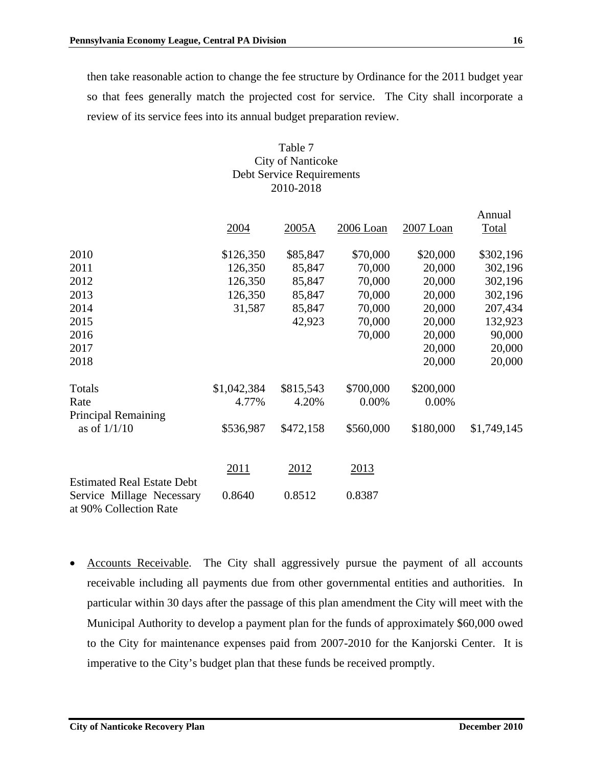then take reasonable action to change the fee structure by Ordinance for the 2011 budget year so that fees generally match the projected cost for service. The City shall incorporate a review of its service fees into its annual budget preparation review.

#### Table 7 City of Nanticoke Debt Service Requirements 2010-2018

|                                                                                          | 2004        | 2005A     | 2006 Loan | 2007 Loan | Annual<br>Total |
|------------------------------------------------------------------------------------------|-------------|-----------|-----------|-----------|-----------------|
| 2010                                                                                     | \$126,350   | \$85,847  | \$70,000  | \$20,000  | \$302,196       |
| 2011                                                                                     | 126,350     | 85,847    | 70,000    | 20,000    | 302,196         |
| 2012                                                                                     | 126,350     | 85,847    | 70,000    | 20,000    | 302,196         |
| 2013                                                                                     | 126,350     | 85,847    | 70,000    | 20,000    | 302,196         |
| 2014                                                                                     | 31,587      | 85,847    | 70,000    | 20,000    | 207,434         |
| 2015                                                                                     |             | 42,923    | 70,000    | 20,000    | 132,923         |
| 2016                                                                                     |             |           | 70,000    | 20,000    | 90,000          |
| 2017                                                                                     |             |           |           | 20,000    | 20,000          |
| 2018                                                                                     |             |           |           | 20,000    | 20,000          |
| Totals                                                                                   | \$1,042,384 | \$815,543 | \$700,000 | \$200,000 |                 |
| Rate                                                                                     | 4.77%       | 4.20%     | 0.00%     | 0.00%     |                 |
| <b>Principal Remaining</b>                                                               |             |           |           |           |                 |
| as of $1/1/10$                                                                           | \$536,987   | \$472,158 | \$560,000 | \$180,000 | \$1,749,145     |
|                                                                                          | 2011        | 2012      | 2013      |           |                 |
| <b>Estimated Real Estate Debt</b><br>Service Millage Necessary<br>at 90% Collection Rate | 0.8640      | 0.8512    | 0.8387    |           |                 |

• Accounts Receivable. The City shall aggressively pursue the payment of all accounts receivable including all payments due from other governmental entities and authorities. In particular within 30 days after the passage of this plan amendment the City will meet with the Municipal Authority to develop a payment plan for the funds of approximately \$60,000 owed to the City for maintenance expenses paid from 2007-2010 for the Kanjorski Center. It is imperative to the City's budget plan that these funds be received promptly.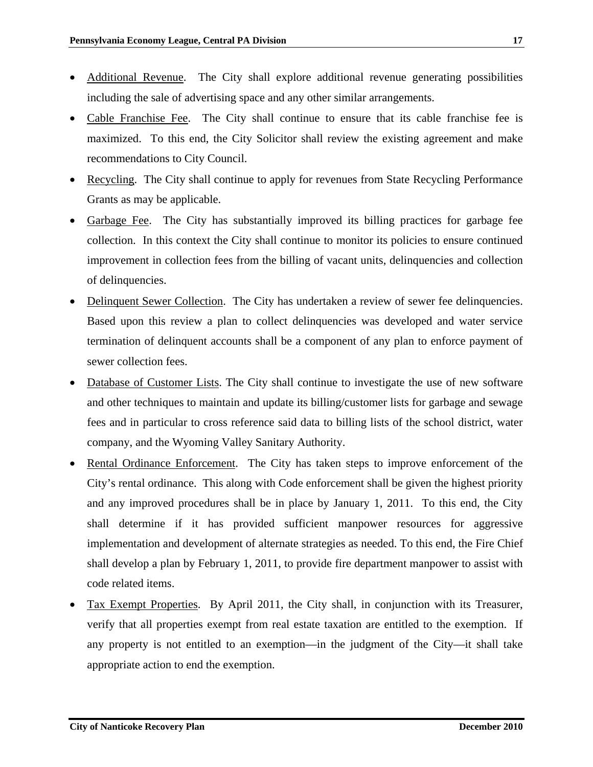- Additional Revenue. The City shall explore additional revenue generating possibilities including the sale of advertising space and any other similar arrangements.
- Cable Franchise Fee. The City shall continue to ensure that its cable franchise fee is maximized. To this end, the City Solicitor shall review the existing agreement and make recommendations to City Council.
- Recycling. The City shall continue to apply for revenues from State Recycling Performance Grants as may be applicable.
- Garbage Fee. The City has substantially improved its billing practices for garbage fee collection. In this context the City shall continue to monitor its policies to ensure continued improvement in collection fees from the billing of vacant units, delinquencies and collection of delinquencies.
- Delinquent Sewer Collection. The City has undertaken a review of sewer fee delinquencies. Based upon this review a plan to collect delinquencies was developed and water service termination of delinquent accounts shall be a component of any plan to enforce payment of sewer collection fees.
- Database of Customer Lists. The City shall continue to investigate the use of new software and other techniques to maintain and update its billing/customer lists for garbage and sewage fees and in particular to cross reference said data to billing lists of the school district, water company, and the Wyoming Valley Sanitary Authority.
- Rental Ordinance Enforcement. The City has taken steps to improve enforcement of the City's rental ordinance. This along with Code enforcement shall be given the highest priority and any improved procedures shall be in place by January 1, 2011. To this end, the City shall determine if it has provided sufficient manpower resources for aggressive implementation and development of alternate strategies as needed. To this end, the Fire Chief shall develop a plan by February 1, 2011, to provide fire department manpower to assist with code related items.
- Tax Exempt Properties. By April 2011, the City shall, in conjunction with its Treasurer, verify that all properties exempt from real estate taxation are entitled to the exemption. If any property is not entitled to an exemption—in the judgment of the City—it shall take appropriate action to end the exemption.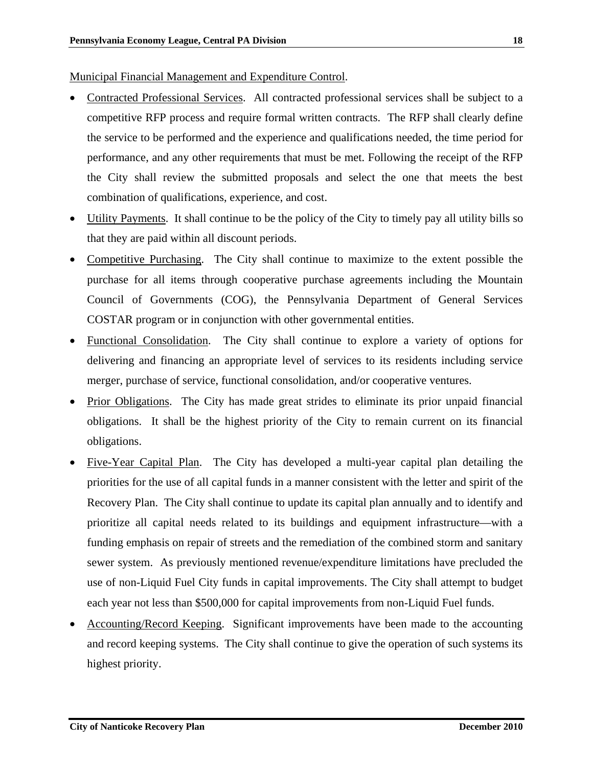Municipal Financial Management and Expenditure Control.

- Contracted Professional Services. All contracted professional services shall be subject to a competitive RFP process and require formal written contracts.The RFP shall clearly define the service to be performed and the experience and qualifications needed, the time period for performance, and any other requirements that must be met. Following the receipt of the RFP the City shall review the submitted proposals and select the one that meets the best combination of qualifications, experience, and cost.
- Utility Payments. It shall continue to be the policy of the City to timely pay all utility bills so that they are paid within all discount periods.
- Competitive Purchasing. The City shall continue to maximize to the extent possible the purchase for all items through cooperative purchase agreements including the Mountain Council of Governments (COG), the Pennsylvania Department of General Services COSTAR program or in conjunction with other governmental entities.
- Functional Consolidation. The City shall continue to explore a variety of options for delivering and financing an appropriate level of services to its residents including service merger, purchase of service, functional consolidation, and/or cooperative ventures.
- Prior Obligations. The City has made great strides to eliminate its prior unpaid financial obligations. It shall be the highest priority of the City to remain current on its financial obligations.
- Five-Year Capital Plan. The City has developed a multi-year capital plan detailing the priorities for the use of all capital funds in a manner consistent with the letter and spirit of the Recovery Plan. The City shall continue to update its capital plan annually and to identify and prioritize all capital needs related to its buildings and equipment infrastructure—with a funding emphasis on repair of streets and the remediation of the combined storm and sanitary sewer system. As previously mentioned revenue/expenditure limitations have precluded the use of non-Liquid Fuel City funds in capital improvements. The City shall attempt to budget each year not less than \$500,000 for capital improvements from non-Liquid Fuel funds.
- Accounting/Record Keeping. Significant improvements have been made to the accounting and record keeping systems. The City shall continue to give the operation of such systems its highest priority.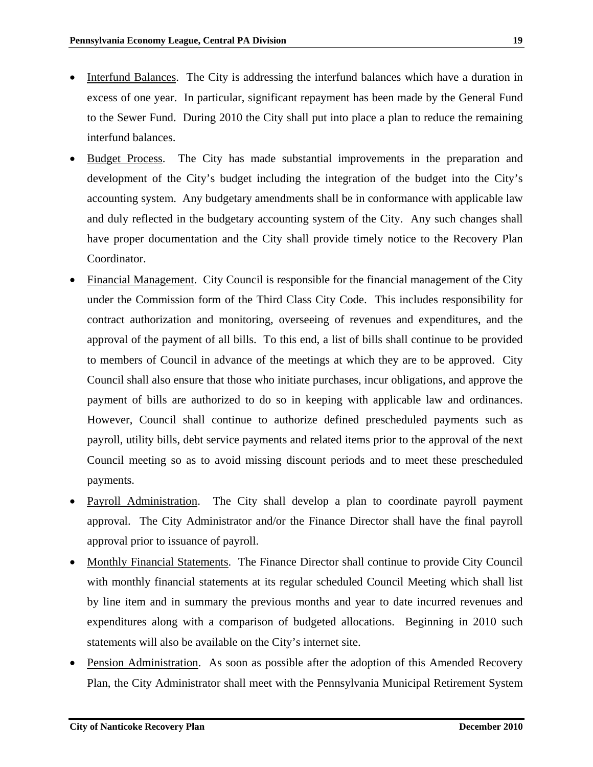- Interfund Balances. The City is addressing the interfund balances which have a duration in excess of one year. In particular, significant repayment has been made by the General Fund to the Sewer Fund. During 2010 the City shall put into place a plan to reduce the remaining interfund balances.
- Budget Process. The City has made substantial improvements in the preparation and development of the City's budget including the integration of the budget into the City's accounting system. Any budgetary amendments shall be in conformance with applicable law and duly reflected in the budgetary accounting system of the City. Any such changes shall have proper documentation and the City shall provide timely notice to the Recovery Plan Coordinator.
- Financial Management. City Council is responsible for the financial management of the City under the Commission form of the Third Class City Code. This includes responsibility for contract authorization and monitoring, overseeing of revenues and expenditures, and the approval of the payment of all bills. To this end, a list of bills shall continue to be provided to members of Council in advance of the meetings at which they are to be approved. City Council shall also ensure that those who initiate purchases, incur obligations, and approve the payment of bills are authorized to do so in keeping with applicable law and ordinances. However, Council shall continue to authorize defined prescheduled payments such as payroll, utility bills, debt service payments and related items prior to the approval of the next Council meeting so as to avoid missing discount periods and to meet these prescheduled payments.
- Payroll Administration. The City shall develop a plan to coordinate payroll payment approval. The City Administrator and/or the Finance Director shall have the final payroll approval prior to issuance of payroll.
- Monthly Financial Statements. The Finance Director shall continue to provide City Council with monthly financial statements at its regular scheduled Council Meeting which shall list by line item and in summary the previous months and year to date incurred revenues and expenditures along with a comparison of budgeted allocations. Beginning in 2010 such statements will also be available on the City's internet site.
- Pension Administration. As soon as possible after the adoption of this Amended Recovery Plan, the City Administrator shall meet with the Pennsylvania Municipal Retirement System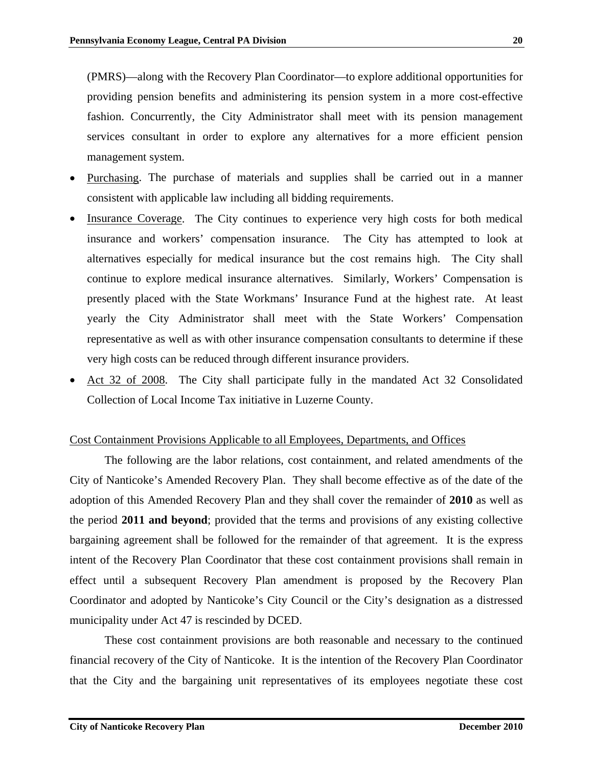(PMRS)—along with the Recovery Plan Coordinator—to explore additional opportunities for providing pension benefits and administering its pension system in a more cost-effective fashion. Concurrently, the City Administrator shall meet with its pension management services consultant in order to explore any alternatives for a more efficient pension management system.

- Purchasing. The purchase of materials and supplies shall be carried out in a manner consistent with applicable law including all bidding requirements.
- Insurance Coverage. The City continues to experience very high costs for both medical insurance and workers' compensation insurance. The City has attempted to look at alternatives especially for medical insurance but the cost remains high. The City shall continue to explore medical insurance alternatives. Similarly, Workers' Compensation is presently placed with the State Workmans' Insurance Fund at the highest rate. At least yearly the City Administrator shall meet with the State Workers' Compensation representative as well as with other insurance compensation consultants to determine if these very high costs can be reduced through different insurance providers.
- Act 32 of 2008. The City shall participate fully in the mandated Act 32 Consolidated Collection of Local Income Tax initiative in Luzerne County.

## Cost Containment Provisions Applicable to all Employees, Departments, and Offices

 The following are the labor relations, cost containment, and related amendments of the City of Nanticoke's Amended Recovery Plan. They shall become effective as of the date of the adoption of this Amended Recovery Plan and they shall cover the remainder of **2010** as well as the period **2011 and beyond**; provided that the terms and provisions of any existing collective bargaining agreement shall be followed for the remainder of that agreement. It is the express intent of the Recovery Plan Coordinator that these cost containment provisions shall remain in effect until a subsequent Recovery Plan amendment is proposed by the Recovery Plan Coordinator and adopted by Nanticoke's City Council or the City's designation as a distressed municipality under Act 47 is rescinded by DCED.

These cost containment provisions are both reasonable and necessary to the continued financial recovery of the City of Nanticoke. It is the intention of the Recovery Plan Coordinator that the City and the bargaining unit representatives of its employees negotiate these cost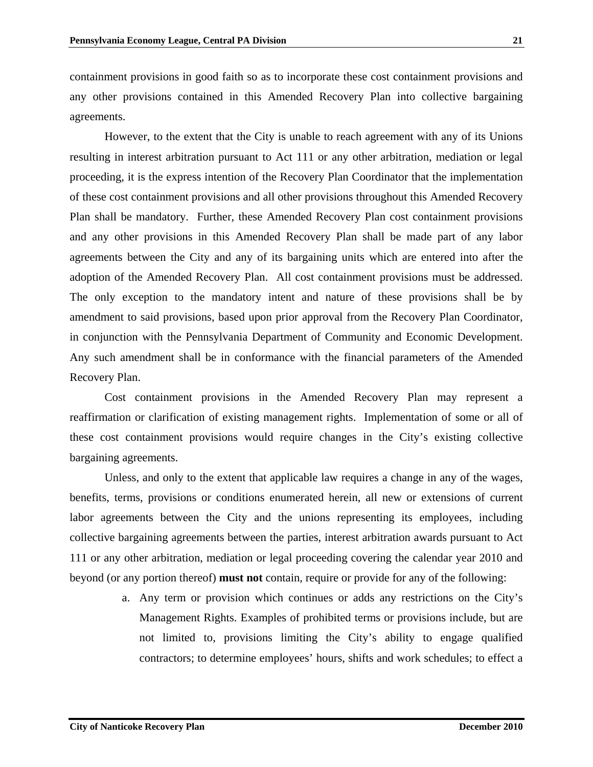containment provisions in good faith so as to incorporate these cost containment provisions and any other provisions contained in this Amended Recovery Plan into collective bargaining agreements.

 However, to the extent that the City is unable to reach agreement with any of its Unions resulting in interest arbitration pursuant to Act 111 or any other arbitration, mediation or legal proceeding, it is the express intention of the Recovery Plan Coordinator that the implementation of these cost containment provisions and all other provisions throughout this Amended Recovery Plan shall be mandatory. Further, these Amended Recovery Plan cost containment provisions and any other provisions in this Amended Recovery Plan shall be made part of any labor agreements between the City and any of its bargaining units which are entered into after the adoption of the Amended Recovery Plan. All cost containment provisions must be addressed. The only exception to the mandatory intent and nature of these provisions shall be by amendment to said provisions, based upon prior approval from the Recovery Plan Coordinator, in conjunction with the Pennsylvania Department of Community and Economic Development. Any such amendment shall be in conformance with the financial parameters of the Amended Recovery Plan.

Cost containment provisions in the Amended Recovery Plan may represent a reaffirmation or clarification of existing management rights. Implementation of some or all of these cost containment provisions would require changes in the City's existing collective bargaining agreements.

Unless, and only to the extent that applicable law requires a change in any of the wages, benefits, terms, provisions or conditions enumerated herein, all new or extensions of current labor agreements between the City and the unions representing its employees, including collective bargaining agreements between the parties, interest arbitration awards pursuant to Act 111 or any other arbitration, mediation or legal proceeding covering the calendar year 2010 and beyond (or any portion thereof) **must not** contain, require or provide for any of the following:

> a. Any term or provision which continues or adds any restrictions on the City's Management Rights. Examples of prohibited terms or provisions include, but are not limited to, provisions limiting the City's ability to engage qualified contractors; to determine employees' hours, shifts and work schedules; to effect a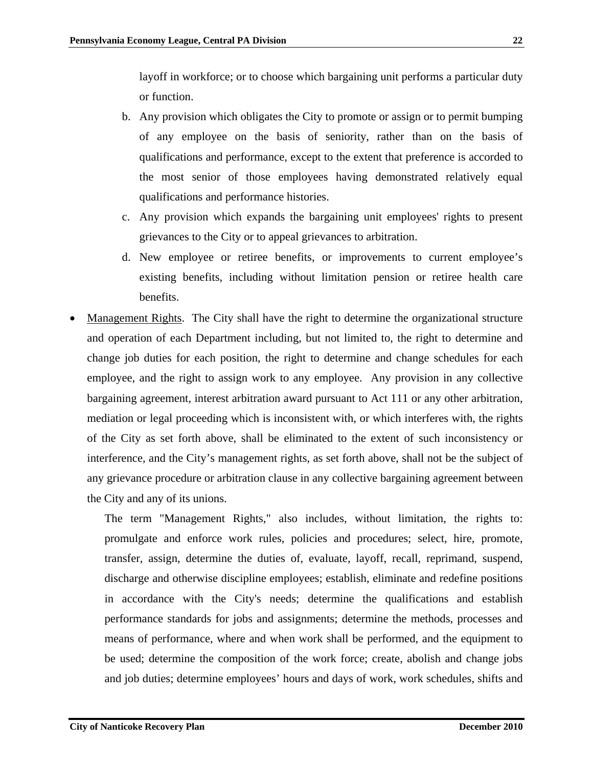layoff in workforce; or to choose which bargaining unit performs a particular duty or function.

- b. Any provision which obligates the City to promote or assign or to permit bumping of any employee on the basis of seniority, rather than on the basis of qualifications and performance, except to the extent that preference is accorded to the most senior of those employees having demonstrated relatively equal qualifications and performance histories.
- c. Any provision which expands the bargaining unit employees' rights to present grievances to the City or to appeal grievances to arbitration.
- d. New employee or retiree benefits, or improvements to current employee's existing benefits, including without limitation pension or retiree health care benefits.
- Management Rights. The City shall have the right to determine the organizational structure and operation of each Department including, but not limited to, the right to determine and change job duties for each position, the right to determine and change schedules for each employee, and the right to assign work to any employee. Any provision in any collective bargaining agreement, interest arbitration award pursuant to Act 111 or any other arbitration, mediation or legal proceeding which is inconsistent with, or which interferes with, the rights of the City as set forth above, shall be eliminated to the extent of such inconsistency or interference, and the City's management rights, as set forth above, shall not be the subject of any grievance procedure or arbitration clause in any collective bargaining agreement between the City and any of its unions.

 The term "Management Rights," also includes, without limitation, the rights to: promulgate and enforce work rules, policies and procedures; select, hire, promote, transfer, assign, determine the duties of, evaluate, layoff, recall, reprimand, suspend, discharge and otherwise discipline employees; establish, eliminate and redefine positions in accordance with the City's needs; determine the qualifications and establish performance standards for jobs and assignments; determine the methods, processes and means of performance, where and when work shall be performed, and the equipment to be used; determine the composition of the work force; create, abolish and change jobs and job duties; determine employees' hours and days of work, work schedules, shifts and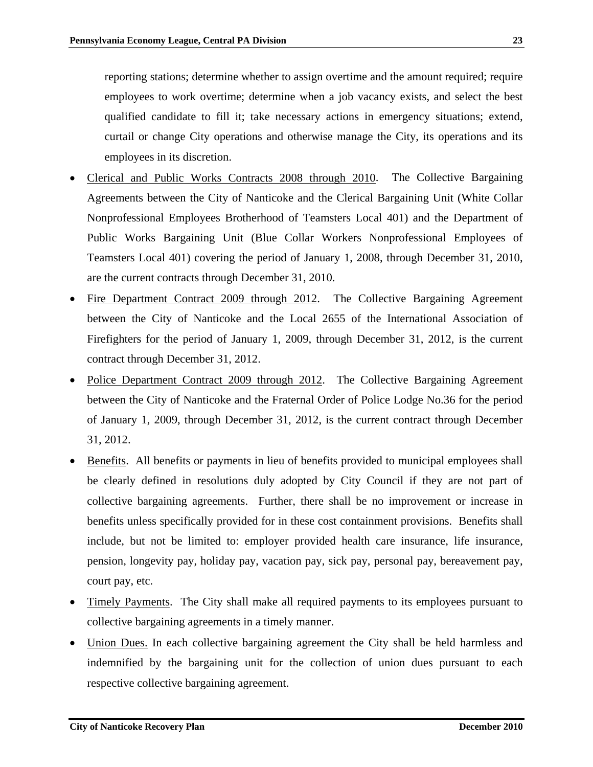reporting stations; determine whether to assign overtime and the amount required; require employees to work overtime; determine when a job vacancy exists, and select the best qualified candidate to fill it; take necessary actions in emergency situations; extend, curtail or change City operations and otherwise manage the City, its operations and its employees in its discretion.

- Clerical and Public Works Contracts 2008 through 2010. The Collective Bargaining Agreements between the City of Nanticoke and the Clerical Bargaining Unit (White Collar Nonprofessional Employees Brotherhood of Teamsters Local 401) and the Department of Public Works Bargaining Unit (Blue Collar Workers Nonprofessional Employees of Teamsters Local 401) covering the period of January 1, 2008, through December 31, 2010, are the current contracts through December 31, 2010.
- Fire Department Contract 2009 through 2012. The Collective Bargaining Agreement between the City of Nanticoke and the Local 2655 of the International Association of Firefighters for the period of January 1, 2009, through December 31, 2012, is the current contract through December 31, 2012.
- Police Department Contract 2009 through 2012. The Collective Bargaining Agreement between the City of Nanticoke and the Fraternal Order of Police Lodge No.36 for the period of January 1, 2009, through December 31, 2012, is the current contract through December 31, 2012.
- Benefits. All benefits or payments in lieu of benefits provided to municipal employees shall be clearly defined in resolutions duly adopted by City Council if they are not part of collective bargaining agreements. Further, there shall be no improvement or increase in benefits unless specifically provided for in these cost containment provisions. Benefits shall include, but not be limited to: employer provided health care insurance, life insurance, pension, longevity pay, holiday pay, vacation pay, sick pay, personal pay, bereavement pay, court pay, etc.
- Timely Payments. The City shall make all required payments to its employees pursuant to collective bargaining agreements in a timely manner.
- Union Dues. In each collective bargaining agreement the City shall be held harmless and indemnified by the bargaining unit for the collection of union dues pursuant to each respective collective bargaining agreement.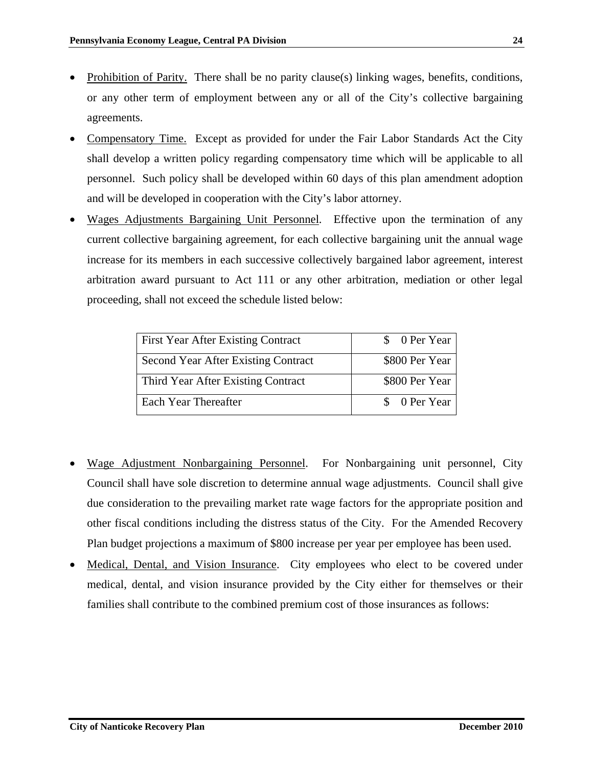- Prohibition of Parity. There shall be no parity clause(s) linking wages, benefits, conditions, or any other term of employment between any or all of the City's collective bargaining agreements.
- Compensatory Time. Except as provided for under the Fair Labor Standards Act the City shall develop a written policy regarding compensatory time which will be applicable to all personnel. Such policy shall be developed within 60 days of this plan amendment adoption and will be developed in cooperation with the City's labor attorney.
- Wages Adjustments Bargaining Unit Personnel. Effective upon the termination of any current collective bargaining agreement, for each collective bargaining unit the annual wage increase for its members in each successive collectively bargained labor agreement, interest arbitration award pursuant to Act 111 or any other arbitration, mediation or other legal proceeding, shall not exceed the schedule listed below:

| First Year After Existing Contract         | \$ 0 Per Year  |
|--------------------------------------------|----------------|
| <b>Second Year After Existing Contract</b> | \$800 Per Year |
| Third Year After Existing Contract         | \$800 Per Year |
| Each Year Thereafter                       | \$ 0 Per Year  |

- Wage Adjustment Nonbargaining Personnel. For Nonbargaining unit personnel, City Council shall have sole discretion to determine annual wage adjustments. Council shall give due consideration to the prevailing market rate wage factors for the appropriate position and other fiscal conditions including the distress status of the City. For the Amended Recovery Plan budget projections a maximum of \$800 increase per year per employee has been used.
- Medical, Dental, and Vision Insurance. City employees who elect to be covered under medical, dental, and vision insurance provided by the City either for themselves or their families shall contribute to the combined premium cost of those insurances as follows: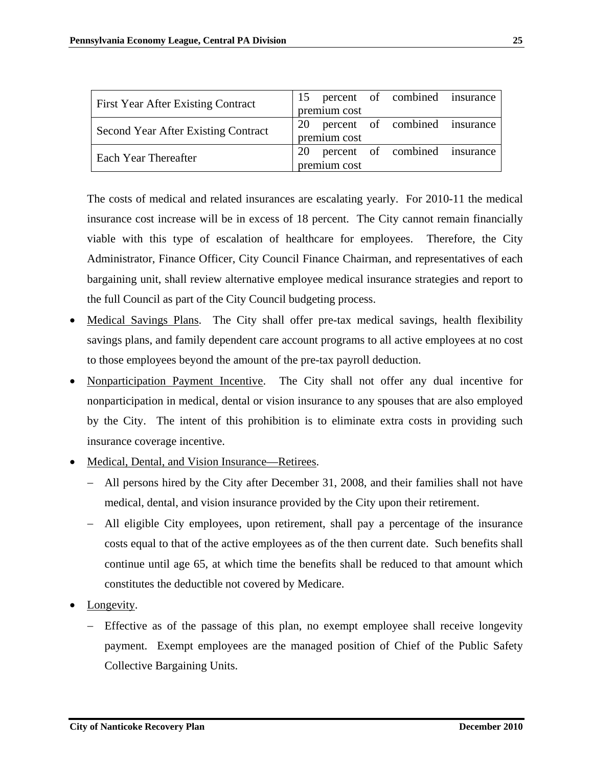| <b>First Year After Existing Contract</b>  | percent of combined insurance<br>15 |
|--------------------------------------------|-------------------------------------|
|                                            | premium cost                        |
| <b>Second Year After Existing Contract</b> | percent of combined insurance<br>20 |
|                                            | premium cost                        |
| Each Year Thereafter                       | percent of combined insurance<br>20 |
|                                            | premium cost                        |

 The costs of medical and related insurances are escalating yearly. For 2010-11 the medical insurance cost increase will be in excess of 18 percent. The City cannot remain financially viable with this type of escalation of healthcare for employees. Therefore, the City Administrator, Finance Officer, City Council Finance Chairman, and representatives of each bargaining unit, shall review alternative employee medical insurance strategies and report to the full Council as part of the City Council budgeting process.

- Medical Savings Plans. The City shall offer pre-tax medical savings, health flexibility savings plans, and family dependent care account programs to all active employees at no cost to those employees beyond the amount of the pre-tax payroll deduction.
- Nonparticipation Payment Incentive. The City shall not offer any dual incentive for nonparticipation in medical, dental or vision insurance to any spouses that are also employed by the City. The intent of this prohibition is to eliminate extra costs in providing such insurance coverage incentive.
- Medical, Dental, and Vision Insurance—Retirees.
	- − All persons hired by the City after December 31, 2008, and their families shall not have medical, dental, and vision insurance provided by the City upon their retirement.
	- − All eligible City employees, upon retirement, shall pay a percentage of the insurance costs equal to that of the active employees as of the then current date. Such benefits shall continue until age 65, at which time the benefits shall be reduced to that amount which constitutes the deductible not covered by Medicare.
- Longevity.
	- − Effective as of the passage of this plan, no exempt employee shall receive longevity payment. Exempt employees are the managed position of Chief of the Public Safety Collective Bargaining Units.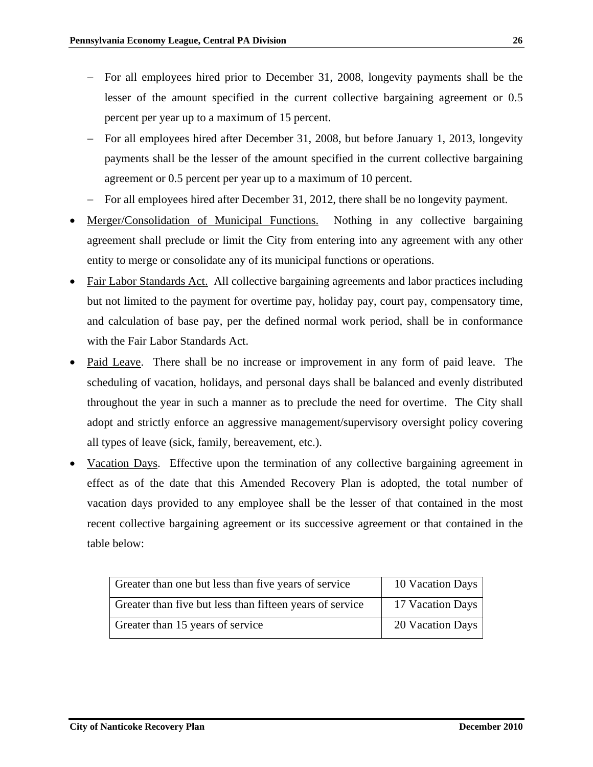- − For all employees hired prior to December 31, 2008, longevity payments shall be the lesser of the amount specified in the current collective bargaining agreement or 0.5 percent per year up to a maximum of 15 percent.
- − For all employees hired after December 31, 2008, but before January 1, 2013, longevity payments shall be the lesser of the amount specified in the current collective bargaining agreement or 0.5 percent per year up to a maximum of 10 percent.
- − For all employees hired after December 31, 2012, there shall be no longevity payment.
- Merger/Consolidation of Municipal Functions. Nothing in any collective bargaining agreement shall preclude or limit the City from entering into any agreement with any other entity to merge or consolidate any of its municipal functions or operations.
- Fair Labor Standards Act. All collective bargaining agreements and labor practices including but not limited to the payment for overtime pay, holiday pay, court pay, compensatory time, and calculation of base pay, per the defined normal work period, shall be in conformance with the Fair Labor Standards Act.
- Paid Leave. There shall be no increase or improvement in any form of paid leave. The scheduling of vacation, holidays, and personal days shall be balanced and evenly distributed throughout the year in such a manner as to preclude the need for overtime. The City shall adopt and strictly enforce an aggressive management/supervisory oversight policy covering all types of leave (sick, family, bereavement, etc.).
- Vacation Days. Effective upon the termination of any collective bargaining agreement in effect as of the date that this Amended Recovery Plan is adopted, the total number of vacation days provided to any employee shall be the lesser of that contained in the most recent collective bargaining agreement or its successive agreement or that contained in the table below:

| Greater than one but less than five years of service     | 10 Vacation Days |
|----------------------------------------------------------|------------------|
| Greater than five but less than fifteen years of service | 17 Vacation Days |
| Greater than 15 years of service                         | 20 Vacation Days |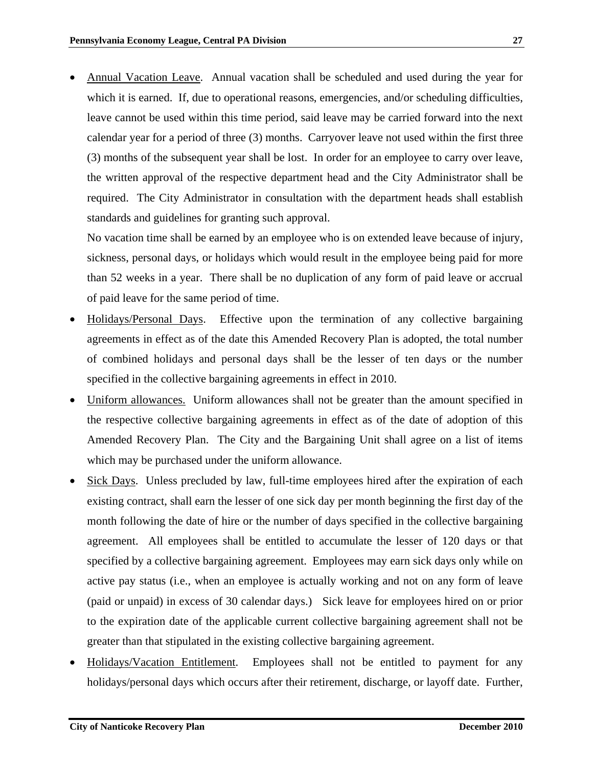• Annual Vacation Leave. Annual vacation shall be scheduled and used during the year for which it is earned. If, due to operational reasons, emergencies, and/or scheduling difficulties, leave cannot be used within this time period, said leave may be carried forward into the next calendar year for a period of three (3) months. Carryover leave not used within the first three (3) months of the subsequent year shall be lost. In order for an employee to carry over leave, the written approval of the respective department head and the City Administrator shall be required. The City Administrator in consultation with the department heads shall establish standards and guidelines for granting such approval.

 No vacation time shall be earned by an employee who is on extended leave because of injury, sickness, personal days, or holidays which would result in the employee being paid for more than 52 weeks in a year. There shall be no duplication of any form of paid leave or accrual of paid leave for the same period of time.

- Holidays/Personal Days. Effective upon the termination of any collective bargaining agreements in effect as of the date this Amended Recovery Plan is adopted, the total number of combined holidays and personal days shall be the lesser of ten days or the number specified in the collective bargaining agreements in effect in 2010.
- Uniform allowances. Uniform allowances shall not be greater than the amount specified in the respective collective bargaining agreements in effect as of the date of adoption of this Amended Recovery Plan. The City and the Bargaining Unit shall agree on a list of items which may be purchased under the uniform allowance.
- Sick Days. Unless precluded by law, full-time employees hired after the expiration of each existing contract, shall earn the lesser of one sick day per month beginning the first day of the month following the date of hire or the number of days specified in the collective bargaining agreement. All employees shall be entitled to accumulate the lesser of 120 days or that specified by a collective bargaining agreement. Employees may earn sick days only while on active pay status (i.e., when an employee is actually working and not on any form of leave (paid or unpaid) in excess of 30 calendar days.) Sick leave for employees hired on or prior to the expiration date of the applicable current collective bargaining agreement shall not be greater than that stipulated in the existing collective bargaining agreement.
- Holidays/Vacation Entitlement. Employees shall not be entitled to payment for any holidays/personal days which occurs after their retirement, discharge, or layoff date. Further,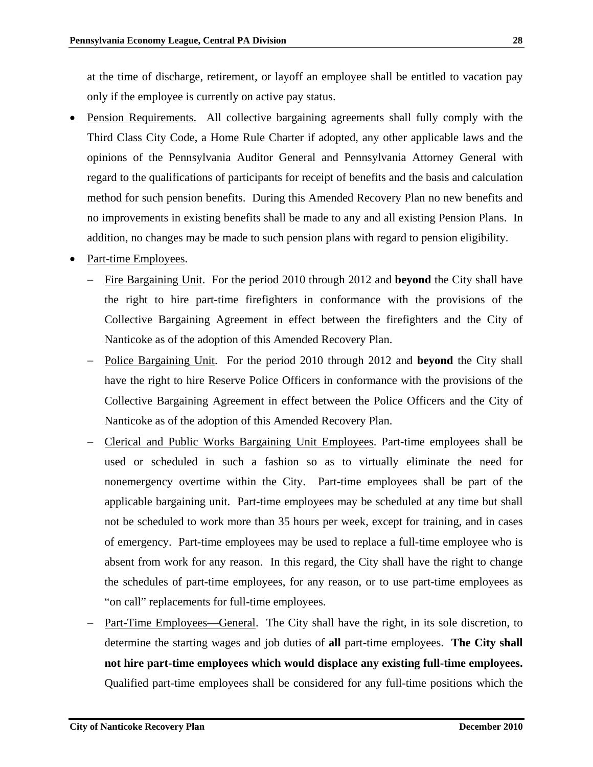at the time of discharge, retirement, or layoff an employee shall be entitled to vacation pay only if the employee is currently on active pay status.

- Pension Requirements. All collective bargaining agreements shall fully comply with the Third Class City Code, a Home Rule Charter if adopted, any other applicable laws and the opinions of the Pennsylvania Auditor General and Pennsylvania Attorney General with regard to the qualifications of participants for receipt of benefits and the basis and calculation method for such pension benefits. During this Amended Recovery Plan no new benefits and no improvements in existing benefits shall be made to any and all existing Pension Plans. In addition, no changes may be made to such pension plans with regard to pension eligibility.
- Part-time Employees.
	- Fire Bargaining Unit. For the period 2010 through 2012 and **beyond** the City shall have the right to hire part-time firefighters in conformance with the provisions of the Collective Bargaining Agreement in effect between the firefighters and the City of Nanticoke as of the adoption of this Amended Recovery Plan.
	- − Police Bargaining Unit. For the period 2010 through 2012 and **beyond** the City shall have the right to hire Reserve Police Officers in conformance with the provisions of the Collective Bargaining Agreement in effect between the Police Officers and the City of Nanticoke as of the adoption of this Amended Recovery Plan.
	- − Clerical and Public Works Bargaining Unit Employees. Part-time employees shall be used or scheduled in such a fashion so as to virtually eliminate the need for nonemergency overtime within the City. Part-time employees shall be part of the applicable bargaining unit. Part-time employees may be scheduled at any time but shall not be scheduled to work more than 35 hours per week, except for training, and in cases of emergency. Part-time employees may be used to replace a full-time employee who is absent from work for any reason. In this regard, the City shall have the right to change the schedules of part-time employees, for any reason, or to use part-time employees as "on call" replacements for full-time employees.
	- Part-Time Employees—General. The City shall have the right, in its sole discretion, to determine the starting wages and job duties of **all** part-time employees. **The City shall not hire part-time employees which would displace any existing full-time employees.** Qualified part-time employees shall be considered for any full-time positions which the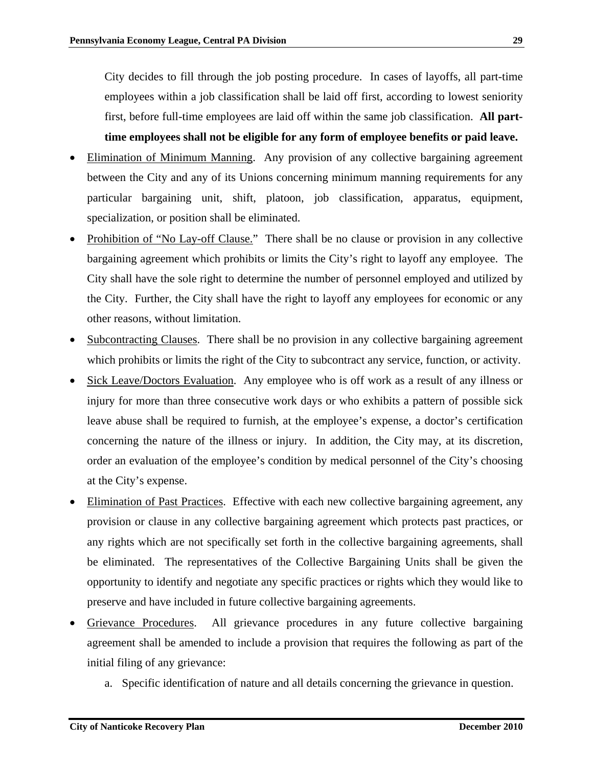City decides to fill through the job posting procedure. In cases of layoffs, all part-time employees within a job classification shall be laid off first, according to lowest seniority first, before full-time employees are laid off within the same job classification. **All parttime employees shall not be eligible for any form of employee benefits or paid leave.** 

- Elimination of Minimum Manning. Any provision of any collective bargaining agreement between the City and any of its Unions concerning minimum manning requirements for any particular bargaining unit, shift, platoon, job classification, apparatus, equipment, specialization, or position shall be eliminated.
- Prohibition of "No Lay-off Clause." There shall be no clause or provision in any collective bargaining agreement which prohibits or limits the City's right to layoff any employee. The City shall have the sole right to determine the number of personnel employed and utilized by the City. Further, the City shall have the right to layoff any employees for economic or any other reasons, without limitation.
- Subcontracting Clauses. There shall be no provision in any collective bargaining agreement which prohibits or limits the right of the City to subcontract any service, function, or activity.
- Sick Leave/Doctors Evaluation. Any employee who is off work as a result of any illness or injury for more than three consecutive work days or who exhibits a pattern of possible sick leave abuse shall be required to furnish, at the employee's expense, a doctor's certification concerning the nature of the illness or injury. In addition, the City may, at its discretion, order an evaluation of the employee's condition by medical personnel of the City's choosing at the City's expense.
- Elimination of Past Practices. Effective with each new collective bargaining agreement, any provision or clause in any collective bargaining agreement which protects past practices, or any rights which are not specifically set forth in the collective bargaining agreements, shall be eliminated. The representatives of the Collective Bargaining Units shall be given the opportunity to identify and negotiate any specific practices or rights which they would like to preserve and have included in future collective bargaining agreements.
- Grievance Procedures. All grievance procedures in any future collective bargaining agreement shall be amended to include a provision that requires the following as part of the initial filing of any grievance:
	- a. Specific identification of nature and all details concerning the grievance in question.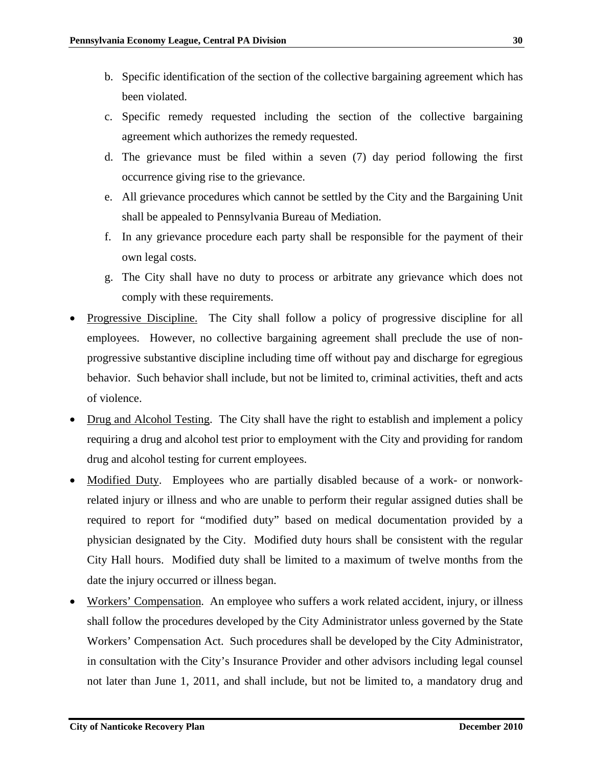- b. Specific identification of the section of the collective bargaining agreement which has been violated.
- c. Specific remedy requested including the section of the collective bargaining agreement which authorizes the remedy requested.
- d. The grievance must be filed within a seven (7) day period following the first occurrence giving rise to the grievance.
- e. All grievance procedures which cannot be settled by the City and the Bargaining Unit shall be appealed to Pennsylvania Bureau of Mediation.
- f. In any grievance procedure each party shall be responsible for the payment of their own legal costs.
- g. The City shall have no duty to process or arbitrate any grievance which does not comply with these requirements.
- Progressive Discipline. The City shall follow a policy of progressive discipline for all employees. However, no collective bargaining agreement shall preclude the use of nonprogressive substantive discipline including time off without pay and discharge for egregious behavior. Such behavior shall include, but not be limited to, criminal activities, theft and acts of violence.
- Drug and Alcohol Testing. The City shall have the right to establish and implement a policy requiring a drug and alcohol test prior to employment with the City and providing for random drug and alcohol testing for current employees.
- Modified Duty. Employees who are partially disabled because of a work- or nonworkrelated injury or illness and who are unable to perform their regular assigned duties shall be required to report for "modified duty" based on medical documentation provided by a physician designated by the City. Modified duty hours shall be consistent with the regular City Hall hours. Modified duty shall be limited to a maximum of twelve months from the date the injury occurred or illness began.
- Workers' Compensation. An employee who suffers a work related accident, injury, or illness shall follow the procedures developed by the City Administrator unless governed by the State Workers' Compensation Act. Such procedures shall be developed by the City Administrator, in consultation with the City's Insurance Provider and other advisors including legal counsel not later than June 1, 2011, and shall include, but not be limited to, a mandatory drug and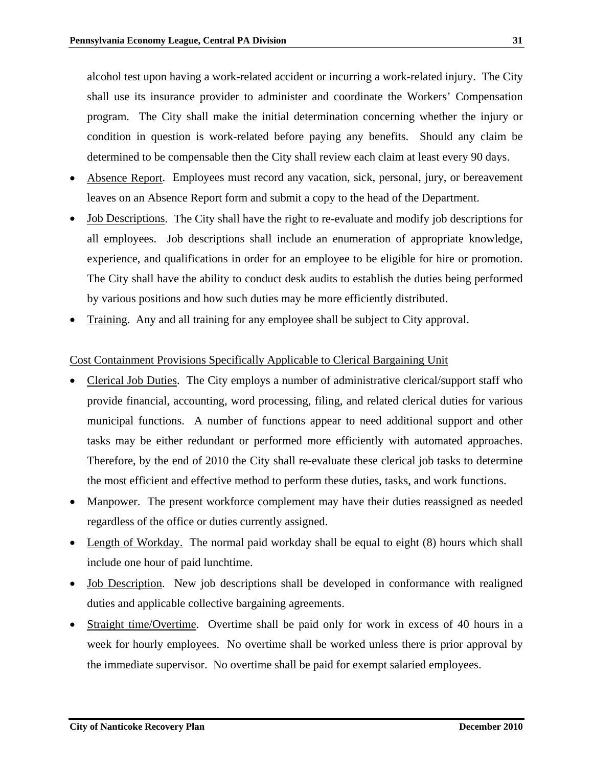alcohol test upon having a work-related accident or incurring a work-related injury. The City shall use its insurance provider to administer and coordinate the Workers' Compensation program. The City shall make the initial determination concerning whether the injury or condition in question is work-related before paying any benefits. Should any claim be determined to be compensable then the City shall review each claim at least every 90 days.

- Absence Report. Employees must record any vacation, sick, personal, jury, or bereavement leaves on an Absence Report form and submit a copy to the head of the Department.
- Job Descriptions. The City shall have the right to re-evaluate and modify job descriptions for all employees. Job descriptions shall include an enumeration of appropriate knowledge, experience, and qualifications in order for an employee to be eligible for hire or promotion. The City shall have the ability to conduct desk audits to establish the duties being performed by various positions and how such duties may be more efficiently distributed.
- Training. Any and all training for any employee shall be subject to City approval.

## Cost Containment Provisions Specifically Applicable to Clerical Bargaining Unit

- Clerical Job Duties. The City employs a number of administrative clerical/support staff who provide financial, accounting, word processing, filing, and related clerical duties for various municipal functions. A number of functions appear to need additional support and other tasks may be either redundant or performed more efficiently with automated approaches. Therefore, by the end of 2010 the City shall re-evaluate these clerical job tasks to determine the most efficient and effective method to perform these duties, tasks, and work functions.
- Manpower. The present workforce complement may have their duties reassigned as needed regardless of the office or duties currently assigned.
- Length of Workday. The normal paid workday shall be equal to eight (8) hours which shall include one hour of paid lunchtime.
- Job Description. New job descriptions shall be developed in conformance with realigned duties and applicable collective bargaining agreements.
- Straight time/Overtime. Overtime shall be paid only for work in excess of 40 hours in a week for hourly employees. No overtime shall be worked unless there is prior approval by the immediate supervisor. No overtime shall be paid for exempt salaried employees.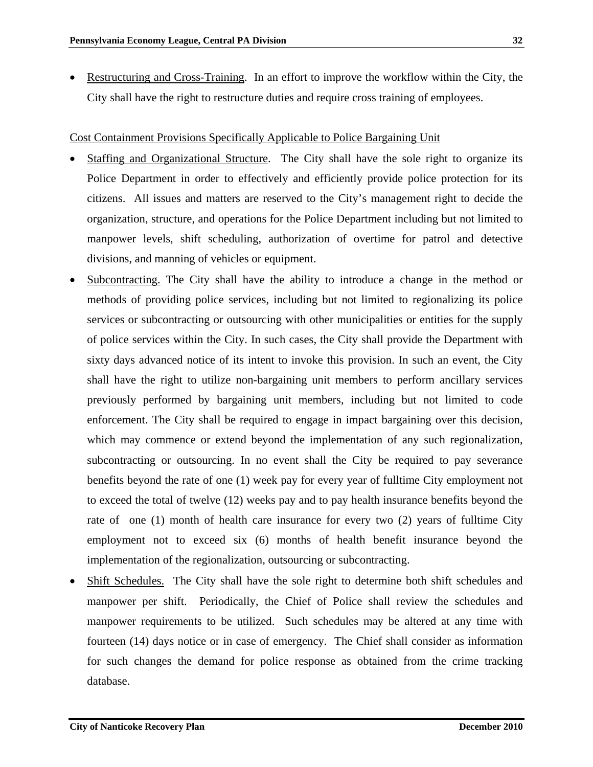Restructuring and Cross-Training. In an effort to improve the workflow within the City, the City shall have the right to restructure duties and require cross training of employees.

#### Cost Containment Provisions Specifically Applicable to Police Bargaining Unit

- Staffing and Organizational Structure. The City shall have the sole right to organize its Police Department in order to effectively and efficiently provide police protection for its citizens. All issues and matters are reserved to the City's management right to decide the organization, structure, and operations for the Police Department including but not limited to manpower levels, shift scheduling, authorization of overtime for patrol and detective divisions, and manning of vehicles or equipment.
- Subcontracting. The City shall have the ability to introduce a change in the method or methods of providing police services, including but not limited to regionalizing its police services or subcontracting or outsourcing with other municipalities or entities for the supply of police services within the City. In such cases, the City shall provide the Department with sixty days advanced notice of its intent to invoke this provision. In such an event, the City shall have the right to utilize non-bargaining unit members to perform ancillary services previously performed by bargaining unit members, including but not limited to code enforcement. The City shall be required to engage in impact bargaining over this decision, which may commence or extend beyond the implementation of any such regionalization, subcontracting or outsourcing. In no event shall the City be required to pay severance benefits beyond the rate of one (1) week pay for every year of fulltime City employment not to exceed the total of twelve (12) weeks pay and to pay health insurance benefits beyond the rate of one (1) month of health care insurance for every two (2) years of fulltime City employment not to exceed six (6) months of health benefit insurance beyond the implementation of the regionalization, outsourcing or subcontracting.
- Shift Schedules. The City shall have the sole right to determine both shift schedules and manpower per shift. Periodically, the Chief of Police shall review the schedules and manpower requirements to be utilized. Such schedules may be altered at any time with fourteen (14) days notice or in case of emergency. The Chief shall consider as information for such changes the demand for police response as obtained from the crime tracking database.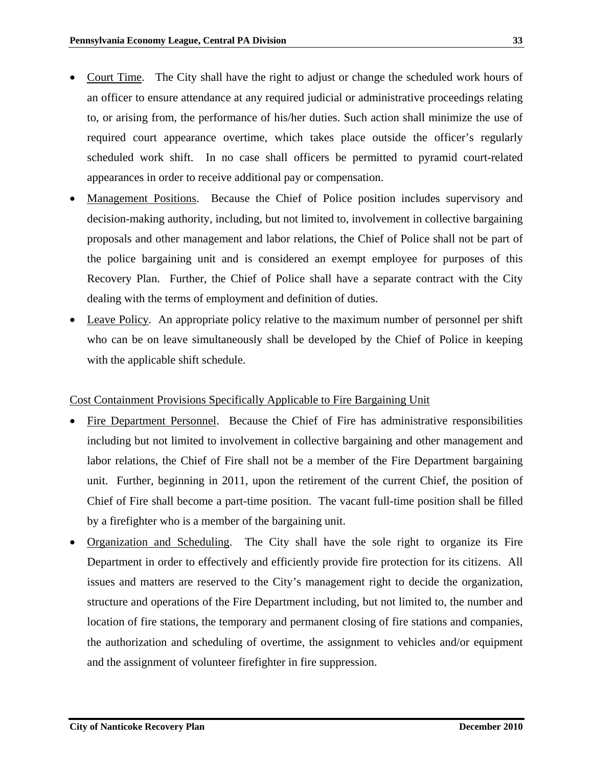- Court Time. The City shall have the right to adjust or change the scheduled work hours of an officer to ensure attendance at any required judicial or administrative proceedings relating to, or arising from, the performance of his/her duties. Such action shall minimize the use of required court appearance overtime, which takes place outside the officer's regularly scheduled work shift. In no case shall officers be permitted to pyramid court-related appearances in order to receive additional pay or compensation.
- Management Positions. Because the Chief of Police position includes supervisory and decision-making authority, including, but not limited to, involvement in collective bargaining proposals and other management and labor relations, the Chief of Police shall not be part of the police bargaining unit and is considered an exempt employee for purposes of this Recovery Plan. Further, the Chief of Police shall have a separate contract with the City dealing with the terms of employment and definition of duties.
- Leave Policy. An appropriate policy relative to the maximum number of personnel per shift who can be on leave simultaneously shall be developed by the Chief of Police in keeping with the applicable shift schedule.

## Cost Containment Provisions Specifically Applicable to Fire Bargaining Unit

- Fire Department Personnel. Because the Chief of Fire has administrative responsibilities including but not limited to involvement in collective bargaining and other management and labor relations, the Chief of Fire shall not be a member of the Fire Department bargaining unit. Further, beginning in 2011, upon the retirement of the current Chief, the position of Chief of Fire shall become a part-time position. The vacant full-time position shall be filled by a firefighter who is a member of the bargaining unit.
- Organization and Scheduling. The City shall have the sole right to organize its Fire Department in order to effectively and efficiently provide fire protection for its citizens. All issues and matters are reserved to the City's management right to decide the organization, structure and operations of the Fire Department including, but not limited to, the number and location of fire stations, the temporary and permanent closing of fire stations and companies, the authorization and scheduling of overtime, the assignment to vehicles and/or equipment and the assignment of volunteer firefighter in fire suppression.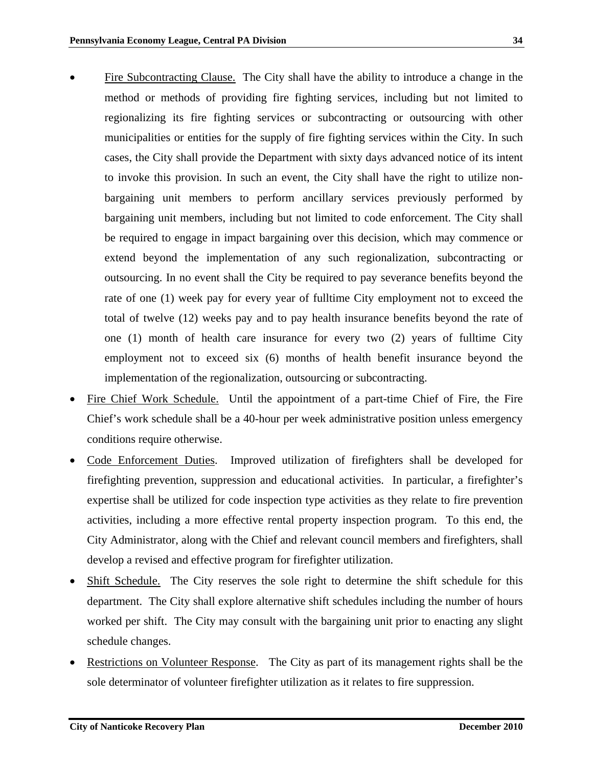- Fire Subcontracting Clause. The City shall have the ability to introduce a change in the method or methods of providing fire fighting services, including but not limited to regionalizing its fire fighting services or subcontracting or outsourcing with other municipalities or entities for the supply of fire fighting services within the City. In such cases, the City shall provide the Department with sixty days advanced notice of its intent to invoke this provision. In such an event, the City shall have the right to utilize nonbargaining unit members to perform ancillary services previously performed by bargaining unit members, including but not limited to code enforcement. The City shall be required to engage in impact bargaining over this decision, which may commence or extend beyond the implementation of any such regionalization, subcontracting or outsourcing. In no event shall the City be required to pay severance benefits beyond the rate of one (1) week pay for every year of fulltime City employment not to exceed the total of twelve (12) weeks pay and to pay health insurance benefits beyond the rate of one (1) month of health care insurance for every two (2) years of fulltime City employment not to exceed six (6) months of health benefit insurance beyond the implementation of the regionalization, outsourcing or subcontracting.
- Fire Chief Work Schedule. Until the appointment of a part-time Chief of Fire, the Fire Chief's work schedule shall be a 40-hour per week administrative position unless emergency conditions require otherwise.
- Code Enforcement Duties. Improved utilization of firefighters shall be developed for firefighting prevention, suppression and educational activities. In particular, a firefighter's expertise shall be utilized for code inspection type activities as they relate to fire prevention activities, including a more effective rental property inspection program. To this end, the City Administrator, along with the Chief and relevant council members and firefighters, shall develop a revised and effective program for firefighter utilization.
- Shift Schedule. The City reserves the sole right to determine the shift schedule for this department. The City shall explore alternative shift schedules including the number of hours worked per shift. The City may consult with the bargaining unit prior to enacting any slight schedule changes.
- Restrictions on Volunteer Response. The City as part of its management rights shall be the sole determinator of volunteer firefighter utilization as it relates to fire suppression.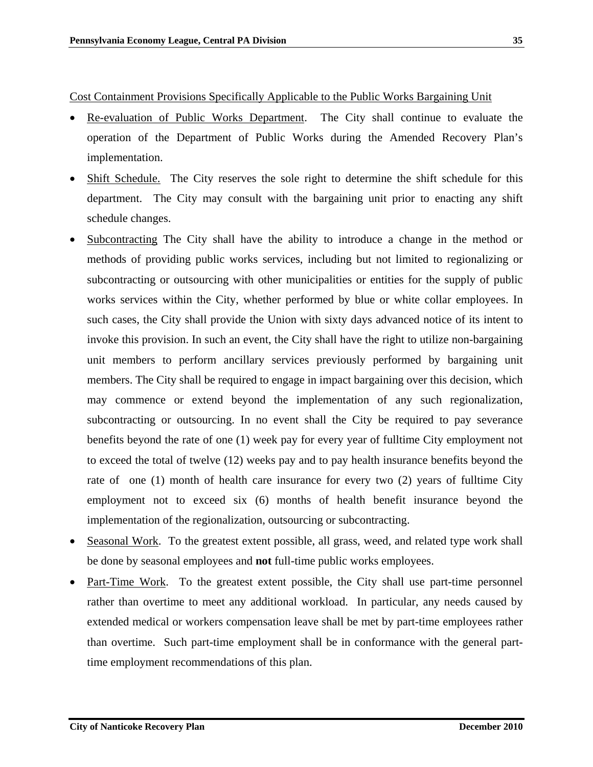Cost Containment Provisions Specifically Applicable to the Public Works Bargaining Unit

- Re-evaluation of Public Works Department. The City shall continue to evaluate the operation of the Department of Public Works during the Amended Recovery Plan's implementation.
- Shift Schedule. The City reserves the sole right to determine the shift schedule for this department. The City may consult with the bargaining unit prior to enacting any shift schedule changes.
- Subcontracting The City shall have the ability to introduce a change in the method or methods of providing public works services, including but not limited to regionalizing or subcontracting or outsourcing with other municipalities or entities for the supply of public works services within the City, whether performed by blue or white collar employees. In such cases, the City shall provide the Union with sixty days advanced notice of its intent to invoke this provision. In such an event, the City shall have the right to utilize non-bargaining unit members to perform ancillary services previously performed by bargaining unit members. The City shall be required to engage in impact bargaining over this decision, which may commence or extend beyond the implementation of any such regionalization, subcontracting or outsourcing. In no event shall the City be required to pay severance benefits beyond the rate of one (1) week pay for every year of fulltime City employment not to exceed the total of twelve (12) weeks pay and to pay health insurance benefits beyond the rate of one (1) month of health care insurance for every two (2) years of fulltime City employment not to exceed six (6) months of health benefit insurance beyond the implementation of the regionalization, outsourcing or subcontracting.
- Seasonal Work. To the greatest extent possible, all grass, weed, and related type work shall be done by seasonal employees and **not** full-time public works employees.
- Part-Time Work. To the greatest extent possible, the City shall use part-time personnel rather than overtime to meet any additional workload. In particular, any needs caused by extended medical or workers compensation leave shall be met by part-time employees rather than overtime. Such part-time employment shall be in conformance with the general parttime employment recommendations of this plan.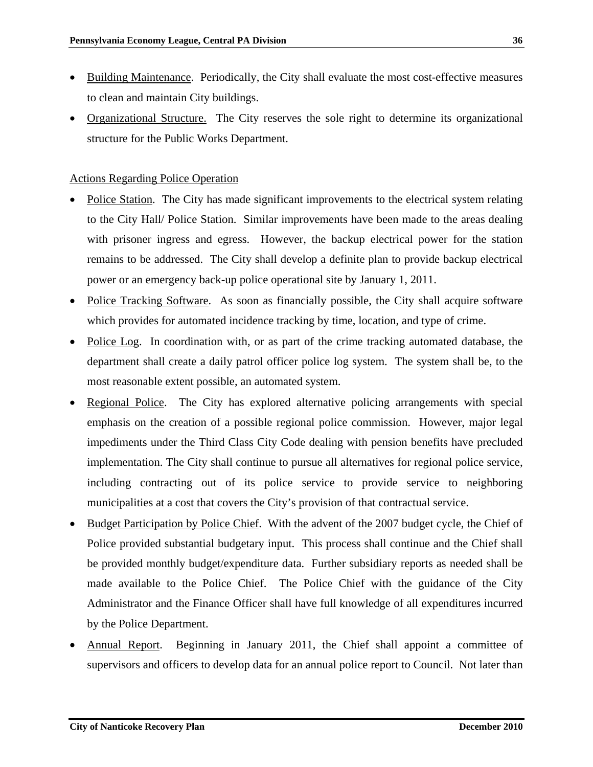- Building Maintenance. Periodically, the City shall evaluate the most cost-effective measures to clean and maintain City buildings.
- Organizational Structure. The City reserves the sole right to determine its organizational structure for the Public Works Department.

# Actions Regarding Police Operation

- Police Station. The City has made significant improvements to the electrical system relating to the City Hall/ Police Station. Similar improvements have been made to the areas dealing with prisoner ingress and egress. However, the backup electrical power for the station remains to be addressed. The City shall develop a definite plan to provide backup electrical power or an emergency back-up police operational site by January 1, 2011.
- Police Tracking Software. As soon as financially possible, the City shall acquire software which provides for automated incidence tracking by time, location, and type of crime.
- Police Log. In coordination with, or as part of the crime tracking automated database, the department shall create a daily patrol officer police log system. The system shall be, to the most reasonable extent possible, an automated system.
- Regional Police. The City has explored alternative policing arrangements with special emphasis on the creation of a possible regional police commission. However, major legal impediments under the Third Class City Code dealing with pension benefits have precluded implementation. The City shall continue to pursue all alternatives for regional police service, including contracting out of its police service to provide service to neighboring municipalities at a cost that covers the City's provision of that contractual service.
- Budget Participation by Police Chief. With the advent of the 2007 budget cycle, the Chief of Police provided substantial budgetary input. This process shall continue and the Chief shall be provided monthly budget/expenditure data. Further subsidiary reports as needed shall be made available to the Police Chief. The Police Chief with the guidance of the City Administrator and the Finance Officer shall have full knowledge of all expenditures incurred by the Police Department.
- Annual Report. Beginning in January 2011, the Chief shall appoint a committee of supervisors and officers to develop data for an annual police report to Council. Not later than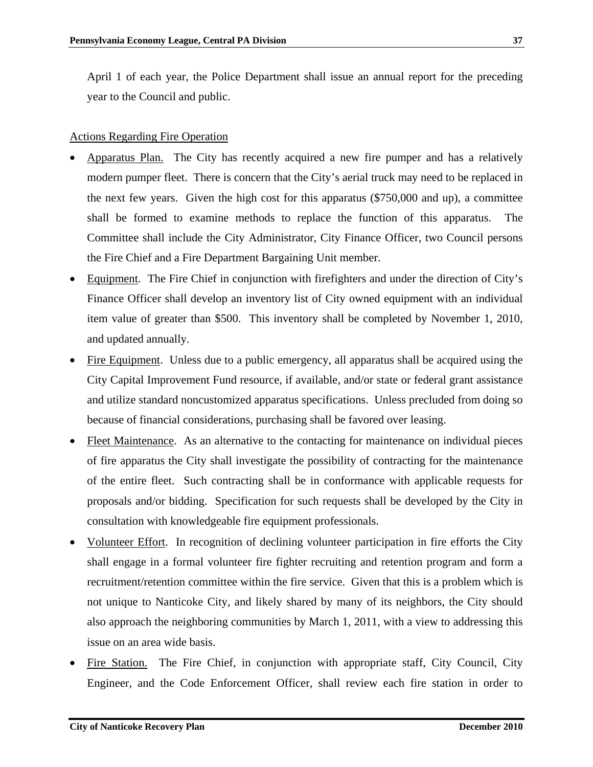April 1 of each year, the Police Department shall issue an annual report for the preceding year to the Council and public.

## Actions Regarding Fire Operation

- Apparatus Plan. The City has recently acquired a new fire pumper and has a relatively modern pumper fleet. There is concern that the City's aerial truck may need to be replaced in the next few years. Given the high cost for this apparatus (\$750,000 and up), a committee shall be formed to examine methods to replace the function of this apparatus. The Committee shall include the City Administrator, City Finance Officer, two Council persons the Fire Chief and a Fire Department Bargaining Unit member.
- Equipment. The Fire Chief in conjunction with firefighters and under the direction of City's Finance Officer shall develop an inventory list of City owned equipment with an individual item value of greater than \$500. This inventory shall be completed by November 1, 2010, and updated annually.
- Fire Equipment. Unless due to a public emergency, all apparatus shall be acquired using the City Capital Improvement Fund resource, if available, and/or state or federal grant assistance and utilize standard noncustomized apparatus specifications. Unless precluded from doing so because of financial considerations, purchasing shall be favored over leasing.
- Fleet Maintenance. As an alternative to the contacting for maintenance on individual pieces of fire apparatus the City shall investigate the possibility of contracting for the maintenance of the entire fleet. Such contracting shall be in conformance with applicable requests for proposals and/or bidding. Specification for such requests shall be developed by the City in consultation with knowledgeable fire equipment professionals.
- Volunteer Effort. In recognition of declining volunteer participation in fire efforts the City shall engage in a formal volunteer fire fighter recruiting and retention program and form a recruitment/retention committee within the fire service. Given that this is a problem which is not unique to Nanticoke City, and likely shared by many of its neighbors, the City should also approach the neighboring communities by March 1, 2011, with a view to addressing this issue on an area wide basis.
- Fire Station. The Fire Chief, in conjunction with appropriate staff, City Council, City Engineer, and the Code Enforcement Officer, shall review each fire station in order to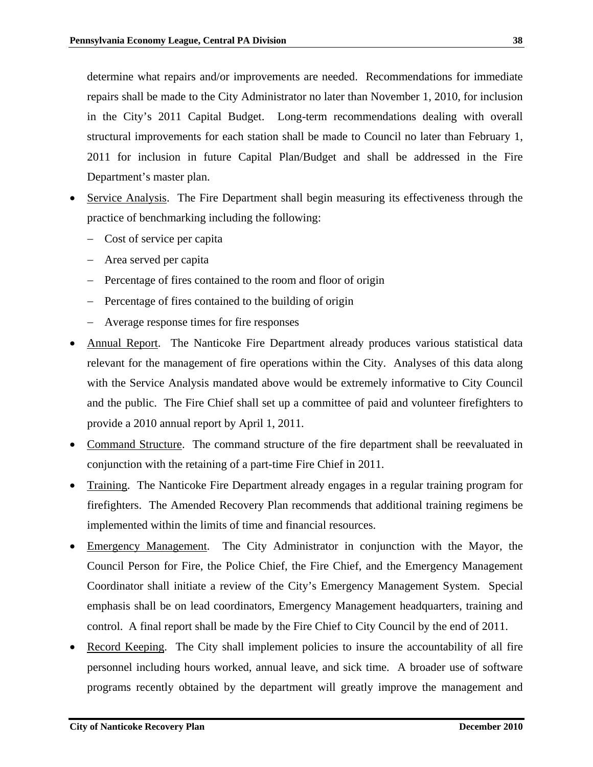determine what repairs and/or improvements are needed. Recommendations for immediate repairs shall be made to the City Administrator no later than November 1, 2010, for inclusion in the City's 2011 Capital Budget. Long-term recommendations dealing with overall structural improvements for each station shall be made to Council no later than February 1, 2011 for inclusion in future Capital Plan/Budget and shall be addressed in the Fire Department's master plan.

- Service Analysis. The Fire Department shall begin measuring its effectiveness through the practice of benchmarking including the following:
	- − Cost of service per capita
	- − Area served per capita
	- − Percentage of fires contained to the room and floor of origin
	- − Percentage of fires contained to the building of origin
	- − Average response times for fire responses
- Annual Report. The Nanticoke Fire Department already produces various statistical data relevant for the management of fire operations within the City. Analyses of this data along with the Service Analysis mandated above would be extremely informative to City Council and the public. The Fire Chief shall set up a committee of paid and volunteer firefighters to provide a 2010 annual report by April 1, 2011.
- Command Structure. The command structure of the fire department shall be reevaluated in conjunction with the retaining of a part-time Fire Chief in 2011.
- Training. The Nanticoke Fire Department already engages in a regular training program for firefighters. The Amended Recovery Plan recommends that additional training regimens be implemented within the limits of time and financial resources.
- Emergency Management. The City Administrator in conjunction with the Mayor, the Council Person for Fire, the Police Chief, the Fire Chief, and the Emergency Management Coordinator shall initiate a review of the City's Emergency Management System. Special emphasis shall be on lead coordinators, Emergency Management headquarters, training and control. A final report shall be made by the Fire Chief to City Council by the end of 2011.
- Record Keeping. The City shall implement policies to insure the accountability of all fire personnel including hours worked, annual leave, and sick time. A broader use of software programs recently obtained by the department will greatly improve the management and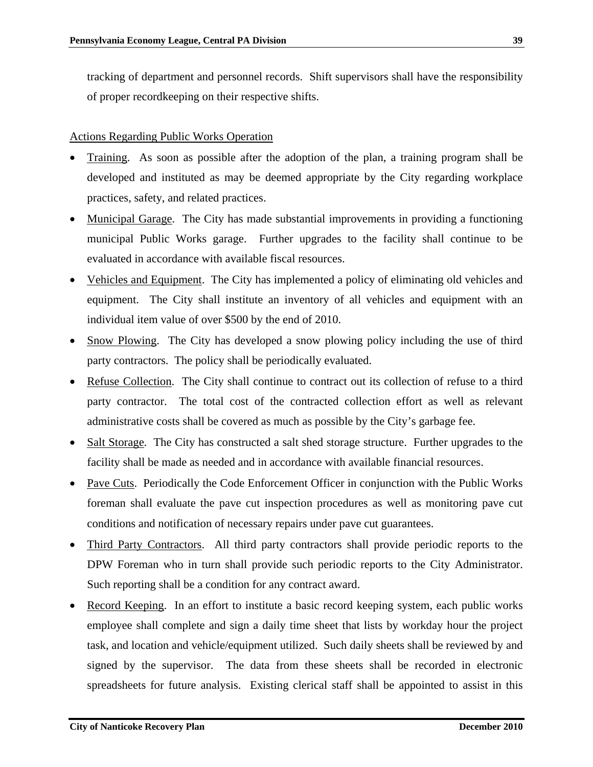tracking of department and personnel records. Shift supervisors shall have the responsibility of proper recordkeeping on their respective shifts.

## Actions Regarding Public Works Operation

- Training. As soon as possible after the adoption of the plan, a training program shall be developed and instituted as may be deemed appropriate by the City regarding workplace practices, safety, and related practices.
- Municipal Garage. The City has made substantial improvements in providing a functioning municipal Public Works garage. Further upgrades to the facility shall continue to be evaluated in accordance with available fiscal resources.
- Vehicles and Equipment. The City has implemented a policy of eliminating old vehicles and equipment. The City shall institute an inventory of all vehicles and equipment with an individual item value of over \$500 by the end of 2010.
- Snow Plowing. The City has developed a snow plowing policy including the use of third party contractors. The policy shall be periodically evaluated.
- Refuse Collection. The City shall continue to contract out its collection of refuse to a third party contractor. The total cost of the contracted collection effort as well as relevant administrative costs shall be covered as much as possible by the City's garbage fee.
- Salt Storage. The City has constructed a salt shed storage structure. Further upgrades to the facility shall be made as needed and in accordance with available financial resources.
- Pave Cuts. Periodically the Code Enforcement Officer in conjunction with the Public Works foreman shall evaluate the pave cut inspection procedures as well as monitoring pave cut conditions and notification of necessary repairs under pave cut guarantees.
- Third Party Contractors. All third party contractors shall provide periodic reports to the DPW Foreman who in turn shall provide such periodic reports to the City Administrator. Such reporting shall be a condition for any contract award.
- Record Keeping. In an effort to institute a basic record keeping system, each public works employee shall complete and sign a daily time sheet that lists by workday hour the project task, and location and vehicle/equipment utilized. Such daily sheets shall be reviewed by and signed by the supervisor. The data from these sheets shall be recorded in electronic spreadsheets for future analysis. Existing clerical staff shall be appointed to assist in this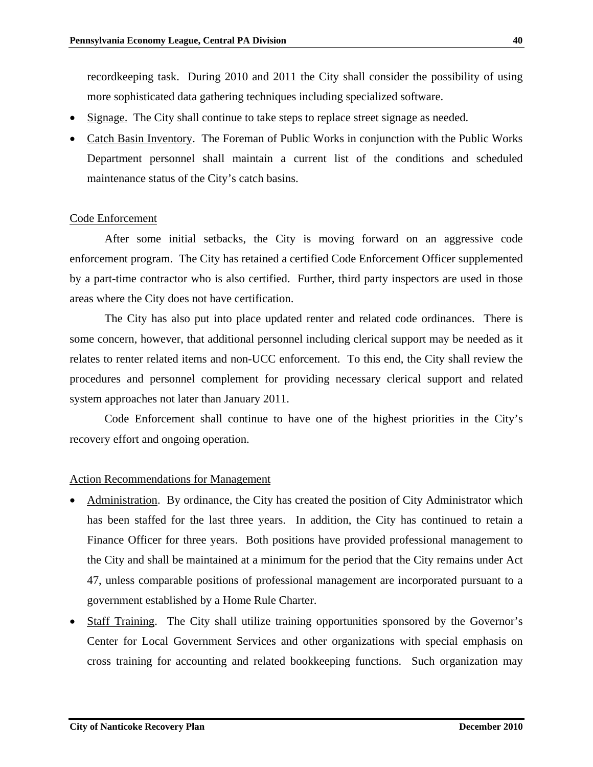recordkeeping task. During 2010 and 2011 the City shall consider the possibility of using more sophisticated data gathering techniques including specialized software.

- Signage. The City shall continue to take steps to replace street signage as needed.
- Catch Basin Inventory. The Foreman of Public Works in conjunction with the Public Works Department personnel shall maintain a current list of the conditions and scheduled maintenance status of the City's catch basins.

## Code Enforcement

After some initial setbacks, the City is moving forward on an aggressive code enforcement program. The City has retained a certified Code Enforcement Officer supplemented by a part-time contractor who is also certified. Further, third party inspectors are used in those areas where the City does not have certification.

The City has also put into place updated renter and related code ordinances. There is some concern, however, that additional personnel including clerical support may be needed as it relates to renter related items and non-UCC enforcement. To this end, the City shall review the procedures and personnel complement for providing necessary clerical support and related system approaches not later than January 2011.

Code Enforcement shall continue to have one of the highest priorities in the City's recovery effort and ongoing operation.

## Action Recommendations for Management

- Administration. By ordinance, the City has created the position of City Administrator which has been staffed for the last three years. In addition, the City has continued to retain a Finance Officer for three years. Both positions have provided professional management to the City and shall be maintained at a minimum for the period that the City remains under Act 47, unless comparable positions of professional management are incorporated pursuant to a government established by a Home Rule Charter.
- Staff Training. The City shall utilize training opportunities sponsored by the Governor's Center for Local Government Services and other organizations with special emphasis on cross training for accounting and related bookkeeping functions. Such organization may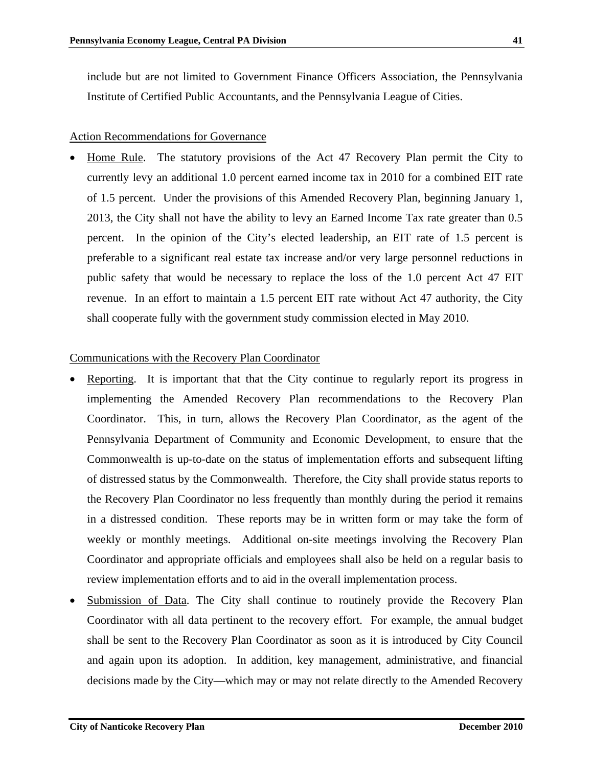include but are not limited to Government Finance Officers Association, the Pennsylvania Institute of Certified Public Accountants, and the Pennsylvania League of Cities.

#### Action Recommendations for Governance

• Home Rule. The statutory provisions of the Act 47 Recovery Plan permit the City to currently levy an additional 1.0 percent earned income tax in 2010 for a combined EIT rate of 1.5 percent. Under the provisions of this Amended Recovery Plan, beginning January 1, 2013, the City shall not have the ability to levy an Earned Income Tax rate greater than 0.5 percent. In the opinion of the City's elected leadership, an EIT rate of 1.5 percent is preferable to a significant real estate tax increase and/or very large personnel reductions in public safety that would be necessary to replace the loss of the 1.0 percent Act 47 EIT revenue. In an effort to maintain a 1.5 percent EIT rate without Act 47 authority, the City shall cooperate fully with the government study commission elected in May 2010.

## Communications with the Recovery Plan Coordinator

- Reporting. It is important that that the City continue to regularly report its progress in implementing the Amended Recovery Plan recommendations to the Recovery Plan Coordinator. This, in turn, allows the Recovery Plan Coordinator, as the agent of the Pennsylvania Department of Community and Economic Development, to ensure that the Commonwealth is up-to-date on the status of implementation efforts and subsequent lifting of distressed status by the Commonwealth. Therefore, the City shall provide status reports to the Recovery Plan Coordinator no less frequently than monthly during the period it remains in a distressed condition. These reports may be in written form or may take the form of weekly or monthly meetings. Additional on-site meetings involving the Recovery Plan Coordinator and appropriate officials and employees shall also be held on a regular basis to review implementation efforts and to aid in the overall implementation process.
- Submission of Data. The City shall continue to routinely provide the Recovery Plan Coordinator with all data pertinent to the recovery effort. For example, the annual budget shall be sent to the Recovery Plan Coordinator as soon as it is introduced by City Council and again upon its adoption. In addition, key management, administrative, and financial decisions made by the City—which may or may not relate directly to the Amended Recovery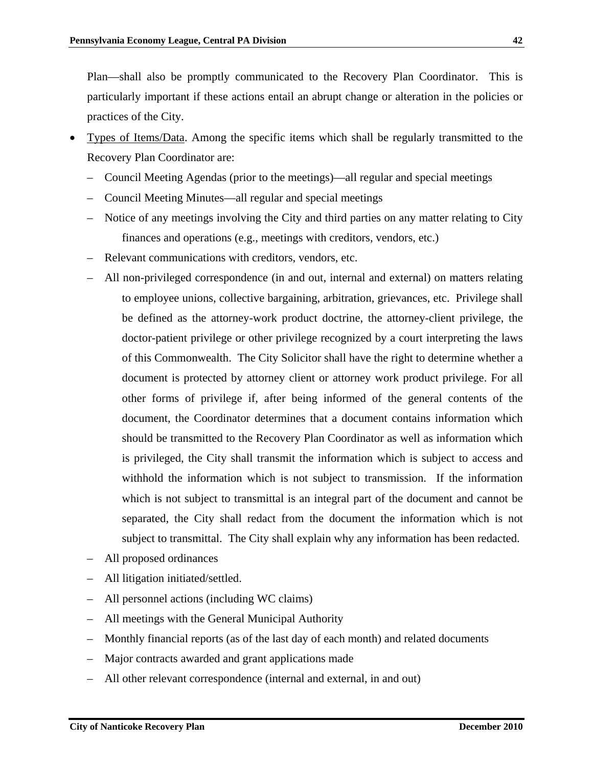Plan—shall also be promptly communicated to the Recovery Plan Coordinator. This is particularly important if these actions entail an abrupt change or alteration in the policies or practices of the City.

- Types of Items/Data. Among the specific items which shall be regularly transmitted to the Recovery Plan Coordinator are:
	- Council Meeting Agendas (prior to the meetings)—all regular and special meetings
	- Council Meeting Minutes—all regular and special meetings
	- Notice of any meetings involving the City and third parties on any matter relating to City finances and operations (e.g., meetings with creditors, vendors, etc.)
	- Relevant communications with creditors, vendors, etc.
	- All non-privileged correspondence (in and out, internal and external) on matters relating to employee unions, collective bargaining, arbitration, grievances, etc. Privilege shall be defined as the attorney-work product doctrine, the attorney-client privilege, the doctor-patient privilege or other privilege recognized by a court interpreting the laws of this Commonwealth. The City Solicitor shall have the right to determine whether a document is protected by attorney client or attorney work product privilege. For all other forms of privilege if, after being informed of the general contents of the document, the Coordinator determines that a document contains information which should be transmitted to the Recovery Plan Coordinator as well as information which is privileged, the City shall transmit the information which is subject to access and withhold the information which is not subject to transmission. If the information which is not subject to transmittal is an integral part of the document and cannot be separated, the City shall redact from the document the information which is not subject to transmittal. The City shall explain why any information has been redacted.
	- All proposed ordinances
	- All litigation initiated/settled.
	- All personnel actions (including WC claims)
	- All meetings with the General Municipal Authority
	- Monthly financial reports (as of the last day of each month) and related documents
	- Major contracts awarded and grant applications made
	- All other relevant correspondence (internal and external, in and out)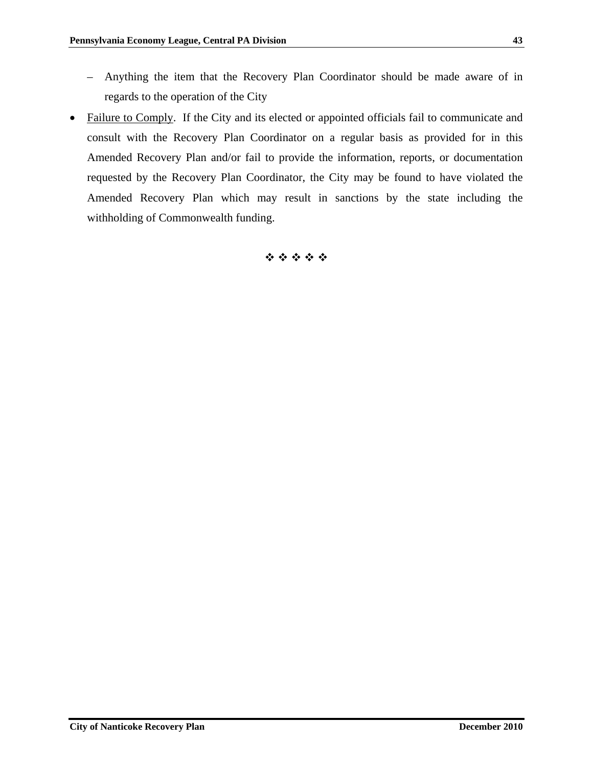- Anything the item that the Recovery Plan Coordinator should be made aware of in regards to the operation of the City
- Failure to Comply. If the City and its elected or appointed officials fail to communicate and consult with the Recovery Plan Coordinator on a regular basis as provided for in this Amended Recovery Plan and/or fail to provide the information, reports, or documentation requested by the Recovery Plan Coordinator, the City may be found to have violated the Amended Recovery Plan which may result in sanctions by the state including the withholding of Commonwealth funding.

\*\*\*\*\*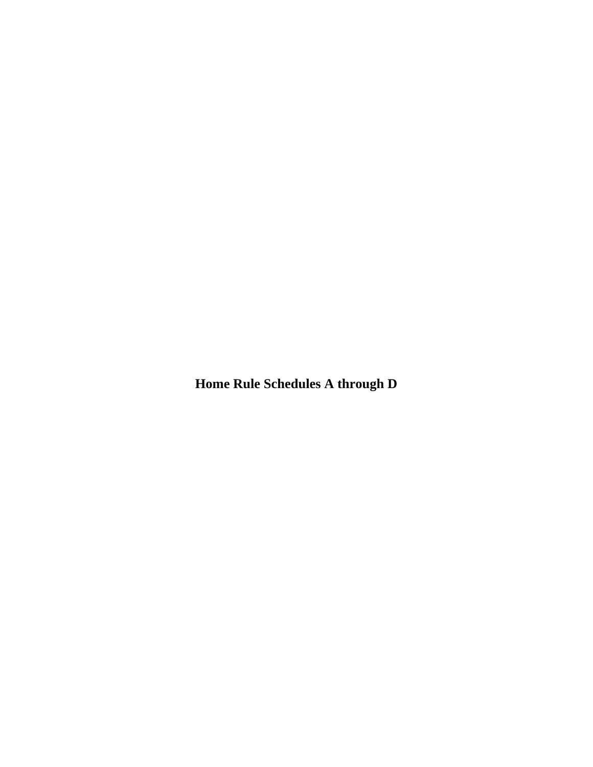**Home Rule Schedules A through D**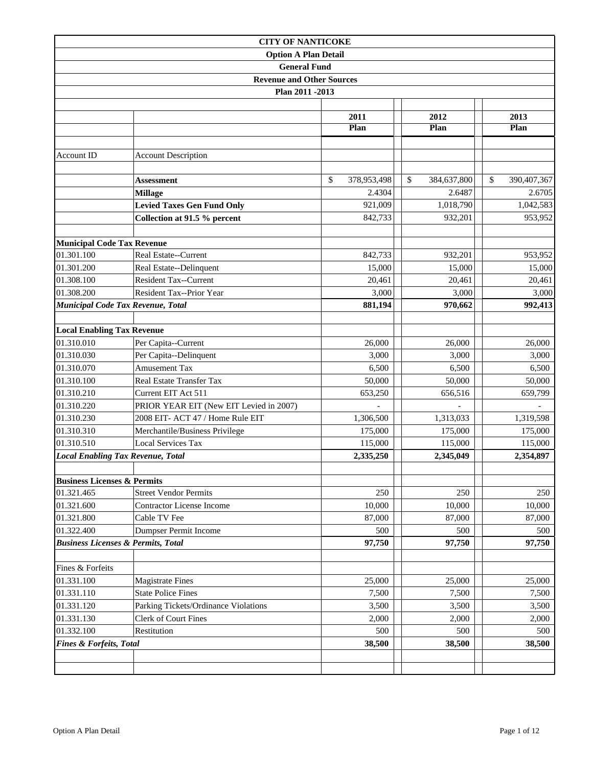|                                               |                                         | <b>CITY OF NANTICOKE</b>         |                   |                   |
|-----------------------------------------------|-----------------------------------------|----------------------------------|-------------------|-------------------|
|                                               |                                         | <b>Option A Plan Detail</b>      |                   |                   |
|                                               |                                         | <b>General Fund</b>              |                   |                   |
|                                               |                                         | <b>Revenue and Other Sources</b> |                   |                   |
|                                               |                                         | Plan 2011 - 2013                 |                   |                   |
|                                               |                                         |                                  |                   |                   |
|                                               |                                         | 2011                             | 2012              | 2013              |
|                                               |                                         | Plan                             | Plan              | Plan              |
|                                               |                                         |                                  |                   |                   |
| Account ID                                    | <b>Account Description</b>              |                                  |                   |                   |
|                                               |                                         |                                  |                   |                   |
|                                               | Assessment                              | \$<br>378,953,498                | \$<br>384,637,800 | \$<br>390,407,367 |
|                                               | <b>Millage</b>                          | 2.4304                           | 2.6487            | 2.6705            |
|                                               | <b>Levied Taxes Gen Fund Only</b>       | 921,009                          | 1,018,790         | 1,042,583         |
|                                               | Collection at 91.5 % percent            | 842,733                          | 932,201           | 953,952           |
| <b>Municipal Code Tax Revenue</b>             |                                         |                                  |                   |                   |
| 01.301.100                                    | Real Estate--Current                    | 842,733                          | 932,201           | 953,952           |
| 01.301.200                                    | Real Estate--Delinquent                 | 15,000                           | 15,000            | 15,000            |
| 01.308.100                                    | <b>Resident Tax--Current</b>            | 20,461                           | 20,461            | 20,461            |
| 01.308.200                                    | Resident Tax--Prior Year                | 3,000                            | 3,000             | 3,000             |
| Municipal Code Tax Revenue, Total             |                                         | 881,194                          | 970,662           | 992,413           |
|                                               |                                         |                                  |                   |                   |
| <b>Local Enabling Tax Revenue</b>             |                                         |                                  |                   |                   |
| 01.310.010                                    | Per Capita--Current                     | 26,000                           | 26,000            | 26,000            |
| 01.310.030                                    | Per Capita--Delinquent                  | 3,000                            | 3,000             | 3,000             |
| 01.310.070                                    | <b>Amusement Tax</b>                    | 6,500                            | 6,500             | 6,500             |
| 01.310.100                                    | Real Estate Transfer Tax                | 50,000                           | 50,000            | 50,000            |
| 01.310.210                                    | Current EIT Act 511                     | 653,250                          | 656,516           | 659,799           |
| 01.310.220                                    | PRIOR YEAR EIT (New EIT Levied in 2007) |                                  |                   |                   |
| 01.310.230                                    | 2008 EIT- ACT 47 / Home Rule EIT        | 1,306,500                        | 1,313,033         | 1,319,598         |
| 01.310.310                                    | Merchantile/Business Privilege          | 175,000                          | 175,000           | 175,000           |
| 01.310.510                                    | <b>Local Services Tax</b>               | 115,000                          | 115,000           | 115,000           |
| <b>Local Enabling Tax Revenue, Total</b>      |                                         | 2,335,250                        | 2,345,049         | 2,354,897         |
| <b>Business Licenses &amp; Permits</b>        |                                         |                                  |                   |                   |
| 01.321.465                                    | <b>Street Vendor Permits</b>            | 250                              | 250               | 250               |
| 01.321.600                                    | <b>Contractor License Income</b>        | 10,000                           | 10,000            | 10,000            |
| 01.321.800                                    | Cable TV Fee                            | 87,000                           | 87,000            | 87,000            |
| 01.322.400                                    | Dumpser Permit Income                   | 500                              | 500               | 500               |
| <b>Business Licenses &amp; Permits, Total</b> |                                         | 97,750                           | 97,750            | 97,750            |
| Fines & Forfeits                              |                                         |                                  |                   |                   |
| 01.331.100                                    | <b>Magistrate Fines</b>                 | 25,000                           | 25,000            | 25,000            |
| 01.331.110                                    | <b>State Police Fines</b>               | 7,500                            | 7,500             | 7,500             |
| 01.331.120                                    | Parking Tickets/Ordinance Violations    | 3,500                            | 3,500             | 3,500             |
| 01.331.130                                    | Clerk of Court Fines                    | 2,000                            | 2,000             | 2,000             |
| 01.332.100                                    | Restitution                             | 500                              | 500               | 500               |
| <b>Fines &amp; Forfeits, Total</b>            |                                         | 38,500                           | 38,500            | 38,500            |
|                                               |                                         |                                  |                   |                   |
|                                               |                                         |                                  |                   |                   |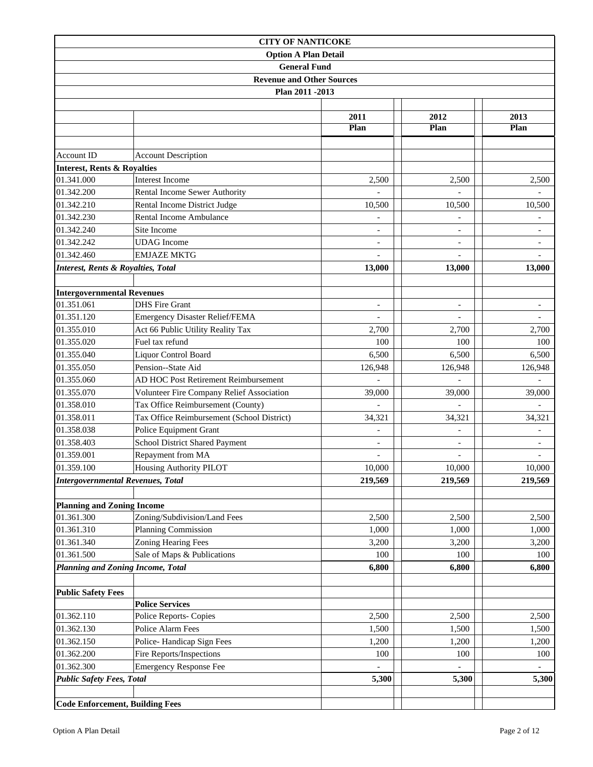|                                        | <b>CITY OF NANTICOKE</b>                             |                          |                          |                          |
|----------------------------------------|------------------------------------------------------|--------------------------|--------------------------|--------------------------|
|                                        | <b>Option A Plan Detail</b>                          |                          |                          |                          |
|                                        | <b>General Fund</b>                                  |                          |                          |                          |
|                                        | <b>Revenue and Other Sources</b>                     |                          |                          |                          |
|                                        | Plan 2011 - 2013                                     |                          |                          |                          |
|                                        |                                                      |                          |                          |                          |
|                                        |                                                      | 2011                     | 2012                     | 2013                     |
|                                        |                                                      | Plan                     | Plan                     | Plan                     |
|                                        |                                                      |                          |                          |                          |
| <b>Account ID</b>                      | <b>Account Description</b>                           |                          |                          |                          |
| <b>Interest, Rents &amp; Royalties</b> |                                                      |                          |                          |                          |
| 01.341.000                             | Interest Income                                      | 2,500                    | 2,500                    | 2,500                    |
| 01.342.200                             | Rental Income Sewer Authority                        |                          |                          |                          |
| 01.342.210                             | Rental Income District Judge                         | 10,500                   | 10,500                   | 10,500                   |
| 01.342.230                             | Rental Income Ambulance                              | $\overline{a}$           | $\overline{a}$           | $\overline{a}$           |
| 01.342.240                             | Site Income                                          | $\overline{\phantom{a}}$ | $\overline{\phantom{a}}$ | $\overline{\phantom{a}}$ |
| 01.342.242                             | <b>UDAG</b> Income                                   |                          |                          |                          |
| 01.342.460                             | <b>EMJAZE MKTG</b>                                   |                          |                          |                          |
|                                        | <b>Interest, Rents &amp; Royalties, Total</b>        | 13,000                   | 13,000                   | 13,000                   |
|                                        |                                                      |                          |                          |                          |
| <b>Intergovernmental Revenues</b>      | <b>DHS</b> Fire Grant                                |                          |                          |                          |
| 01.351.061<br>01.351.120               |                                                      | $\overline{\phantom{a}}$ | $\overline{\phantom{a}}$ | $\overline{\phantom{a}}$ |
| 01.355.010                             | <b>Emergency Disaster Relief/FEMA</b>                |                          | $\overline{a}$           | $\blacksquare$           |
| 01.355.020                             | Act 66 Public Utility Reality Tax<br>Fuel tax refund | 2,700<br>100             | 2,700<br>100             | 2,700<br>100             |
| 01.355.040                             | Liquor Control Board                                 | 6,500                    | 6,500                    | 6,500                    |
| 01.355.050                             | Pension--State Aid                                   | 126,948                  | 126,948                  | 126,948                  |
| 01.355.060                             | AD HOC Post Retirement Reimbursement                 |                          |                          |                          |
| 01.355.070                             | Volunteer Fire Company Relief Association            | 39,000                   | 39,000                   | 39,000                   |
| 01.358.010                             | Tax Office Reimbursement (County)                    |                          |                          |                          |
| 01.358.011                             | Tax Office Reimbursement (School District)           | 34,321                   | 34,321                   | 34,321                   |
| 01.358.038                             | Police Equipment Grant                               | $\overline{\phantom{a}}$ | $\overline{\phantom{a}}$ | $\blacksquare$           |
| 01.358.403                             | School District Shared Payment                       |                          |                          |                          |
| 01.359.001                             | Repayment from MA                                    |                          |                          |                          |
| 01.359.100                             | Housing Authority PILOT                              | 10,000                   | 10,000                   | 10,000                   |
|                                        | <b>Intergovernmental Revenues, Total</b>             | 219,569                  | 219,569                  | 219,569                  |
|                                        |                                                      |                          |                          |                          |
| <b>Planning and Zoning Income</b>      |                                                      |                          |                          |                          |
| 01.361.300                             | Zoning/Subdivision/Land Fees                         | 2,500                    | 2,500                    | 2,500                    |
| 01.361.310                             | Planning Commission                                  | 1,000                    | 1,000                    | 1,000                    |
| 01.361.340                             | Zoning Hearing Fees                                  | 3,200                    | 3,200                    | 3,200                    |
| 01.361.500                             | Sale of Maps & Publications                          | 100                      | 100                      | 100                      |
|                                        | Planning and Zoning Income, Total                    | 6,800                    | 6,800                    | 6,800                    |
|                                        |                                                      |                          |                          |                          |
| <b>Public Safety Fees</b>              |                                                      |                          |                          |                          |
|                                        | <b>Police Services</b>                               |                          |                          |                          |
| 01.362.110                             | <b>Police Reports- Copies</b>                        | 2,500                    | 2,500                    | 2,500                    |
| 01.362.130                             | Police Alarm Fees                                    | 1,500                    | 1,500                    | 1,500                    |
| 01.362.150                             | Police-Handicap Sign Fees                            | 1,200                    | 1,200                    | 1,200                    |
| 01.362.200                             | Fire Reports/Inspections                             | 100                      | 100                      | 100                      |
| 01.362.300                             | <b>Emergency Response Fee</b>                        |                          |                          |                          |
| <b>Public Safety Fees, Total</b>       |                                                      | 5,300                    | 5,300                    | 5,300                    |
|                                        |                                                      |                          |                          |                          |
|                                        | <b>Code Enforcement, Building Fees</b>               |                          |                          |                          |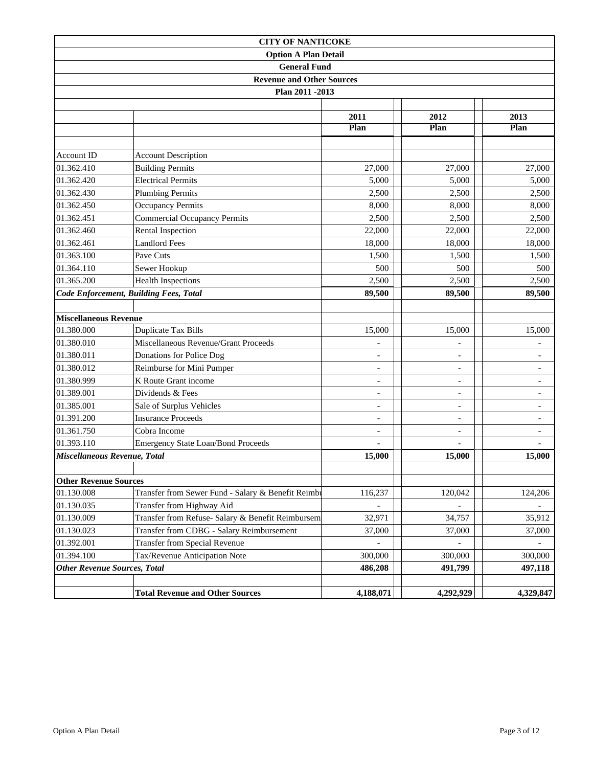|                                     | <b>CITY OF NANTICOKE</b>                          |                          |                          |                          |
|-------------------------------------|---------------------------------------------------|--------------------------|--------------------------|--------------------------|
|                                     | <b>Option A Plan Detail</b>                       |                          |                          |                          |
|                                     | <b>General Fund</b>                               |                          |                          |                          |
|                                     | <b>Revenue and Other Sources</b>                  |                          |                          |                          |
|                                     | Plan 2011 - 2013                                  |                          |                          |                          |
|                                     |                                                   |                          |                          |                          |
|                                     |                                                   | 2011                     | 2012                     | 2013                     |
|                                     |                                                   | Plan                     | Plan                     | Plan                     |
|                                     |                                                   |                          |                          |                          |
| Account ID                          | <b>Account Description</b>                        |                          |                          |                          |
| 01.362.410                          | <b>Building Permits</b>                           | 27,000                   | 27,000                   | 27,000                   |
| 01.362.420                          | <b>Electrical Permits</b>                         | 5,000                    | 5,000                    | 5,000                    |
| 01.362.430                          | <b>Plumbing Permits</b>                           | 2,500                    | 2,500                    | 2,500                    |
| 01.362.450                          | <b>Occupancy Permits</b>                          | 8,000                    | 8,000                    | 8,000                    |
| 01.362.451                          | <b>Commercial Occupancy Permits</b>               | 2,500                    | 2,500                    | 2,500                    |
| 01.362.460                          | <b>Rental Inspection</b>                          | 22,000                   | 22,000                   | 22,000                   |
| 01.362.461                          | <b>Landlord Fees</b>                              | 18,000                   | 18,000                   | 18,000                   |
| 01.363.100                          | Pave Cuts                                         | 1,500                    | 1,500                    | 1,500                    |
| 01.364.110                          | Sewer Hookup                                      | 500                      | 500                      | 500                      |
| 01.365.200                          | <b>Health Inspections</b>                         | 2,500                    | 2,500                    | 2,500                    |
|                                     | Code Enforcement, Building Fees, Total            | 89,500                   | 89,500                   | 89,500                   |
|                                     |                                                   |                          |                          |                          |
| <b>Miscellaneous Revenue</b>        |                                                   |                          |                          |                          |
| 01.380.000                          | <b>Duplicate Tax Bills</b>                        | 15,000                   | 15,000                   | 15,000                   |
| 01.380.010                          | Miscellaneous Revenue/Grant Proceeds              |                          |                          |                          |
| 01.380.011                          | Donations for Police Dog                          | L,                       |                          | $\overline{a}$           |
| 01.380.012                          | Reimburse for Mini Pumper                         |                          |                          | $\overline{\phantom{a}}$ |
| 01.380.999                          | K Route Grant income                              | $\overline{\phantom{a}}$ | $\overline{\phantom{a}}$ | $\overline{\phantom{a}}$ |
| 01.389.001                          | Dividends & Fees                                  | $\overline{\phantom{0}}$ | $\overline{a}$           | $\overline{\phantom{a}}$ |
| 01.385.001                          | Sale of Surplus Vehicles                          |                          |                          |                          |
| 01.391.200                          | <b>Insurance Proceeds</b>                         | $\overline{\phantom{a}}$ | $\overline{\phantom{a}}$ | $\overline{\phantom{a}}$ |
| 01.361.750                          | Cobra Income                                      | $\overline{\phantom{a}}$ | $\overline{a}$           | $\overline{\phantom{a}}$ |
| 01.393.110                          | <b>Emergency State Loan/Bond Proceeds</b>         |                          |                          |                          |
| Miscellaneous Revenue, Total        |                                                   | 15,000                   | 15,000                   | 15,000                   |
|                                     |                                                   |                          |                          |                          |
| <b>Other Revenue Sources</b>        |                                                   |                          |                          |                          |
| 01.130.008                          | Transfer from Sewer Fund - Salary & Benefit Reimb | 116,237                  | 120,042                  | 124,206                  |
| 01.130.035                          | Transfer from Highway Aid                         |                          |                          |                          |
| 01.130.009                          | Transfer from Refuse- Salary & Benefit Reimbursem | 32,971                   | 34,757                   | 35,912                   |
| 01.130.023                          | Transfer from CDBG - Salary Reimbursement         | 37,000                   | 37,000                   | 37,000                   |
| 01.392.001                          | <b>Transfer from Special Revenue</b>              |                          |                          |                          |
| 01.394.100                          | Tax/Revenue Anticipation Note                     | 300,000                  | 300,000                  | 300,000                  |
| <b>Other Revenue Sources, Total</b> |                                                   | 486,208                  | 491,799                  | 497,118                  |
|                                     |                                                   |                          |                          |                          |
|                                     | <b>Total Revenue and Other Sources</b>            | 4,188,071                | 4,292,929                | 4,329,847                |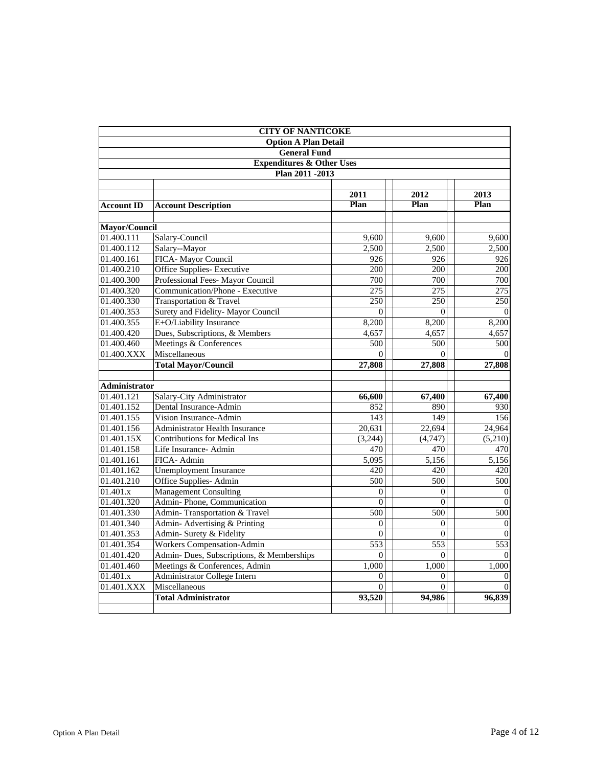|                         | <b>Option A Plan Detail</b><br><b>General Fund</b><br><b>Expenditures &amp; Other Uses</b><br>Plan 2011 - 2013 |                          |                |                      |  |  |
|-------------------------|----------------------------------------------------------------------------------------------------------------|--------------------------|----------------|----------------------|--|--|
|                         |                                                                                                                |                          |                |                      |  |  |
|                         |                                                                                                                |                          |                |                      |  |  |
|                         |                                                                                                                |                          |                |                      |  |  |
|                         |                                                                                                                |                          |                |                      |  |  |
|                         |                                                                                                                |                          |                |                      |  |  |
|                         |                                                                                                                | 2011                     | 2012<br>Plan   | 2013<br>Plan         |  |  |
| <b>Account ID</b>       | <b>Account Description</b>                                                                                     | Plan                     |                |                      |  |  |
| Mayor/Council           |                                                                                                                |                          |                |                      |  |  |
| 01.400.111              | Salary-Council                                                                                                 | 9,600                    | 9.600          | 9,600                |  |  |
| 01.400.112              | Salary--Mayor                                                                                                  | 2,500                    | 2,500          | 2,500                |  |  |
|                         | FICA- Mayor Council                                                                                            | 926                      | 926            | 926                  |  |  |
| 01.400.161              |                                                                                                                |                          |                |                      |  |  |
| 01.400.210              | <b>Office Supplies- Executive</b>                                                                              | 200                      | 200            | 200                  |  |  |
| 01.400.300              | Professional Fees- Mayor Council                                                                               | 700                      | 700            | 700                  |  |  |
| 01.400.320              | Communication/Phone - Executive                                                                                | 275                      | 275            | 275                  |  |  |
| 01.400.330              | Transportation & Travel                                                                                        | 250                      | 250            | 250                  |  |  |
| 01.400.353              | Surety and Fidelity- Mayor Council                                                                             | $\theta$                 | $\Omega$       | $\Omega$             |  |  |
| 01.400.355              | E+O/Liability Insurance                                                                                        | 8,200                    | 8,200          | 8,200                |  |  |
| 01.400.420              | Dues, Subscriptions, & Members                                                                                 | 4,657                    | 4,657          | 4,657                |  |  |
| 01.400.460              | Meetings & Conferences                                                                                         | 500                      | 500            | 500                  |  |  |
| 01.400.XXX              | Miscellaneous                                                                                                  | $\Omega$                 | $\Omega$       |                      |  |  |
|                         | <b>Total Mayor/Council</b>                                                                                     | 27,808                   | 27,808         | 27,808               |  |  |
|                         |                                                                                                                |                          |                |                      |  |  |
| Administrator           |                                                                                                                |                          |                |                      |  |  |
| 01.401.121              | Salary-City Administrator                                                                                      | 66,600                   | 67,400         | 67,400               |  |  |
| $\overline{01.401.152}$ | Dental Insurance-Admin                                                                                         | 852                      | 890            | 930                  |  |  |
| 01.401.155              | Vision Insurance-Admin                                                                                         | $\overline{143}$         | 149            | 156                  |  |  |
| 01.401.156              | Administrator Health Insurance                                                                                 | 20,631                   | 22,694         | 24,964               |  |  |
| 01.401.15X              | <b>Contributions for Medical Ins</b>                                                                           | (3,244)                  | (4,747)        | (5,210)              |  |  |
| 01.401.158              | Life Insurance- Admin                                                                                          | 470                      | 470            | 470                  |  |  |
| 01.401.161              | FICA-Admin                                                                                                     | 5,095                    | 5,156          | 5,156                |  |  |
| 01.401.162              | <b>Unemployment Insurance</b>                                                                                  | 420                      | 420            | 420                  |  |  |
| 01.401.210              | Office Supplies-Admin                                                                                          | 500                      | 500            | 500                  |  |  |
| 01.401.x                | Management Consulting                                                                                          | $\mathbf{0}$             | $\overline{0}$ | $\overline{0}$       |  |  |
| 01.401.320              | Admin-Phone, Communication                                                                                     | $\Omega$                 | $\Omega$       | $\Omega$             |  |  |
| 01.401.330              | Admin-Transportation & Travel                                                                                  | 500                      | 500            | 500                  |  |  |
| 01.401.340              | Admin-Advertising & Printing                                                                                   | $\mathbf{0}$             | $\overline{0}$ | $\overline{0}$       |  |  |
| 01.401.353              | Admin-Surety & Fidelity                                                                                        | $\mathbf{0}$             | $\overline{0}$ | $\overline{0}$       |  |  |
| 01.401.354              | Workers Compensation-Admin                                                                                     | 553                      | 553            | 553                  |  |  |
| 01.401.420              | Admin- Dues, Subscriptions, & Memberships                                                                      | $\theta$                 | $\Omega$       | $\Omega$             |  |  |
| 01.401.460              | Meetings & Conferences, Admin                                                                                  | 1,000                    | 1,000          | 1,000                |  |  |
| 01.401.x                | Administrator College Intern                                                                                   |                          | $\theta$       |                      |  |  |
| 01.401.XXX              | Miscellaneous                                                                                                  | $\mathbf{0}$<br>$\Omega$ | $\Omega$       | $\Omega$<br>$\Omega$ |  |  |
|                         |                                                                                                                | 93,520                   | 94,986         | 96,839               |  |  |
|                         | <b>Total Administrator</b>                                                                                     |                          |                |                      |  |  |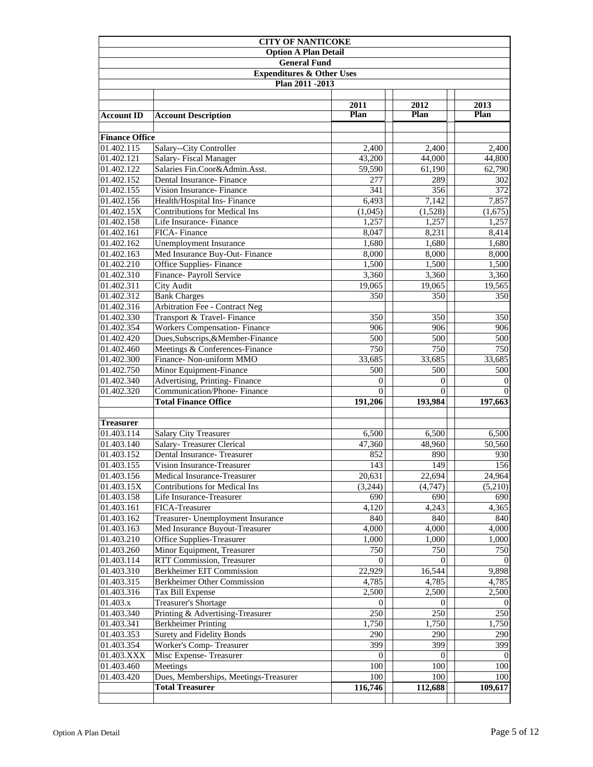|                                     | <b>CITY OF NANTICOKE</b>              |                |          |          |
|-------------------------------------|---------------------------------------|----------------|----------|----------|
|                                     | <b>Option A Plan Detail</b>           |                |          |          |
|                                     | <b>General Fund</b>                   |                |          |          |
|                                     | <b>Expenditures &amp; Other Uses</b>  |                |          |          |
|                                     | Plan 2011 - 2013                      |                |          |          |
|                                     |                                       |                |          |          |
|                                     |                                       | 2011           | 2012     | 2013     |
| <b>Account ID</b>                   | <b>Account Description</b>            | Plan           | Plan     | Plan     |
|                                     |                                       |                |          |          |
| <b>Finance Office</b><br>01.402.115 | Salary--City Controller               | 2,400          | 2,400    | 2,400    |
| 01.402.121                          | Salary-Fiscal Manager                 | 43,200         | 44,000   | 44,800   |
| 01.402.122                          | Salaries Fin.Coor&Admin.Asst.         | 59,590         | 61,190   | 62,790   |
| 01.402.152                          | Dental Insurance- Finance             | 277            | 289      | 302      |
| 01.402.155                          | Vision Insurance- Finance             | 341            | 356      | 372      |
| 01.402.156                          | Health/Hospital Ins- Finance          | 6,493          | 7,142    | 7,857    |
| 01.402.15X                          | <b>Contributions for Medical Ins</b>  | (1,045)        | (1,528)  | (1,675)  |
| 01.402.158                          | Life Insurance- Finance               | 1,257          | 1,257    | 1,257    |
| 01.402.161                          | FICA-Finance                          | 8,047          | 8,231    | 8,414    |
| 01.402.162                          | <b>Unemployment Insurance</b>         | 1,680          | 1,680    | 1,680    |
| 01.402.163                          | Med Insurance Buy-Out-Finance         | 8,000          | 8,000    | 8,000    |
| 01.402.210                          | Office Supplies-Finance               | 1,500          | 1,500    | 1,500    |
| 01.402.310                          | Finance- Payroll Service              | 3,360          | 3,360    | 3,360    |
| 01.402.311                          | <b>City Audit</b>                     | 19,065         | 19,065   | 19,565   |
| 01.402.312                          | <b>Bank Charges</b>                   | 350            | 350      | 350      |
| 01.402.316                          | Arbitration Fee - Contract Neg        |                |          |          |
| 01.402.330                          | Transport & Travel- Finance           | 350            | 350      | 350      |
| 01.402.354                          | <b>Workers Compensation-Finance</b>   | 906            | 906      | 906      |
| 01.402.420                          | Dues, Subscrips, & Member-Finance     | 500            | 500      | 500      |
| 01.402.460                          | Meetings & Conferences-Finance        | 750            | 750      | 750      |
| 01.402.300                          | Finance- Non-uniform MMO              | 33,685         | 33,685   | 33,685   |
| 01.402.750                          | Minor Equipment-Finance               | 500            | 500      | 500      |
| 01.402.340                          | Advertising, Printing-Finance         | $\overline{0}$ | 0        | $\theta$ |
| 01.402.320                          | Communication/Phone-Finance           | $\Omega$       | 0        |          |
|                                     | <b>Total Finance Office</b>           | 191,206        | 193,984  | 197,663  |
|                                     |                                       |                |          |          |
| <b>Treasurer</b>                    |                                       |                |          |          |
| 01.403.114                          | Salary City Treasurer                 | 6,500          | 6,500    | 6,500    |
| 01.403.140                          | Salary-Treasurer Clerical             | 47,360         | 48,960   | 50,560   |
| 01.403.152                          | Dental Insurance- Treasurer           | 852            | 890      | 930      |
| 01.403.155                          | Vision Insurance-Treasurer            | 143            | 149      | 156      |
| 01.403.156                          | Medical Insurance-Treasurer           | 20,631         | 22,694   | 24,964   |
| 01.403.15X                          | Contributions for Medical Ins         | (3,244)        | (4,747)  | (5,210)  |
| 01.403.158                          | Life Insurance-Treasurer              | 690            | 690      | 690      |
| 01.403.161                          | FICA-Treasurer                        | 4,120          | 4,243    | 4,365    |
| 01.403.162                          | Treasurer- Unemployment Insurance     | 840            | 840      | 840      |
| 01.403.163                          | Med Insurance Buyout-Treasurer        | 4,000          | 4,000    | 4,000    |
| 01.403.210                          | Office Supplies-Treasurer             | 1,000          | 1,000    | 1,000    |
| 01.403.260                          | Minor Equipment, Treasurer            | 750            | 750      | 750      |
| 01.403.114                          | RTT Commission, Treasurer             | $\theta$       | 0        | $\theta$ |
| 01.403.310                          | Berkheimer EIT Commission             | 22,929         | 16,544   | 9,898    |
| 01.403.315                          | <b>Berkheimer Other Commission</b>    | 4,785          | 4,785    | 4,785    |
| 01.403.316                          | Tax Bill Expense                      | 2,500          | 2,500    | 2,500    |
| 01.403.x                            | Treasurer's Shortage                  | $\Omega$       | $\theta$ | $\Omega$ |
| 01.403.340                          | Printing & Advertising-Treasurer      | 250            | 250      | 250      |
| 01.403.341                          | <b>Berkheimer Printing</b>            | 1,750          | 1,750    | 1,750    |
| 01.403.353                          | Surety and Fidelity Bonds             | 290            | 290      | 290      |
| 01.403.354                          | Worker's Comp-Treasurer               | 399            | 399      | 399      |
| 01.403.XXX                          | Misc Expense-Treasurer                | 0              | 0        | $\theta$ |
| 01.403.460                          | Meetings                              | 100            | 100      | 100      |
| 01.403.420                          | Dues, Memberships, Meetings-Treasurer | 100            | 100      | 100      |
|                                     | <b>Total Treasurer</b>                | 116,746        | 112,688  | 109,617  |
|                                     |                                       |                |          |          |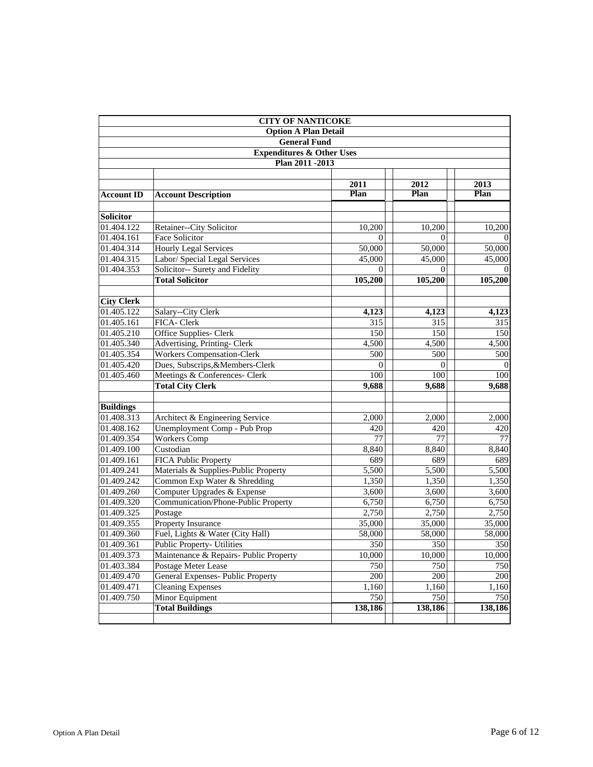| <b>Option A Plan Detail</b><br><b>General Fund</b><br><b>Expenditures &amp; Other Uses</b><br>Plan 2011 - 2013<br>2012<br>2011<br>Plan<br>Plan<br><b>Account Description</b><br>Account ID<br><b>Solicitor</b><br>Retainer--City Solicitor<br>01.404.122<br>10,200<br>10,200<br>Face Solicitor<br>01.404.161<br>$\Omega$<br>01.404.314<br><b>Hourly Legal Services</b><br>50,000<br>50,000 |          |              |
|--------------------------------------------------------------------------------------------------------------------------------------------------------------------------------------------------------------------------------------------------------------------------------------------------------------------------------------------------------------------------------------------|----------|--------------|
|                                                                                                                                                                                                                                                                                                                                                                                            |          |              |
|                                                                                                                                                                                                                                                                                                                                                                                            |          |              |
|                                                                                                                                                                                                                                                                                                                                                                                            |          |              |
|                                                                                                                                                                                                                                                                                                                                                                                            |          |              |
|                                                                                                                                                                                                                                                                                                                                                                                            |          |              |
|                                                                                                                                                                                                                                                                                                                                                                                            |          | 2013<br>Plan |
|                                                                                                                                                                                                                                                                                                                                                                                            |          |              |
|                                                                                                                                                                                                                                                                                                                                                                                            |          |              |
|                                                                                                                                                                                                                                                                                                                                                                                            |          | 10,200       |
|                                                                                                                                                                                                                                                                                                                                                                                            | $\Omega$ |              |
|                                                                                                                                                                                                                                                                                                                                                                                            |          | 50,000       |
| Labor/ Special Legal Services<br>01.404.315<br>45,000<br>45,000                                                                                                                                                                                                                                                                                                                            |          | 45,000       |
| Solicitor-- Surety and Fidelity<br>01.404.353<br>$\Omega$                                                                                                                                                                                                                                                                                                                                  | $\Omega$ | $\theta$     |
| 105,200<br>105,200<br><b>Total Solicitor</b>                                                                                                                                                                                                                                                                                                                                               |          | 105,200      |
|                                                                                                                                                                                                                                                                                                                                                                                            |          |              |
| <b>City Clerk</b>                                                                                                                                                                                                                                                                                                                                                                          |          |              |
| 01.405.122<br>Salary--City Clerk<br>4,123<br>4,123                                                                                                                                                                                                                                                                                                                                         |          | 4,123        |
| 01.405.161<br>FICA- Clerk<br>315                                                                                                                                                                                                                                                                                                                                                           | 315      | 315          |
| 01.405.210<br>Office Supplies- Clerk<br>150                                                                                                                                                                                                                                                                                                                                                | 150      | 150          |
| Advertising, Printing- Clerk<br>01.405.340<br>4,500<br>4,500                                                                                                                                                                                                                                                                                                                               |          | 4,500        |
| <b>Workers Compensation-Clerk</b><br>01.405.354<br>500                                                                                                                                                                                                                                                                                                                                     | 500      | 500          |
| 01.405.420<br>Dues, Subscrips, & Members-Clerk<br>0                                                                                                                                                                                                                                                                                                                                        | $\Omega$ | $\Omega$     |
| Meetings & Conferences- Clerk<br>01.405.460<br>100                                                                                                                                                                                                                                                                                                                                         | 100      | 100          |
| <b>Total City Clerk</b><br>9,688<br>9,688                                                                                                                                                                                                                                                                                                                                                  |          | 9,688        |
|                                                                                                                                                                                                                                                                                                                                                                                            |          |              |
| <b>Buildings</b>                                                                                                                                                                                                                                                                                                                                                                           |          |              |
| 01.408.313<br>Architect & Engineering Service<br>2,000<br>2,000                                                                                                                                                                                                                                                                                                                            |          | 2,000        |
| 01.408.162<br>Unemployment Comp - Pub Prop<br>420                                                                                                                                                                                                                                                                                                                                          | 420      | 420          |
| <b>Workers Comp</b><br>01.409.354<br>77                                                                                                                                                                                                                                                                                                                                                    | 77       | 77           |
| 01.409.100<br>Custodian<br>8,840<br>8,840                                                                                                                                                                                                                                                                                                                                                  |          | 8,840        |
| FICA Public Property<br>689<br>01.409.161                                                                                                                                                                                                                                                                                                                                                  | 689      | 689          |
| Materials & Supplies-Public Property<br>5,500<br>01.409.241<br>5,500                                                                                                                                                                                                                                                                                                                       |          | 5,500        |
| Common Exp Water & Shredding<br>01.409.242<br>1,350                                                                                                                                                                                                                                                                                                                                        | 1,350    | 1,350        |
| Computer Upgrades & Expense<br>01.409.260<br>3,600<br>3,600                                                                                                                                                                                                                                                                                                                                |          | 3,600        |
| Communication/Phone-Public Property<br>01.409.320<br>6,750<br>6,750                                                                                                                                                                                                                                                                                                                        |          | 6,750        |
| 2,750<br>01.409.325<br>2,750<br>Postage                                                                                                                                                                                                                                                                                                                                                    |          | 2,750        |
| Property Insurance<br>35,000<br>01.409.355<br>35,000                                                                                                                                                                                                                                                                                                                                       |          | 35,000       |
| Fuel, Lights & Water (City Hall)<br>01.409.360<br>58,000<br>58,000                                                                                                                                                                                                                                                                                                                         |          | 58,000       |
| 01.409.361<br>350<br>Public Property- Utilities                                                                                                                                                                                                                                                                                                                                            | 350      | 350          |
| 01.409.373<br>Maintenance & Repairs- Public Property<br>10,000<br>10,000                                                                                                                                                                                                                                                                                                                   |          | 10,000       |
| 01.403.384<br>Postage Meter Lease<br>750                                                                                                                                                                                                                                                                                                                                                   | 750      | 750          |
| General Expenses- Public Property<br>01.409.470<br>200                                                                                                                                                                                                                                                                                                                                     | 200      | 200          |
| 01.409.471<br><b>Cleaning Expenses</b><br>1,160                                                                                                                                                                                                                                                                                                                                            | 1,160    | 1,160        |
| Minor Equipment<br>01.409.750<br>750                                                                                                                                                                                                                                                                                                                                                       | 750      | 750          |
| <b>Total Buildings</b><br>138,186<br>138,186                                                                                                                                                                                                                                                                                                                                               |          | 138,186      |
|                                                                                                                                                                                                                                                                                                                                                                                            |          |              |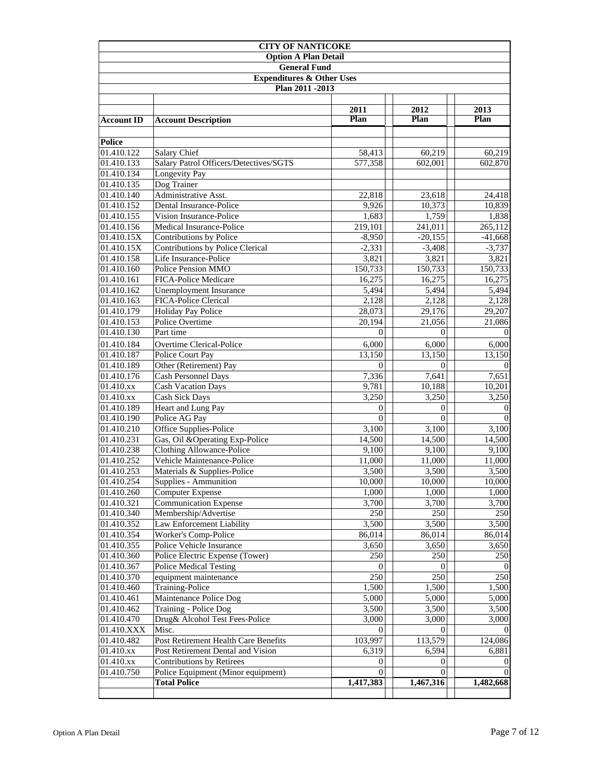| <b>Option A Plan Detail</b><br><b>General Fund</b><br><b>Expenditures &amp; Other Uses</b><br>Plan 2011 - 2013<br>2012<br>2011<br>2013<br>Plan<br>Plan<br>Plan<br><b>Account ID</b><br><b>Account Description</b><br><b>Police</b><br>01.410.122<br>Salary Chief<br>58,413<br>60,219<br>01.410.133<br>Salary Patrol Officers/Detectives/SGTS<br>602,001<br>577,358<br>01.410.134<br>Longevity Pay<br>01.410.135<br>Dog Trainer<br>01.410.140<br>Administrative Asst.<br>22,818<br>23,618<br>01.410.152<br>Dental Insurance-Police<br>9,926<br>10,373<br>Vision Insurance-Police<br>01.410.155<br>1,683<br>1,759<br>01.410.156<br>Medical Insurance-Police<br>219,101<br>241,011<br>Contributions by Police<br>01.410.15X<br>$-8,950$<br>$-20,155$<br>Contributions by Police Clerical<br>01.410.15X<br>$-2,331$<br>$-3,408$<br>Life Insurance-Police<br>3,821<br>3,821<br>01.410.158<br>3,821<br>Police Pension MMO<br>01.410.160<br>150,733<br>150,733<br>150,733<br><b>FICA-Police Medicare</b><br>01.410.161<br>16,275<br>16,275<br>16,275<br>01.410.162<br>5,494<br>5,494<br><b>Unemployment Insurance</b><br>5,494<br>FICA-Police Clerical<br>2,128<br>01.410.163<br>2,128<br>2,128<br>01.410.179<br>Holiday Pay Police<br>28,073<br>29,176<br>29,207<br>01.410.153<br>Police Overtime<br>21,086<br>20,194<br>21,056<br>01.410.130<br>Part time<br>$\theta$<br>$\Omega$<br>01.410.184<br>Overtime Clerical-Police<br>6,000<br>6,000<br>6,000<br>13,150<br>01.410.187<br>Police Court Pay<br>13,150<br>13,150<br>Other (Retirement) Pay<br>01.410.189<br>$\Omega$<br>$\theta$<br>01.410.176<br>Cash Personnel Days<br>7,336<br>7,641<br>01.410.xx<br><b>Cash Vacation Days</b><br>9,781<br>10,188<br>Cash Sick Days<br>3,250<br>3,250<br>01.410.xx<br>Heart and Lung Pay<br>01.410.189<br>$\boldsymbol{0}$<br>$\boldsymbol{0}$<br>Police AG Pay<br>01.410.190<br>$\Omega$<br>$\Omega$<br>Office Supplies-Police<br>01.410.210<br>3,100<br>3,100<br>Gas, Oil & Operating Exp-Police<br>14,500<br>14,500<br>01.410.231<br>01.410.238<br>Clothing Allowance-Police<br>9,100<br>9,100<br>Vehicle Maintenance-Police<br>01.410.252<br>11,000<br>11,000<br>01.410.253<br>Materials & Supplies-Police<br>3,500<br>3,500<br>3,500<br>01.410.254<br>Supplies - Ammunition<br>10,000<br>10,000<br>10,000<br>01.410.260<br><b>Computer Expense</b><br>1,000<br>1,000<br>1,000<br>01.410.321<br><b>Communication Expense</b><br>3,700<br>3,700<br>3,700<br>01.410.340<br>Membership/Advertise<br>250<br>250<br>250<br>Law Enforcement Liability<br>01.410.352<br>3,500<br>3,500<br>3,500<br>Worker's Comp-Police<br>01.410.354<br>86,014<br>86,014<br>86,014<br>01.410.355<br>Police Vehicle Insurance<br>3,650<br>3,650<br>Police Electric Expense (Tower)<br>250<br>250<br>01.410.360<br>01.410.367<br><b>Police Medical Testing</b><br>$\Omega$<br>$\Omega$<br>equipment maintenance<br>01.410.370<br>250<br>250<br>01.410.460<br>Training-Police<br>1,500<br>1,500<br>Maintenance Police Dog<br>01.410.461<br>5,000<br>5,000<br>Training - Police Dog<br>01.410.462<br>3,500<br>3,500<br>01.410.470<br>Drug& Alcohol Test Fees-Police<br>3,000<br>3,000<br>01.410.XXX<br>Misc.<br>0<br>$\Omega$<br>Post Retirement Health Care Benefits<br>103,997<br>113,579<br>01.410.482<br>Post Retirement Dental and Vision<br>6,594<br>01.410.xx<br>6,319<br>Contributions by Retirees<br>01.410.xx<br>$\Omega$<br>$\theta$<br>01.410.750<br>Police Equipment (Minor equipment)<br>0<br>$\Omega$<br>1,417,383<br>1,467,316<br>1,482,668<br><b>Total Police</b> | <b>CITY OF NANTICOKE</b> |  |           |
|--------------------------------------------------------------------------------------------------------------------------------------------------------------------------------------------------------------------------------------------------------------------------------------------------------------------------------------------------------------------------------------------------------------------------------------------------------------------------------------------------------------------------------------------------------------------------------------------------------------------------------------------------------------------------------------------------------------------------------------------------------------------------------------------------------------------------------------------------------------------------------------------------------------------------------------------------------------------------------------------------------------------------------------------------------------------------------------------------------------------------------------------------------------------------------------------------------------------------------------------------------------------------------------------------------------------------------------------------------------------------------------------------------------------------------------------------------------------------------------------------------------------------------------------------------------------------------------------------------------------------------------------------------------------------------------------------------------------------------------------------------------------------------------------------------------------------------------------------------------------------------------------------------------------------------------------------------------------------------------------------------------------------------------------------------------------------------------------------------------------------------------------------------------------------------------------------------------------------------------------------------------------------------------------------------------------------------------------------------------------------------------------------------------------------------------------------------------------------------------------------------------------------------------------------------------------------------------------------------------------------------------------------------------------------------------------------------------------------------------------------------------------------------------------------------------------------------------------------------------------------------------------------------------------------------------------------------------------------------------------------------------------------------------------------------------------------------------------------------------------------------------------------------------------------------------------------------------------------------------------------------------------------------------------------------------------------------------------------------------------------------------------------------------------------------------------------------------------------------------------------------------------------------------------------|--------------------------|--|-----------|
|                                                                                                                                                                                                                                                                                                                                                                                                                                                                                                                                                                                                                                                                                                                                                                                                                                                                                                                                                                                                                                                                                                                                                                                                                                                                                                                                                                                                                                                                                                                                                                                                                                                                                                                                                                                                                                                                                                                                                                                                                                                                                                                                                                                                                                                                                                                                                                                                                                                                                                                                                                                                                                                                                                                                                                                                                                                                                                                                                                                                                                                                                                                                                                                                                                                                                                                                                                                                                                                                                                                                                  |                          |  |           |
|                                                                                                                                                                                                                                                                                                                                                                                                                                                                                                                                                                                                                                                                                                                                                                                                                                                                                                                                                                                                                                                                                                                                                                                                                                                                                                                                                                                                                                                                                                                                                                                                                                                                                                                                                                                                                                                                                                                                                                                                                                                                                                                                                                                                                                                                                                                                                                                                                                                                                                                                                                                                                                                                                                                                                                                                                                                                                                                                                                                                                                                                                                                                                                                                                                                                                                                                                                                                                                                                                                                                                  |                          |  |           |
|                                                                                                                                                                                                                                                                                                                                                                                                                                                                                                                                                                                                                                                                                                                                                                                                                                                                                                                                                                                                                                                                                                                                                                                                                                                                                                                                                                                                                                                                                                                                                                                                                                                                                                                                                                                                                                                                                                                                                                                                                                                                                                                                                                                                                                                                                                                                                                                                                                                                                                                                                                                                                                                                                                                                                                                                                                                                                                                                                                                                                                                                                                                                                                                                                                                                                                                                                                                                                                                                                                                                                  |                          |  |           |
|                                                                                                                                                                                                                                                                                                                                                                                                                                                                                                                                                                                                                                                                                                                                                                                                                                                                                                                                                                                                                                                                                                                                                                                                                                                                                                                                                                                                                                                                                                                                                                                                                                                                                                                                                                                                                                                                                                                                                                                                                                                                                                                                                                                                                                                                                                                                                                                                                                                                                                                                                                                                                                                                                                                                                                                                                                                                                                                                                                                                                                                                                                                                                                                                                                                                                                                                                                                                                                                                                                                                                  |                          |  |           |
|                                                                                                                                                                                                                                                                                                                                                                                                                                                                                                                                                                                                                                                                                                                                                                                                                                                                                                                                                                                                                                                                                                                                                                                                                                                                                                                                                                                                                                                                                                                                                                                                                                                                                                                                                                                                                                                                                                                                                                                                                                                                                                                                                                                                                                                                                                                                                                                                                                                                                                                                                                                                                                                                                                                                                                                                                                                                                                                                                                                                                                                                                                                                                                                                                                                                                                                                                                                                                                                                                                                                                  |                          |  |           |
|                                                                                                                                                                                                                                                                                                                                                                                                                                                                                                                                                                                                                                                                                                                                                                                                                                                                                                                                                                                                                                                                                                                                                                                                                                                                                                                                                                                                                                                                                                                                                                                                                                                                                                                                                                                                                                                                                                                                                                                                                                                                                                                                                                                                                                                                                                                                                                                                                                                                                                                                                                                                                                                                                                                                                                                                                                                                                                                                                                                                                                                                                                                                                                                                                                                                                                                                                                                                                                                                                                                                                  |                          |  |           |
|                                                                                                                                                                                                                                                                                                                                                                                                                                                                                                                                                                                                                                                                                                                                                                                                                                                                                                                                                                                                                                                                                                                                                                                                                                                                                                                                                                                                                                                                                                                                                                                                                                                                                                                                                                                                                                                                                                                                                                                                                                                                                                                                                                                                                                                                                                                                                                                                                                                                                                                                                                                                                                                                                                                                                                                                                                                                                                                                                                                                                                                                                                                                                                                                                                                                                                                                                                                                                                                                                                                                                  |                          |  | 60,219    |
|                                                                                                                                                                                                                                                                                                                                                                                                                                                                                                                                                                                                                                                                                                                                                                                                                                                                                                                                                                                                                                                                                                                                                                                                                                                                                                                                                                                                                                                                                                                                                                                                                                                                                                                                                                                                                                                                                                                                                                                                                                                                                                                                                                                                                                                                                                                                                                                                                                                                                                                                                                                                                                                                                                                                                                                                                                                                                                                                                                                                                                                                                                                                                                                                                                                                                                                                                                                                                                                                                                                                                  |                          |  | 602,870   |
|                                                                                                                                                                                                                                                                                                                                                                                                                                                                                                                                                                                                                                                                                                                                                                                                                                                                                                                                                                                                                                                                                                                                                                                                                                                                                                                                                                                                                                                                                                                                                                                                                                                                                                                                                                                                                                                                                                                                                                                                                                                                                                                                                                                                                                                                                                                                                                                                                                                                                                                                                                                                                                                                                                                                                                                                                                                                                                                                                                                                                                                                                                                                                                                                                                                                                                                                                                                                                                                                                                                                                  |                          |  |           |
|                                                                                                                                                                                                                                                                                                                                                                                                                                                                                                                                                                                                                                                                                                                                                                                                                                                                                                                                                                                                                                                                                                                                                                                                                                                                                                                                                                                                                                                                                                                                                                                                                                                                                                                                                                                                                                                                                                                                                                                                                                                                                                                                                                                                                                                                                                                                                                                                                                                                                                                                                                                                                                                                                                                                                                                                                                                                                                                                                                                                                                                                                                                                                                                                                                                                                                                                                                                                                                                                                                                                                  |                          |  |           |
|                                                                                                                                                                                                                                                                                                                                                                                                                                                                                                                                                                                                                                                                                                                                                                                                                                                                                                                                                                                                                                                                                                                                                                                                                                                                                                                                                                                                                                                                                                                                                                                                                                                                                                                                                                                                                                                                                                                                                                                                                                                                                                                                                                                                                                                                                                                                                                                                                                                                                                                                                                                                                                                                                                                                                                                                                                                                                                                                                                                                                                                                                                                                                                                                                                                                                                                                                                                                                                                                                                                                                  |                          |  | 24,418    |
|                                                                                                                                                                                                                                                                                                                                                                                                                                                                                                                                                                                                                                                                                                                                                                                                                                                                                                                                                                                                                                                                                                                                                                                                                                                                                                                                                                                                                                                                                                                                                                                                                                                                                                                                                                                                                                                                                                                                                                                                                                                                                                                                                                                                                                                                                                                                                                                                                                                                                                                                                                                                                                                                                                                                                                                                                                                                                                                                                                                                                                                                                                                                                                                                                                                                                                                                                                                                                                                                                                                                                  |                          |  | 10,839    |
|                                                                                                                                                                                                                                                                                                                                                                                                                                                                                                                                                                                                                                                                                                                                                                                                                                                                                                                                                                                                                                                                                                                                                                                                                                                                                                                                                                                                                                                                                                                                                                                                                                                                                                                                                                                                                                                                                                                                                                                                                                                                                                                                                                                                                                                                                                                                                                                                                                                                                                                                                                                                                                                                                                                                                                                                                                                                                                                                                                                                                                                                                                                                                                                                                                                                                                                                                                                                                                                                                                                                                  |                          |  | 1,838     |
|                                                                                                                                                                                                                                                                                                                                                                                                                                                                                                                                                                                                                                                                                                                                                                                                                                                                                                                                                                                                                                                                                                                                                                                                                                                                                                                                                                                                                                                                                                                                                                                                                                                                                                                                                                                                                                                                                                                                                                                                                                                                                                                                                                                                                                                                                                                                                                                                                                                                                                                                                                                                                                                                                                                                                                                                                                                                                                                                                                                                                                                                                                                                                                                                                                                                                                                                                                                                                                                                                                                                                  |                          |  | 265,112   |
|                                                                                                                                                                                                                                                                                                                                                                                                                                                                                                                                                                                                                                                                                                                                                                                                                                                                                                                                                                                                                                                                                                                                                                                                                                                                                                                                                                                                                                                                                                                                                                                                                                                                                                                                                                                                                                                                                                                                                                                                                                                                                                                                                                                                                                                                                                                                                                                                                                                                                                                                                                                                                                                                                                                                                                                                                                                                                                                                                                                                                                                                                                                                                                                                                                                                                                                                                                                                                                                                                                                                                  |                          |  | $-41,668$ |
|                                                                                                                                                                                                                                                                                                                                                                                                                                                                                                                                                                                                                                                                                                                                                                                                                                                                                                                                                                                                                                                                                                                                                                                                                                                                                                                                                                                                                                                                                                                                                                                                                                                                                                                                                                                                                                                                                                                                                                                                                                                                                                                                                                                                                                                                                                                                                                                                                                                                                                                                                                                                                                                                                                                                                                                                                                                                                                                                                                                                                                                                                                                                                                                                                                                                                                                                                                                                                                                                                                                                                  |                          |  | $-3,737$  |
|                                                                                                                                                                                                                                                                                                                                                                                                                                                                                                                                                                                                                                                                                                                                                                                                                                                                                                                                                                                                                                                                                                                                                                                                                                                                                                                                                                                                                                                                                                                                                                                                                                                                                                                                                                                                                                                                                                                                                                                                                                                                                                                                                                                                                                                                                                                                                                                                                                                                                                                                                                                                                                                                                                                                                                                                                                                                                                                                                                                                                                                                                                                                                                                                                                                                                                                                                                                                                                                                                                                                                  |                          |  |           |
|                                                                                                                                                                                                                                                                                                                                                                                                                                                                                                                                                                                                                                                                                                                                                                                                                                                                                                                                                                                                                                                                                                                                                                                                                                                                                                                                                                                                                                                                                                                                                                                                                                                                                                                                                                                                                                                                                                                                                                                                                                                                                                                                                                                                                                                                                                                                                                                                                                                                                                                                                                                                                                                                                                                                                                                                                                                                                                                                                                                                                                                                                                                                                                                                                                                                                                                                                                                                                                                                                                                                                  |                          |  |           |
|                                                                                                                                                                                                                                                                                                                                                                                                                                                                                                                                                                                                                                                                                                                                                                                                                                                                                                                                                                                                                                                                                                                                                                                                                                                                                                                                                                                                                                                                                                                                                                                                                                                                                                                                                                                                                                                                                                                                                                                                                                                                                                                                                                                                                                                                                                                                                                                                                                                                                                                                                                                                                                                                                                                                                                                                                                                                                                                                                                                                                                                                                                                                                                                                                                                                                                                                                                                                                                                                                                                                                  |                          |  |           |
|                                                                                                                                                                                                                                                                                                                                                                                                                                                                                                                                                                                                                                                                                                                                                                                                                                                                                                                                                                                                                                                                                                                                                                                                                                                                                                                                                                                                                                                                                                                                                                                                                                                                                                                                                                                                                                                                                                                                                                                                                                                                                                                                                                                                                                                                                                                                                                                                                                                                                                                                                                                                                                                                                                                                                                                                                                                                                                                                                                                                                                                                                                                                                                                                                                                                                                                                                                                                                                                                                                                                                  |                          |  |           |
|                                                                                                                                                                                                                                                                                                                                                                                                                                                                                                                                                                                                                                                                                                                                                                                                                                                                                                                                                                                                                                                                                                                                                                                                                                                                                                                                                                                                                                                                                                                                                                                                                                                                                                                                                                                                                                                                                                                                                                                                                                                                                                                                                                                                                                                                                                                                                                                                                                                                                                                                                                                                                                                                                                                                                                                                                                                                                                                                                                                                                                                                                                                                                                                                                                                                                                                                                                                                                                                                                                                                                  |                          |  |           |
|                                                                                                                                                                                                                                                                                                                                                                                                                                                                                                                                                                                                                                                                                                                                                                                                                                                                                                                                                                                                                                                                                                                                                                                                                                                                                                                                                                                                                                                                                                                                                                                                                                                                                                                                                                                                                                                                                                                                                                                                                                                                                                                                                                                                                                                                                                                                                                                                                                                                                                                                                                                                                                                                                                                                                                                                                                                                                                                                                                                                                                                                                                                                                                                                                                                                                                                                                                                                                                                                                                                                                  |                          |  |           |
|                                                                                                                                                                                                                                                                                                                                                                                                                                                                                                                                                                                                                                                                                                                                                                                                                                                                                                                                                                                                                                                                                                                                                                                                                                                                                                                                                                                                                                                                                                                                                                                                                                                                                                                                                                                                                                                                                                                                                                                                                                                                                                                                                                                                                                                                                                                                                                                                                                                                                                                                                                                                                                                                                                                                                                                                                                                                                                                                                                                                                                                                                                                                                                                                                                                                                                                                                                                                                                                                                                                                                  |                          |  | $\theta$  |
|                                                                                                                                                                                                                                                                                                                                                                                                                                                                                                                                                                                                                                                                                                                                                                                                                                                                                                                                                                                                                                                                                                                                                                                                                                                                                                                                                                                                                                                                                                                                                                                                                                                                                                                                                                                                                                                                                                                                                                                                                                                                                                                                                                                                                                                                                                                                                                                                                                                                                                                                                                                                                                                                                                                                                                                                                                                                                                                                                                                                                                                                                                                                                                                                                                                                                                                                                                                                                                                                                                                                                  |                          |  |           |
|                                                                                                                                                                                                                                                                                                                                                                                                                                                                                                                                                                                                                                                                                                                                                                                                                                                                                                                                                                                                                                                                                                                                                                                                                                                                                                                                                                                                                                                                                                                                                                                                                                                                                                                                                                                                                                                                                                                                                                                                                                                                                                                                                                                                                                                                                                                                                                                                                                                                                                                                                                                                                                                                                                                                                                                                                                                                                                                                                                                                                                                                                                                                                                                                                                                                                                                                                                                                                                                                                                                                                  |                          |  |           |
|                                                                                                                                                                                                                                                                                                                                                                                                                                                                                                                                                                                                                                                                                                                                                                                                                                                                                                                                                                                                                                                                                                                                                                                                                                                                                                                                                                                                                                                                                                                                                                                                                                                                                                                                                                                                                                                                                                                                                                                                                                                                                                                                                                                                                                                                                                                                                                                                                                                                                                                                                                                                                                                                                                                                                                                                                                                                                                                                                                                                                                                                                                                                                                                                                                                                                                                                                                                                                                                                                                                                                  |                          |  |           |
|                                                                                                                                                                                                                                                                                                                                                                                                                                                                                                                                                                                                                                                                                                                                                                                                                                                                                                                                                                                                                                                                                                                                                                                                                                                                                                                                                                                                                                                                                                                                                                                                                                                                                                                                                                                                                                                                                                                                                                                                                                                                                                                                                                                                                                                                                                                                                                                                                                                                                                                                                                                                                                                                                                                                                                                                                                                                                                                                                                                                                                                                                                                                                                                                                                                                                                                                                                                                                                                                                                                                                  |                          |  | 7,651     |
|                                                                                                                                                                                                                                                                                                                                                                                                                                                                                                                                                                                                                                                                                                                                                                                                                                                                                                                                                                                                                                                                                                                                                                                                                                                                                                                                                                                                                                                                                                                                                                                                                                                                                                                                                                                                                                                                                                                                                                                                                                                                                                                                                                                                                                                                                                                                                                                                                                                                                                                                                                                                                                                                                                                                                                                                                                                                                                                                                                                                                                                                                                                                                                                                                                                                                                                                                                                                                                                                                                                                                  |                          |  | 10,201    |
|                                                                                                                                                                                                                                                                                                                                                                                                                                                                                                                                                                                                                                                                                                                                                                                                                                                                                                                                                                                                                                                                                                                                                                                                                                                                                                                                                                                                                                                                                                                                                                                                                                                                                                                                                                                                                                                                                                                                                                                                                                                                                                                                                                                                                                                                                                                                                                                                                                                                                                                                                                                                                                                                                                                                                                                                                                                                                                                                                                                                                                                                                                                                                                                                                                                                                                                                                                                                                                                                                                                                                  |                          |  | 3,250     |
|                                                                                                                                                                                                                                                                                                                                                                                                                                                                                                                                                                                                                                                                                                                                                                                                                                                                                                                                                                                                                                                                                                                                                                                                                                                                                                                                                                                                                                                                                                                                                                                                                                                                                                                                                                                                                                                                                                                                                                                                                                                                                                                                                                                                                                                                                                                                                                                                                                                                                                                                                                                                                                                                                                                                                                                                                                                                                                                                                                                                                                                                                                                                                                                                                                                                                                                                                                                                                                                                                                                                                  |                          |  | 0         |
|                                                                                                                                                                                                                                                                                                                                                                                                                                                                                                                                                                                                                                                                                                                                                                                                                                                                                                                                                                                                                                                                                                                                                                                                                                                                                                                                                                                                                                                                                                                                                                                                                                                                                                                                                                                                                                                                                                                                                                                                                                                                                                                                                                                                                                                                                                                                                                                                                                                                                                                                                                                                                                                                                                                                                                                                                                                                                                                                                                                                                                                                                                                                                                                                                                                                                                                                                                                                                                                                                                                                                  |                          |  | $\Omega$  |
|                                                                                                                                                                                                                                                                                                                                                                                                                                                                                                                                                                                                                                                                                                                                                                                                                                                                                                                                                                                                                                                                                                                                                                                                                                                                                                                                                                                                                                                                                                                                                                                                                                                                                                                                                                                                                                                                                                                                                                                                                                                                                                                                                                                                                                                                                                                                                                                                                                                                                                                                                                                                                                                                                                                                                                                                                                                                                                                                                                                                                                                                                                                                                                                                                                                                                                                                                                                                                                                                                                                                                  |                          |  | 3,100     |
|                                                                                                                                                                                                                                                                                                                                                                                                                                                                                                                                                                                                                                                                                                                                                                                                                                                                                                                                                                                                                                                                                                                                                                                                                                                                                                                                                                                                                                                                                                                                                                                                                                                                                                                                                                                                                                                                                                                                                                                                                                                                                                                                                                                                                                                                                                                                                                                                                                                                                                                                                                                                                                                                                                                                                                                                                                                                                                                                                                                                                                                                                                                                                                                                                                                                                                                                                                                                                                                                                                                                                  |                          |  | 14,500    |
|                                                                                                                                                                                                                                                                                                                                                                                                                                                                                                                                                                                                                                                                                                                                                                                                                                                                                                                                                                                                                                                                                                                                                                                                                                                                                                                                                                                                                                                                                                                                                                                                                                                                                                                                                                                                                                                                                                                                                                                                                                                                                                                                                                                                                                                                                                                                                                                                                                                                                                                                                                                                                                                                                                                                                                                                                                                                                                                                                                                                                                                                                                                                                                                                                                                                                                                                                                                                                                                                                                                                                  |                          |  | 9,100     |
|                                                                                                                                                                                                                                                                                                                                                                                                                                                                                                                                                                                                                                                                                                                                                                                                                                                                                                                                                                                                                                                                                                                                                                                                                                                                                                                                                                                                                                                                                                                                                                                                                                                                                                                                                                                                                                                                                                                                                                                                                                                                                                                                                                                                                                                                                                                                                                                                                                                                                                                                                                                                                                                                                                                                                                                                                                                                                                                                                                                                                                                                                                                                                                                                                                                                                                                                                                                                                                                                                                                                                  |                          |  | 11,000    |
|                                                                                                                                                                                                                                                                                                                                                                                                                                                                                                                                                                                                                                                                                                                                                                                                                                                                                                                                                                                                                                                                                                                                                                                                                                                                                                                                                                                                                                                                                                                                                                                                                                                                                                                                                                                                                                                                                                                                                                                                                                                                                                                                                                                                                                                                                                                                                                                                                                                                                                                                                                                                                                                                                                                                                                                                                                                                                                                                                                                                                                                                                                                                                                                                                                                                                                                                                                                                                                                                                                                                                  |                          |  |           |
|                                                                                                                                                                                                                                                                                                                                                                                                                                                                                                                                                                                                                                                                                                                                                                                                                                                                                                                                                                                                                                                                                                                                                                                                                                                                                                                                                                                                                                                                                                                                                                                                                                                                                                                                                                                                                                                                                                                                                                                                                                                                                                                                                                                                                                                                                                                                                                                                                                                                                                                                                                                                                                                                                                                                                                                                                                                                                                                                                                                                                                                                                                                                                                                                                                                                                                                                                                                                                                                                                                                                                  |                          |  |           |
|                                                                                                                                                                                                                                                                                                                                                                                                                                                                                                                                                                                                                                                                                                                                                                                                                                                                                                                                                                                                                                                                                                                                                                                                                                                                                                                                                                                                                                                                                                                                                                                                                                                                                                                                                                                                                                                                                                                                                                                                                                                                                                                                                                                                                                                                                                                                                                                                                                                                                                                                                                                                                                                                                                                                                                                                                                                                                                                                                                                                                                                                                                                                                                                                                                                                                                                                                                                                                                                                                                                                                  |                          |  |           |
|                                                                                                                                                                                                                                                                                                                                                                                                                                                                                                                                                                                                                                                                                                                                                                                                                                                                                                                                                                                                                                                                                                                                                                                                                                                                                                                                                                                                                                                                                                                                                                                                                                                                                                                                                                                                                                                                                                                                                                                                                                                                                                                                                                                                                                                                                                                                                                                                                                                                                                                                                                                                                                                                                                                                                                                                                                                                                                                                                                                                                                                                                                                                                                                                                                                                                                                                                                                                                                                                                                                                                  |                          |  |           |
|                                                                                                                                                                                                                                                                                                                                                                                                                                                                                                                                                                                                                                                                                                                                                                                                                                                                                                                                                                                                                                                                                                                                                                                                                                                                                                                                                                                                                                                                                                                                                                                                                                                                                                                                                                                                                                                                                                                                                                                                                                                                                                                                                                                                                                                                                                                                                                                                                                                                                                                                                                                                                                                                                                                                                                                                                                                                                                                                                                                                                                                                                                                                                                                                                                                                                                                                                                                                                                                                                                                                                  |                          |  |           |
|                                                                                                                                                                                                                                                                                                                                                                                                                                                                                                                                                                                                                                                                                                                                                                                                                                                                                                                                                                                                                                                                                                                                                                                                                                                                                                                                                                                                                                                                                                                                                                                                                                                                                                                                                                                                                                                                                                                                                                                                                                                                                                                                                                                                                                                                                                                                                                                                                                                                                                                                                                                                                                                                                                                                                                                                                                                                                                                                                                                                                                                                                                                                                                                                                                                                                                                                                                                                                                                                                                                                                  |                          |  |           |
|                                                                                                                                                                                                                                                                                                                                                                                                                                                                                                                                                                                                                                                                                                                                                                                                                                                                                                                                                                                                                                                                                                                                                                                                                                                                                                                                                                                                                                                                                                                                                                                                                                                                                                                                                                                                                                                                                                                                                                                                                                                                                                                                                                                                                                                                                                                                                                                                                                                                                                                                                                                                                                                                                                                                                                                                                                                                                                                                                                                                                                                                                                                                                                                                                                                                                                                                                                                                                                                                                                                                                  |                          |  | 3,650     |
|                                                                                                                                                                                                                                                                                                                                                                                                                                                                                                                                                                                                                                                                                                                                                                                                                                                                                                                                                                                                                                                                                                                                                                                                                                                                                                                                                                                                                                                                                                                                                                                                                                                                                                                                                                                                                                                                                                                                                                                                                                                                                                                                                                                                                                                                                                                                                                                                                                                                                                                                                                                                                                                                                                                                                                                                                                                                                                                                                                                                                                                                                                                                                                                                                                                                                                                                                                                                                                                                                                                                                  |                          |  | 250       |
|                                                                                                                                                                                                                                                                                                                                                                                                                                                                                                                                                                                                                                                                                                                                                                                                                                                                                                                                                                                                                                                                                                                                                                                                                                                                                                                                                                                                                                                                                                                                                                                                                                                                                                                                                                                                                                                                                                                                                                                                                                                                                                                                                                                                                                                                                                                                                                                                                                                                                                                                                                                                                                                                                                                                                                                                                                                                                                                                                                                                                                                                                                                                                                                                                                                                                                                                                                                                                                                                                                                                                  |                          |  | $\theta$  |
|                                                                                                                                                                                                                                                                                                                                                                                                                                                                                                                                                                                                                                                                                                                                                                                                                                                                                                                                                                                                                                                                                                                                                                                                                                                                                                                                                                                                                                                                                                                                                                                                                                                                                                                                                                                                                                                                                                                                                                                                                                                                                                                                                                                                                                                                                                                                                                                                                                                                                                                                                                                                                                                                                                                                                                                                                                                                                                                                                                                                                                                                                                                                                                                                                                                                                                                                                                                                                                                                                                                                                  |                          |  | 250       |
|                                                                                                                                                                                                                                                                                                                                                                                                                                                                                                                                                                                                                                                                                                                                                                                                                                                                                                                                                                                                                                                                                                                                                                                                                                                                                                                                                                                                                                                                                                                                                                                                                                                                                                                                                                                                                                                                                                                                                                                                                                                                                                                                                                                                                                                                                                                                                                                                                                                                                                                                                                                                                                                                                                                                                                                                                                                                                                                                                                                                                                                                                                                                                                                                                                                                                                                                                                                                                                                                                                                                                  |                          |  | 1,500     |
|                                                                                                                                                                                                                                                                                                                                                                                                                                                                                                                                                                                                                                                                                                                                                                                                                                                                                                                                                                                                                                                                                                                                                                                                                                                                                                                                                                                                                                                                                                                                                                                                                                                                                                                                                                                                                                                                                                                                                                                                                                                                                                                                                                                                                                                                                                                                                                                                                                                                                                                                                                                                                                                                                                                                                                                                                                                                                                                                                                                                                                                                                                                                                                                                                                                                                                                                                                                                                                                                                                                                                  |                          |  | 5,000     |
|                                                                                                                                                                                                                                                                                                                                                                                                                                                                                                                                                                                                                                                                                                                                                                                                                                                                                                                                                                                                                                                                                                                                                                                                                                                                                                                                                                                                                                                                                                                                                                                                                                                                                                                                                                                                                                                                                                                                                                                                                                                                                                                                                                                                                                                                                                                                                                                                                                                                                                                                                                                                                                                                                                                                                                                                                                                                                                                                                                                                                                                                                                                                                                                                                                                                                                                                                                                                                                                                                                                                                  |                          |  | 3,500     |
|                                                                                                                                                                                                                                                                                                                                                                                                                                                                                                                                                                                                                                                                                                                                                                                                                                                                                                                                                                                                                                                                                                                                                                                                                                                                                                                                                                                                                                                                                                                                                                                                                                                                                                                                                                                                                                                                                                                                                                                                                                                                                                                                                                                                                                                                                                                                                                                                                                                                                                                                                                                                                                                                                                                                                                                                                                                                                                                                                                                                                                                                                                                                                                                                                                                                                                                                                                                                                                                                                                                                                  |                          |  | 3,000     |
|                                                                                                                                                                                                                                                                                                                                                                                                                                                                                                                                                                                                                                                                                                                                                                                                                                                                                                                                                                                                                                                                                                                                                                                                                                                                                                                                                                                                                                                                                                                                                                                                                                                                                                                                                                                                                                                                                                                                                                                                                                                                                                                                                                                                                                                                                                                                                                                                                                                                                                                                                                                                                                                                                                                                                                                                                                                                                                                                                                                                                                                                                                                                                                                                                                                                                                                                                                                                                                                                                                                                                  |                          |  |           |
|                                                                                                                                                                                                                                                                                                                                                                                                                                                                                                                                                                                                                                                                                                                                                                                                                                                                                                                                                                                                                                                                                                                                                                                                                                                                                                                                                                                                                                                                                                                                                                                                                                                                                                                                                                                                                                                                                                                                                                                                                                                                                                                                                                                                                                                                                                                                                                                                                                                                                                                                                                                                                                                                                                                                                                                                                                                                                                                                                                                                                                                                                                                                                                                                                                                                                                                                                                                                                                                                                                                                                  |                          |  | 124,086   |
|                                                                                                                                                                                                                                                                                                                                                                                                                                                                                                                                                                                                                                                                                                                                                                                                                                                                                                                                                                                                                                                                                                                                                                                                                                                                                                                                                                                                                                                                                                                                                                                                                                                                                                                                                                                                                                                                                                                                                                                                                                                                                                                                                                                                                                                                                                                                                                                                                                                                                                                                                                                                                                                                                                                                                                                                                                                                                                                                                                                                                                                                                                                                                                                                                                                                                                                                                                                                                                                                                                                                                  |                          |  | 6,881     |
|                                                                                                                                                                                                                                                                                                                                                                                                                                                                                                                                                                                                                                                                                                                                                                                                                                                                                                                                                                                                                                                                                                                                                                                                                                                                                                                                                                                                                                                                                                                                                                                                                                                                                                                                                                                                                                                                                                                                                                                                                                                                                                                                                                                                                                                                                                                                                                                                                                                                                                                                                                                                                                                                                                                                                                                                                                                                                                                                                                                                                                                                                                                                                                                                                                                                                                                                                                                                                                                                                                                                                  |                          |  |           |
|                                                                                                                                                                                                                                                                                                                                                                                                                                                                                                                                                                                                                                                                                                                                                                                                                                                                                                                                                                                                                                                                                                                                                                                                                                                                                                                                                                                                                                                                                                                                                                                                                                                                                                                                                                                                                                                                                                                                                                                                                                                                                                                                                                                                                                                                                                                                                                                                                                                                                                                                                                                                                                                                                                                                                                                                                                                                                                                                                                                                                                                                                                                                                                                                                                                                                                                                                                                                                                                                                                                                                  |                          |  |           |
|                                                                                                                                                                                                                                                                                                                                                                                                                                                                                                                                                                                                                                                                                                                                                                                                                                                                                                                                                                                                                                                                                                                                                                                                                                                                                                                                                                                                                                                                                                                                                                                                                                                                                                                                                                                                                                                                                                                                                                                                                                                                                                                                                                                                                                                                                                                                                                                                                                                                                                                                                                                                                                                                                                                                                                                                                                                                                                                                                                                                                                                                                                                                                                                                                                                                                                                                                                                                                                                                                                                                                  |                          |  |           |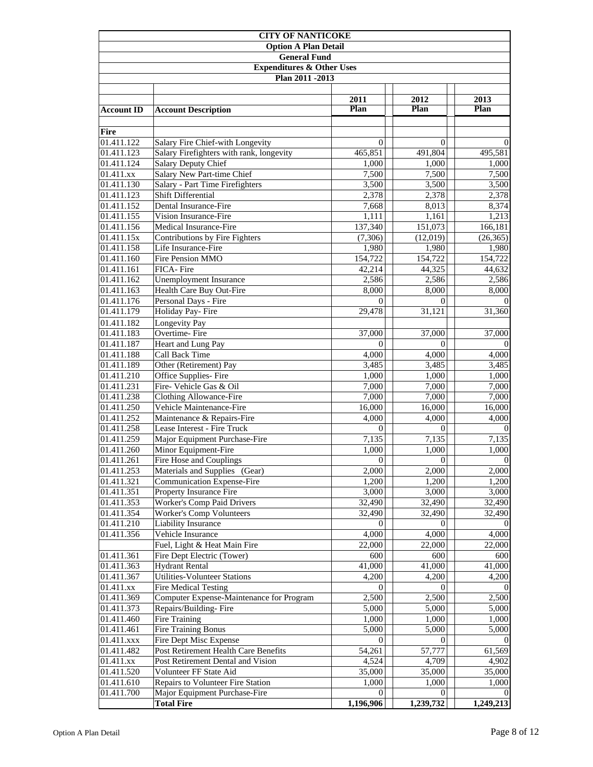|                          | <b>CITY OF NANTICOKE</b>                                  |                           |                         |                         |
|--------------------------|-----------------------------------------------------------|---------------------------|-------------------------|-------------------------|
|                          | <b>Option A Plan Detail</b><br><b>General Fund</b>        |                           |                         |                         |
|                          | <b>Expenditures &amp; Other Uses</b>                      |                           |                         |                         |
|                          | Plan 2011 - 2013                                          |                           |                         |                         |
|                          |                                                           |                           |                         |                         |
|                          |                                                           | 2011                      | 2012                    | 2013                    |
| <b>Account ID</b>        | <b>Account Description</b>                                | Plan                      | Plan                    | Plan                    |
| <b>Fire</b>              |                                                           |                           |                         |                         |
| 01.411.122               | Salary Fire Chief-with Longevity                          | $\overline{0}$            | 0                       | $\theta$                |
| 01.411.123               | Salary Firefighters with rank, longevity                  | 465,851                   | 491,804                 | 495,581                 |
| 01.411.124               | Salary Deputy Chief                                       | 1,000                     | 1,000                   | 1,000                   |
| 01.411.xx                | <b>Salary New Part-time Chief</b>                         | 7,500                     | 7,500                   | 7,500                   |
| 01.411.130               | Salary - Part Time Firefighters                           | 3,500                     | 3,500                   | 3,500                   |
| 01.411.123               | Shift Differential                                        | 2,378                     | 2,378                   | 2,378                   |
| 01.411.152               | Dental Insurance-Fire                                     | 7,668                     | 8,013                   | 8,374                   |
| 01.411.155               | Vision Insurance-Fire                                     | 1,111                     | 1,161                   | 1,213                   |
| 01.411.156               | Medical Insurance-Fire                                    | 137,340                   | 151,073                 | 166,181                 |
| 01.411.15x               | Contributions by Fire Fighters                            | (7,306)                   | (12,019)                | (26, 365)               |
| 01.411.158               | Life Insurance-Fire                                       | 1,980                     | 1,980                   | 1,980                   |
| 01.411.160               | Fire Pension MMO                                          | 154,722                   | 154,722                 | 154,722                 |
| 01.411.161               | FICA-Fire                                                 | 42,214                    | 44,325                  | 44,632                  |
| 01.411.162               | <b>Unemployment Insurance</b><br>Health Care Buy Out-Fire | 2,586                     | 2,586                   | 2,586                   |
| 01.411.163<br>01.411.176 | Personal Days - Fire                                      | 8,000                     | 8,000<br>$\Omega$       | 8,000                   |
| 01.411.179               | Holiday Pay-Fire                                          | 29,478                    | 31,121                  | 31,360                  |
| 01.411.182               | Longevity Pay                                             |                           |                         |                         |
| 01.411.183               | Overtime-Fire                                             | 37,000                    | 37,000                  | 37,000                  |
| 01.411.187               | Heart and Lung Pay                                        | $\Omega$                  | $\Omega$                |                         |
| 01.411.188               | Call Back Time                                            | 4,000                     | 4,000                   | 4,000                   |
| 01.411.189               | Other (Retirement) Pay                                    | 3,485                     | 3,485                   | 3,485                   |
| 01.411.210               | Office Supplies-Fire                                      | 1,000                     | 1,000                   | 1,000                   |
| 01.411.231               | Fire- Vehicle Gas & Oil                                   | 7,000                     | 7,000                   | 7,000                   |
| 01.411.238               | <b>Clothing Allowance-Fire</b>                            | 7,000                     | 7,000                   | 7,000                   |
| 01.411.250               | Vehicle Maintenance-Fire                                  | 16,000                    | 16,000                  | 16,000                  |
| 01.411.252               | Maintenance & Repairs-Fire                                | 4,000                     | 4,000                   | 4,000                   |
| 01.411.258               | Lease Interest - Fire Truck                               | $\Omega$                  | $\Omega$                | $\Omega$                |
| 01.411.259               | Major Equipment Purchase-Fire<br>Minor Equipment-Fire     | 7,135                     | 7,135                   | 7,135                   |
| 01.411.260<br>01.411.261 | Fire Hose and Couplings                                   | 1,000<br>$\boldsymbol{0}$ | 1,000<br>$\overline{0}$ | 1,000<br>$\overline{0}$ |
| 01.411.253               | Materials and Supplies (Gear)                             | 2,000                     | 2,000                   | 2,000                   |
| 01.411.321               | <b>Communication Expense-Fire</b>                         | 1,200                     | 1,200                   | 1,200                   |
| 01.411.351               | Property Insurance Fire                                   | 3,000                     | 3,000                   | 3,000                   |
| 01.411.353               | <b>Worker's Comp Paid Drivers</b>                         | 32,490                    | 32,490                  | 32,490                  |
| 01.411.354               | <b>Worker's Comp Volunteers</b>                           | 32,490                    | 32,490                  | 32,490                  |
| 01.411.210               | Liability Insurance                                       | $\Omega$                  | $\Omega$                |                         |
| 01.411.356               | Vehicle Insurance                                         | 4,000                     | 4,000                   | 4,000                   |
|                          | Fuel, Light & Heat Main Fire                              | 22,000                    | 22,000                  | 22,000                  |
| 01.411.361               | Fire Dept Electric (Tower)                                | 600                       | 600                     | 600                     |
| 01.411.363               | <b>Hydrant Rental</b>                                     | 41,000                    | 41,000                  | 41,000                  |
| 01.411.367               | <b>Utilities-Volunteer Stations</b>                       | 4,200                     | 4,200                   | 4,200                   |
| 01.411.xx                | <b>Fire Medical Testing</b>                               | $\Omega$                  | 0                       |                         |
| 01.411.369               | Computer Expense-Maintenance for Program                  | 2,500                     | 2,500                   | 2,500                   |
| 01.411.373               | Repairs/Building-Fire                                     | 5,000                     | 5,000                   | 5,000                   |
| 01.411.460               | Fire Training<br><b>Fire Training Bonus</b>               | 1,000<br>5,000            | 1,000                   | 1,000<br>5,000          |
| 01.411.461<br>01.411.xxx | Fire Dept Misc Expense                                    | $\Omega$                  | 5,000<br>$\theta$       |                         |
| 01.411.482               | Post Retirement Health Care Benefits                      | 54,261                    | 57,777                  | 61,569                  |
| 01.411.xx                | Post Retirement Dental and Vision                         | 4,524                     | 4,709                   | 4,902                   |
| 01.411.520               | Volunteer FF State Aid                                    | 35,000                    | 35,000                  | 35,000                  |
| 01.411.610               | Repairs to Volunteer Fire Station                         | 1,000                     | 1,000                   | 1,000                   |
| 01.411.700               | Major Equipment Purchase-Fire                             | 0                         |                         |                         |
|                          | <b>Total Fire</b>                                         | 1,196,906                 | 1,239,732               | 1,249,213               |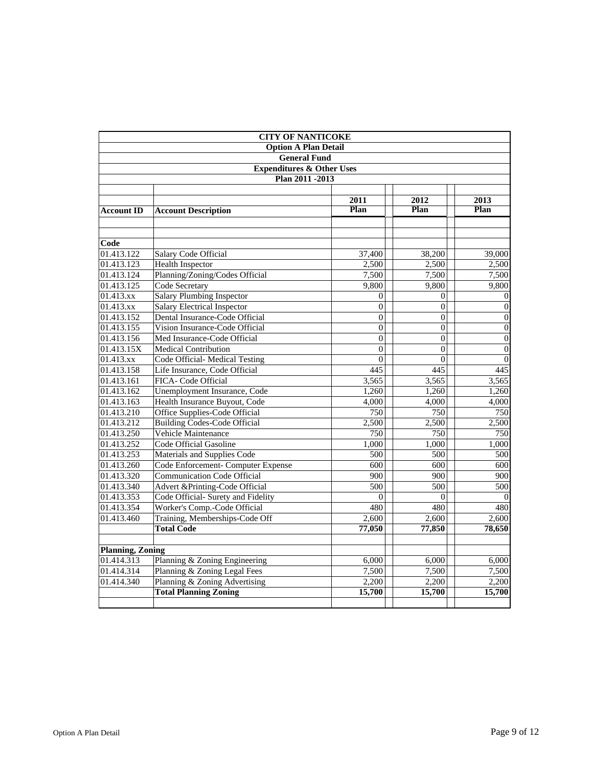|                         | <b>CITY OF NANTICOKE</b>                  |                  |                |                  |
|-------------------------|-------------------------------------------|------------------|----------------|------------------|
|                         | <b>Option A Plan Detail</b>               |                  |                |                  |
|                         | <b>General Fund</b>                       |                  |                |                  |
|                         | <b>Expenditures &amp; Other Uses</b>      |                  |                |                  |
|                         | Plan 2011 - 2013                          |                  |                |                  |
|                         |                                           |                  |                |                  |
|                         |                                           | 2011             | 2012           | 2013             |
| <b>Account ID</b>       | <b>Account Description</b>                | Plan             | Plan           | Plan             |
|                         |                                           |                  |                |                  |
|                         |                                           |                  |                |                  |
| Code                    |                                           |                  |                |                  |
| 01.413.122              | <b>Salary Code Official</b>               | 37,400           | 38,200         | 39,000           |
| 01.413.123              | <b>Health Inspector</b>                   | 2,500            | 2,500          | 2,500            |
| 01.413.124              | Planning/Zoning/Codes Official            | 7,500            | 7,500          | 7,500            |
| 01.413.125              | Code Secretary                            | 9,800            | 9,800          | 9,800            |
| 01.413.xx               | <b>Salary Plumbing Inspector</b>          | $\theta$         | $\theta$       | 0                |
| 01.413.xx               | <b>Salary Electrical Inspector</b>        | $\boldsymbol{0}$ | $\overline{0}$ | $\boldsymbol{0}$ |
| 01.413.152              | Dental Insurance-Code Official            | $\overline{0}$   | $\overline{0}$ | $\boldsymbol{0}$ |
| 01.413.155              | Vision Insurance-Code Official            | $\overline{0}$   | $\overline{0}$ | $\overline{0}$   |
| 01.413.156              | Med Insurance-Code Official               | $\overline{0}$   | $\overline{0}$ | $\overline{0}$   |
| 01.413.15X              | <b>Medical Contribution</b>               | $\overline{0}$   | $\overline{0}$ | $\overline{0}$   |
| 01.413.xx               | Code Official- Medical Testing            | $\theta$         | $\theta$       | $\mathbf{0}$     |
| 01.413.158              | Life Insurance, Code Official             | 445              | 445            | 445              |
| 01.413.161              | FICA- Code Official                       | 3,565            | 3,565          | 3,565            |
| 01.413.162              | Unemployment Insurance, Code              | 1,260            | 1,260          | 1,260            |
| 01.413.163              | Health Insurance Buyout, Code             | 4,000            | 4,000          | 4,000            |
| 01.413.210              | Office Supplies-Code Official             | 750              | 750            | 750              |
| 01.413.212              | <b>Building Codes-Code Official</b>       | 2,500            | 2,500          | 2,500            |
| 01.413.250              | Vehicle Maintenance                       | 750              | 750            | 750              |
| 01.413.252              | Code Official Gasoline                    | 1,000            | 1,000          | 1,000            |
| 01.413.253              | Materials and Supplies Code               | 500              | 500            | 500              |
| 01.413.260              | Code Enforcement- Computer Expense        | 600              | 600            | 600              |
| 01.413.320              | <b>Communication Code Official</b>        | 900              | 900            | 900              |
| 01.413.340              | <b>Advert &amp;Printing-Code Official</b> | 500              | 500            | 500              |
| 01.413.353              | Code Official- Surety and Fidelity        | $\boldsymbol{0}$ | $\overline{0}$ | $\theta$         |
| 01.413.354              | Worker's Comp.-Code Official              | 480              | 480            | 480              |
| 01.413.460              | Training, Memberships-Code Off            | 2,600            | 2,600          | 2,600            |
|                         | <b>Total Code</b>                         | 77,050           | 77,850         | 78,650           |
|                         |                                           |                  |                |                  |
| <b>Planning, Zoning</b> |                                           |                  |                |                  |
| 01.414.313              | Planning & Zoning Engineering             | 6,000            | 6,000          | 6,000            |
| 01.414.314              | Planning & Zoning Legal Fees              | 7,500            | 7,500          | 7,500            |
| 01.414.340              | Planning & Zoning Advertising             | 2,200            | 2,200          | 2,200            |
|                         | <b>Total Planning Zoning</b>              | 15,700           | 15,700         | 15,700           |
|                         |                                           |                  |                |                  |
|                         |                                           |                  |                |                  |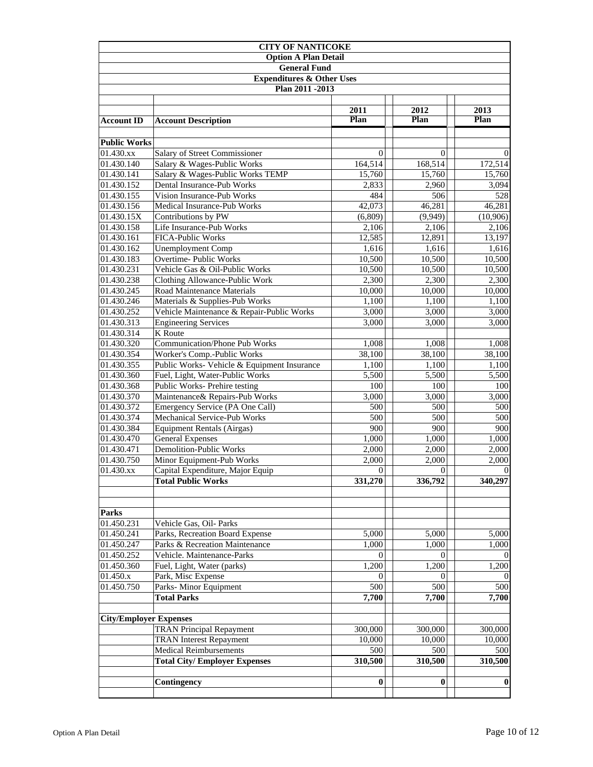|                               | <b>CITY OF NANTICOKE</b>                    |                |                  |                |
|-------------------------------|---------------------------------------------|----------------|------------------|----------------|
|                               | <b>Option A Plan Detail</b>                 |                |                  |                |
|                               | <b>General Fund</b>                         |                |                  |                |
|                               | <b>Expenditures &amp; Other Uses</b>        |                |                  |                |
|                               | Plan 2011 - 2013                            |                |                  |                |
|                               |                                             |                |                  |                |
|                               |                                             | 2011           | 2012             | 2013           |
| <b>Account ID</b>             | <b>Account Description</b>                  | Plan           | Plan             | Plan           |
|                               |                                             |                |                  |                |
| <b>Public Works</b>           |                                             |                |                  |                |
| 01.430.xx                     | Salary of Street Commissioner               | $\overline{0}$ | $\theta$         | $\Omega$       |
| 01.430.140                    | Salary & Wages-Public Works                 | 164,514        | 168,514          | 172,514        |
| 01.430.141                    | Salary & Wages-Public Works TEMP            | 15,760         | 15,760           | 15,760         |
| 01.430.152                    | Dental Insurance-Pub Works                  | 2,833          | 2,960            | 3,094          |
| 01.430.155                    | Vision Insurance-Pub Works                  | 484            | 506              | 528            |
| 01.430.156                    | Medical Insurance-Pub Works                 | 42,073         | 46,281           | 46,281         |
| 01.430.15X                    | Contributions by PW                         | (6,809)        | (9,949)          | (10,906)       |
| 01.430.158                    | Life Insurance-Pub Works                    | 2,106          | 2,106            | 2,106          |
| 01.430.161                    | FICA-Public Works                           | 12,585         | 12,891           | 13,197         |
| 01.430.162                    | <b>Unemployment Comp</b>                    | 1,616          | 1,616            | 1,616          |
| 01.430.183                    | <b>Overtime-Public Works</b>                | 10,500         | 10,500           | 10,500         |
| 01.430.231                    | Vehicle Gas & Oil-Public Works              | 10,500         | 10,500           | 10,500         |
| 01.430.238                    | Clothing Allowance-Public Work              | 2,300          | 2,300            | 2,300          |
| 01.430.245                    | Road Maintenance Materials                  | 10,000         | 10,000           | 10,000         |
| 01.430.246                    | Materials & Supplies-Pub Works              | 1,100          | 1,100            | 1,100          |
| 01.430.252                    | Vehicle Maintenance & Repair-Public Works   | 3,000          | 3,000            | 3,000          |
| 01.430.313                    | <b>Engineering Services</b>                 | 3,000          | 3,000            | 3,000          |
| 01.430.314                    | <b>K</b> Route                              |                |                  |                |
| 01.430.320                    | <b>Communication/Phone Pub Works</b>        | 1,008          | 1,008            | 1,008          |
| 01.430.354                    | Worker's Comp.-Public Works                 | 38,100         | 38,100           | 38,100         |
| 01.430.355                    | Public Works- Vehicle & Equipment Insurance | 1,100          | 1,100            | 1,100          |
| 01.430.360                    | Fuel, Light, Water-Public Works             | 5,500          | 5,500            | 5,500          |
| 01.430.368                    | Public Works- Prehire testing               | 100            | 100              | 100            |
| 01.430.370                    | Maintenance& Repairs-Pub Works              | 3,000          | 3,000            | 3,000          |
| 01.430.372                    | Emergency Service (PA One Call)             | 500            | 500              | 500            |
| 01.430.374                    | Mechanical Service-Pub Works                | 500            | 500              | 500            |
| 01.430.384                    | <b>Equipment Rentals (Airgas)</b>           | 900            | 900              | 900            |
| 01.430.470                    | <b>General Expenses</b>                     | 1,000          | 1,000            | 1,000          |
| 01.430.471                    | <b>Demolition-Public Works</b>              | 2,000          | 2,000            | 2,000          |
| 01.430.750                    | Minor Equipment-Pub Works                   | 2,000          | 2,000            | 2,000          |
| 01.430.xx                     | Capital Expenditure, Major Equip            | $\overline{0}$ | $\boldsymbol{0}$ | $\overline{0}$ |
|                               | <b>Total Public Works</b>                   | 331,270        | 336,792          | 340,297        |
|                               |                                             |                |                  |                |
|                               |                                             |                |                  |                |
| <b>Parks</b>                  |                                             |                |                  |                |
| 01.450.231                    | Vehicle Gas, Oil- Parks                     |                |                  |                |
| 01.450.241                    | Parks, Recreation Board Expense             | 5,000          | 5,000            | 5,000          |
| 01.450.247                    | Parks & Recreation Maintenance              | 1,000          | 1,000            | 1,000          |
| 01.450.252                    | Vehicle. Maintenance-Parks                  | $\Omega$       | $\Omega$         |                |
| 01.450.360                    | Fuel, Light, Water (parks)                  | 1,200          | 1,200            | 1,200          |
| 01.450.x                      | Park, Misc Expense                          | 0              | $\theta$         |                |
| 01.450.750                    | Parks- Minor Equipment                      | 500            | 500              | 500            |
|                               | <b>Total Parks</b>                          | 7,700          | 7,700            | 7,700          |
|                               |                                             |                |                  |                |
| <b>City/Employer Expenses</b> |                                             |                |                  |                |
|                               | <b>TRAN Principal Repayment</b>             | 300,000        | 300,000          | 300,000        |
|                               | <b>TRAN</b> Interest Repayment              | 10,000         | 10,000           | 10,000         |
|                               | <b>Medical Reimbursements</b>               | 500            | 500              | 500            |
|                               | <b>Total City/Employer Expenses</b>         | 310,500        | 310,500          | 310,500        |
|                               |                                             |                |                  |                |
|                               | Contingency                                 | $\bf{0}$       | $\bf{0}$         | $\bf{0}$       |
|                               |                                             |                |                  |                |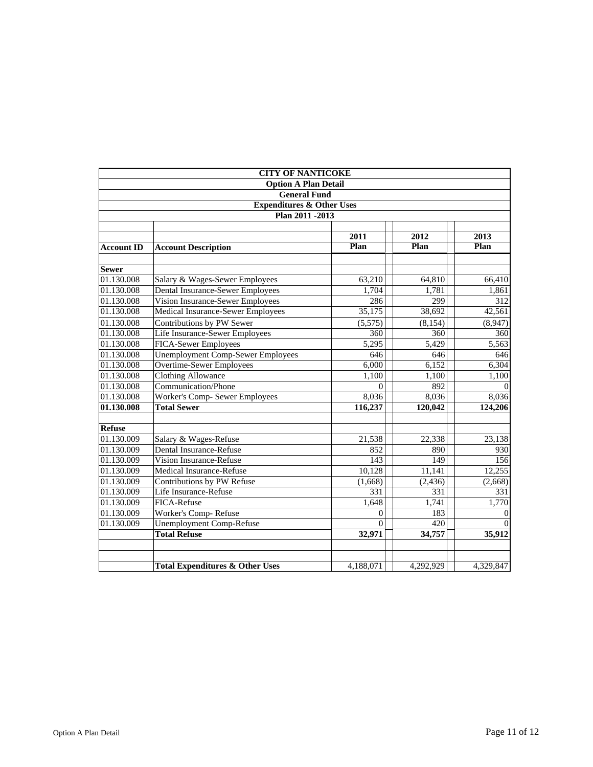|                   | <b>CITY OF NANTICOKE</b>                   |                |           |           |
|-------------------|--------------------------------------------|----------------|-----------|-----------|
|                   | <b>Option A Plan Detail</b>                |                |           |           |
|                   | <b>General Fund</b>                        |                |           |           |
|                   | <b>Expenditures &amp; Other Uses</b>       |                |           |           |
|                   | Plan 2011 - 2013                           |                |           |           |
|                   |                                            |                |           |           |
|                   |                                            | 2011           | 2012      | 2013      |
| <b>Account ID</b> | <b>Account Description</b>                 | Plan           | Plan      | Plan      |
|                   |                                            |                |           |           |
| <b>Sewer</b>      |                                            |                |           |           |
| 01.130.008        | Salary & Wages-Sewer Employees             | 63,210         | 64,810    | 66,410    |
| 01.130.008        | <b>Dental Insurance-Sewer Employees</b>    | 1,704          | 1,781     | 1,861     |
| 01.130.008        | Vision Insurance-Sewer Employees           | 286            | 299       | 312       |
| 01.130.008        | Medical Insurance-Sewer Employees          | 35,175         | 38,692    | 42,561    |
| 01.130.008        | Contributions by PW Sewer                  | (5,575)        | (8, 154)  | (8,947)   |
| 01.130.008        | Life Insurance-Sewer Employees             | 360            | 360       | 360       |
| 01.130.008        | <b>FICA-Sewer Employees</b>                | 5,295          | 5,429     | 5,563     |
| 01.130.008        | Unemployment Comp-Sewer Employees          | 646            | 646       | 646       |
| 01.130.008        | Overtime-Sewer Employees                   | 6,000          | 6,152     | 6,304     |
| 01.130.008        | <b>Clothing Allowance</b>                  | 1,100          | 1,100     | 1,100     |
| 01.130.008        | Communication/Phone                        | $\Omega$       | 892       | $\Omega$  |
| 01.130.008        | Worker's Comp- Sewer Employees             | 8,036          | 8,036     | 8,036     |
| 01.130.008        | <b>Total Sewer</b>                         | 116,237        | 120,042   | 124,206   |
|                   |                                            |                |           |           |
| <b>Refuse</b>     |                                            |                |           |           |
| 01.130.009        | Salary & Wages-Refuse                      | 21,538         | 22.338    | 23.138    |
| 01.130.009        | Dental Insurance-Refuse                    | 852            | 890       | 930       |
| 01.130.009        | Vision Insurance-Refuse                    | 143            | 149       | 156       |
| 01.130.009        | <b>Medical Insurance-Refuse</b>            | 10,128         | 11,141    | 12,255    |
| 01.130.009        | Contributions by PW Refuse                 | (1,668)        | (2, 436)  | (2,668)   |
| 01.130.009        | Life Insurance-Refuse                      | 331            | 331       | 331       |
| 01.130.009        | <b>FICA-Refuse</b>                         | 1,648          | 1,741     | 1,770     |
| 01.130.009        | Worker's Comp-Refuse                       | $\overline{0}$ | 183       | $\Omega$  |
| 01.130.009        | <b>Unemployment Comp-Refuse</b>            | $\Omega$       | 420       |           |
|                   | <b>Total Refuse</b>                        | 32,971         | 34,757    | 35,912    |
|                   |                                            |                |           |           |
|                   |                                            |                |           |           |
|                   | <b>Total Expenditures &amp; Other Uses</b> | 4,188,071      | 4,292,929 | 4,329,847 |